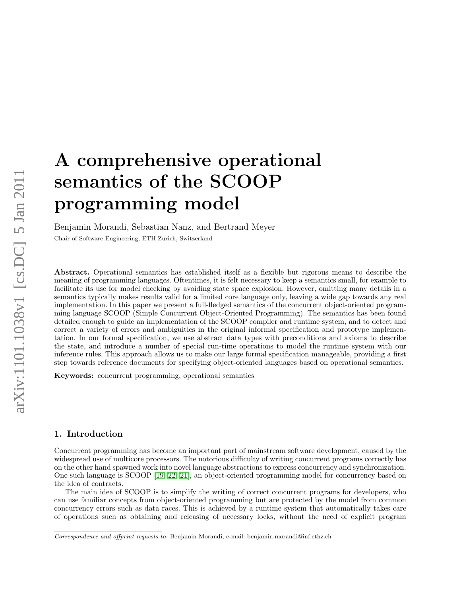Benjamin Morandi, Sebastian Nanz, and Bertrand Meyer

Chair of Software Engineering, ETH Zurich, Switzerland

Abstract. Operational semantics has established itself as a flexible but rigorous means to describe the meaning of programming languages. Oftentimes, it is felt necessary to keep a semantics small, for example to facilitate its use for model checking by avoiding state space explosion. However, omitting many details in a semantics typically makes results valid for a limited core language only, leaving a wide gap towards any real implementation. In this paper we present a full-fledged semantics of the concurrent object-oriented programming language SCOOP (Simple Concurrent Object-Oriented Programming). The semantics has been found detailed enough to guide an implementation of the SCOOP compiler and runtime system, and to detect and correct a variety of errors and ambiguities in the original informal specification and prototype implementation. In our formal specification, we use abstract data types with preconditions and axioms to describe the state, and introduce a number of special run-time operations to model the runtime system with our inference rules. This approach allows us to make our large formal specification manageable, providing a first step towards reference documents for specifying object-oriented languages based on operational semantics.

Keywords: concurrent programming, operational semantics

# 1. Introduction

Concurrent programming has become an important part of mainstream software development, caused by the widespread use of multicore processors. The notorious difficulty of writing concurrent programs correctly has on the other hand spawned work into novel language abstractions to express concurrency and synchronization. One such language is SCOOP [\[19,](#page-79-0) [22,](#page-79-1) [21\]](#page-79-2), an object-oriented programming model for concurrency based on the idea of contracts.

The main idea of SCOOP is to simplify the writing of correct concurrent programs for developers, who can use familiar concepts from object-oriented programming but are protected by the model from common concurrency errors such as data races. This is achieved by a runtime system that automatically takes care of operations such as obtaining and releasing of necessary locks, without the need of explicit program

Correspondence and offprint requests to: Benjamin Morandi, e-mail: benjamin.morandi@inf.ethz.ch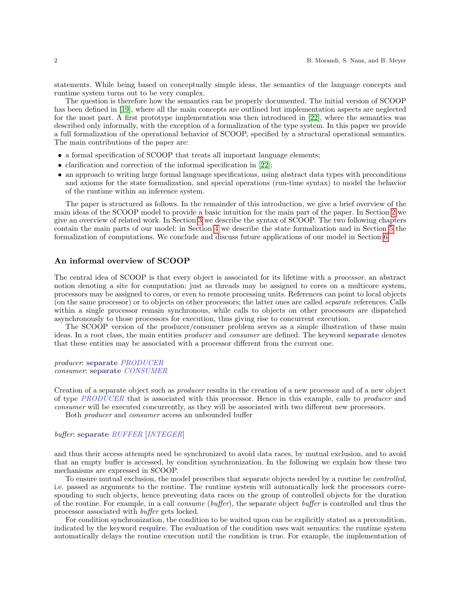statements. While being based on conceptually simple ideas, the semantics of the language concepts and runtime system turns out to be very complex.

The question is therefore how the semantics can be properly documented. The initial version of SCOOP has been defined in [\[19\]](#page-79-0), where all the main concepts are outlined but implementation aspects are neglected for the most part. A first prototype implementation was then introduced in [\[22\]](#page-79-1), where the semantics was described only informally, with the exception of a formalization of the type system. In this paper we provide a full formalization of the operational behavior of SCOOP, specified by a structural operational semantics. The main contributions of the paper are:

- a formal specification of SCOOP that treats all important language elements;
- clarification and correction of the informal specification in  $[22]$ ;
- an approach to writing large formal language specifications, using abstract data types with preconditions and axioms for the state formalization, and special operations (run-time syntax) to model the behavior of the runtime within an inference system.

The paper is structured as follows. In the remainder of this introduction, we give a brief overview of the main ideas of the SCOOP model to provide a basic intuition for the main part of the paper. In Section [2](#page-2-0) we give an overview of related work. In Section [3](#page-4-0) we describe the syntax of SCOOP. The two following chapters contain the main parts of our model: in Section [4](#page-8-0) we describe the state formalization and in Section [5](#page-42-0) the formalization of computations. We conclude and discuss future applications of our model in Section [6.](#page-78-0)

## An informal overview of SCOOP

The central idea of SCOOP is that every object is associated for its lifetime with a processor, an abstract notion denoting a site for computation: just as threads may be assigned to cores on a multicore system, processors may be assigned to cores, or even to remote processing units. References can point to local objects (on the same processor) or to objects on other processors; the latter ones are called separate references. Calls within a single processor remain synchronous, while calls to objects on other processors are dispatched asynchronously to those processors for execution, thus giving rise to concurrent execution.

The SCOOP version of the producer/consumer problem serves as a simple illustration of these main ideas. In a root class, the main entities *producer* and *consumer* are defined. The keyword separate denotes that these entities may be associated with a processor different from the current one.

producer: separate PRODUCER consumer: separate CONSUMER

Creation of a separate object such as producer results in the creation of a new processor and of a new object of type PRODUCER that is associated with this processor. Hence in this example, calls to producer and consumer will be executed concurrently, as they will be associated with two different new processors.

Both producer and consumer access an unbounded buffer

#### buffer: separate BUFFER [INTEGER]

and thus their access attempts need be synchronized to avoid data races, by mutual exclusion, and to avoid that an empty buffer is accessed, by condition synchronization. In the following we explain how these two mechanisms are expressed in SCOOP.

To ensure mutual exclusion, the model prescribes that separate objects needed by a routine be controlled, i.e. passed as arguments to the routine. The runtime system will automatically lock the processors corresponding to such objects, hence preventing data races on the group of controlled objects for the duration of the routine. For example, in a call consume (buffer), the separate object buffer is controlled and thus the processor associated with buffer gets locked.

For condition synchronization, the condition to be waited upon can be explicitly stated as a precondition, indicated by the keyword require. The evaluation of the condition uses wait semantics: the runtime system automatically delays the routine execution until the condition is true. For example, the implementation of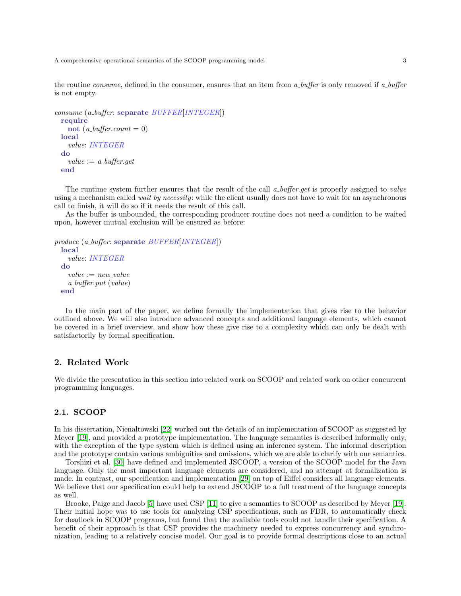the routine *consume*, defined in the consumer, ensures that an item from a buffer is only removed if a buffer is not empty.

```
consume (a buffer: separate BUFFER[INTEGER])
 require
   not (a_b\text{-}buffer.count = 0)local
    value: INTEGER
 do
   value := a\_buffer.getend
```
The runtime system further ensures that the result of the call a buffer.get is properly assigned to value using a mechanism called *wait by necessity*: while the client usually does not have to wait for an asynchronous call to finish, it will do so if it needs the result of this call.

As the buffer is unbounded, the corresponding producer routine does not need a condition to be waited upon, however mutual exclusion will be ensured as before:

```
produce (a buffer: separate BUFFER[INTEGER])
 local
   value: INTEGER
 do
   value := new_valuea buffer.put (value)
 end
```
In the main part of the paper, we define formally the implementation that gives rise to the behavior outlined above. We will also introduce advanced concepts and additional language elements, which cannot be covered in a brief overview, and show how these give rise to a complexity which can only be dealt with satisfactorily by formal specification.

# <span id="page-2-0"></span>2. Related Work

We divide the presentation in this section into related work on SCOOP and related work on other concurrent programming languages.

# 2.1. SCOOP

In his dissertation, Nienaltowski [\[22\]](#page-79-1) worked out the details of an implementation of SCOOP as suggested by Meyer [\[19\]](#page-79-0), and provided a prototype implementation. The language semantics is described informally only, with the exception of the type system which is defined using an inference system. The informal description and the prototype contain various ambiguities and omissions, which we are able to clarify with our semantics.

Torshizi et al. [\[30\]](#page-79-3) have defined and implemented JSCOOP, a version of the SCOOP model for the Java language. Only the most important language elements are considered, and no attempt at formalization is made. In contrast, our specification and implementation [\[29\]](#page-79-4) on top of Eiffel considers all language elements. We believe that our specification could help to extend JSCOOP to a full treatment of the language concepts as well.

Brooke, Paige and Jacob [\[5\]](#page-79-5) have used CSP [\[11\]](#page-79-6) to give a semantics to SCOOP as described by Meyer [\[19\]](#page-79-0). Their initial hope was to use tools for analyzing CSP specifications, such as FDR, to automatically check for deadlock in SCOOP programs, but found that the available tools could not handle their specification. A benefit of their approach is that CSP provides the machinery needed to express concurrency and synchronization, leading to a relatively concise model. Our goal is to provide formal descriptions close to an actual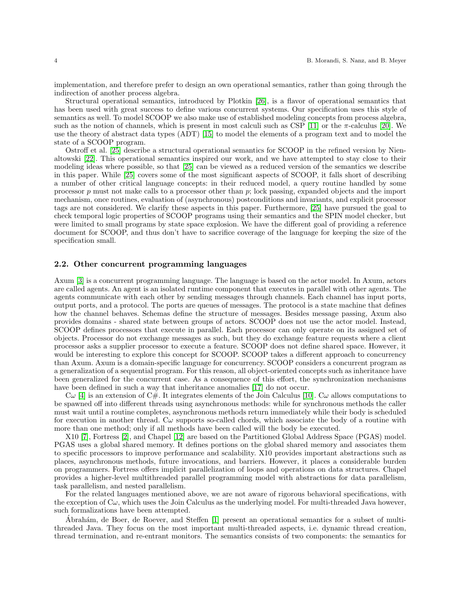implementation, and therefore prefer to design an own operational semantics, rather than going through the indirection of another process algebra.

Structural operational semantics, introduced by Plotkin [\[26\]](#page-79-7), is a flavor of operational semantics that has been used with great success to define various concurrent systems. Our specification uses this style of semantics as well. To model SCOOP we also make use of established modeling concepts from process algebra, such as the notion of channels, which is present in most calculi such as  $\text{CSP}$  [\[11\]](#page-79-6) or the  $\pi$ -calculus [\[20\]](#page-79-8). We use the theory of abstract data types (ADT) [\[15\]](#page-79-9) to model the elements of a program text and to model the state of a SCOOP program.

Ostroff et al. [\[25\]](#page-79-10) describe a structural operational semantics for SCOOP in the refined version by Nienaltowski [\[22\]](#page-79-1). This operational semantics inspired our work, and we have attempted to stay close to their modeling ideas where possible, so that [\[25\]](#page-79-10) can be viewed as a reduced version of the semantics we describe in this paper. While [\[25\]](#page-79-10) covers some of the most significant aspects of SCOOP, it falls short of describing a number of other critical language concepts: in their reduced model, a query routine handled by some processor p must not make calls to a processor other than  $p$ ; lock passing, expanded objects and the import mechanism, once routines, evaluation of (asynchronous) postconditions and invariants, and explicit processor tags are not considered. We clarify these aspects in this paper. Furthermore, [\[25\]](#page-79-10) have pursued the goal to check temporal logic properties of SCOOP programs using their semantics and the SPIN model checker, but were limited to small programs by state space explosion. We have the different goal of providing a reference document for SCOOP, and thus don't have to sacrifice coverage of the language for keeping the size of the specification small.

## 2.2. Other concurrent programming languages

Axum [\[3\]](#page-79-11) is a concurrent programming language. The language is based on the actor model. In Axum, actors are called agents. An agent is an isolated runtime component that executes in parallel with other agents. The agents communicate with each other by sending messages through channels. Each channel has input ports, output ports, and a protocol. The ports are queues of messages. The protocol is a state machine that defines how the channel behaves. Schemas define the structure of messages. Besides message passing, Axum also provides domains - shared state between groups of actors. SCOOP does not use the actor model. Instead, SCOOP defines processors that execute in parallel. Each processor can only operate on its assigned set of objects. Processor do not exchange messages as such, but they do exchange feature requests where a client processor asks a supplier processor to execute a feature. SCOOP does not define shared space. However, it would be interesting to explore this concept for SCOOP. SCOOP takes a different approach to concurrency than Axum. Axum is a domain-specific language for concurrency. SCOOP considers a concurrent program as a generalization of a sequential program. For this reason, all object-oriented concepts such as inheritance have been generalized for the concurrent case. As a consequence of this effort, the synchronization mechanisms have been defined in such a way that inheritance anomalies [\[17\]](#page-79-12) do not occur.

 $C\omega$  [\[4\]](#page-79-13) is an extension of  $C\#$ . It integrates elements of the Join Calculus [\[10\]](#page-79-14).  $C\omega$  allows computations to be spawned off into different threads using asynchronous methods: while for synchronous methods the caller must wait until a routine completes, asynchronous methods return immediately while their body is scheduled for execution in another thread.  $C\omega$  supports so-called chords, which associate the body of a routine with more than one method; only if all methods have been called will the body be executed.

X10 [\[7\]](#page-79-15), Fortress [\[2\]](#page-79-16), and Chapel [\[12\]](#page-79-17) are based on the Partitioned Global Address Space (PGAS) model. PGAS uses a global shared memory. It defines portions on the global shared memory and associates them to specific processors to improve performance and scalability. X10 provides important abstractions such as places, asynchronous methods, future invocations, and barriers. However, it places a considerable burden on programmers. Fortress offers implicit parallelization of loops and operations on data structures. Chapel provides a higher-level multithreaded parallel programming model with abstractions for data parallelism, task parallelism, and nested parallelism.

For the related languages mentioned above, we are not aware of rigorous behavioral specifications, with the exception of  $C\omega$ , which uses the Join Calculus as the underlying model. For multi-threaded Java however, such formalizations have been attempted.

Abrahám, de Boer, de Roever, and Steffen [\[1\]](#page-79-18) present an operational semantics for a subset of multithreaded Java. They focus on the most important multi-threaded aspects, i.e. dynamic thread creation, thread termination, and re-entrant monitors. The semantics consists of two components: the semantics for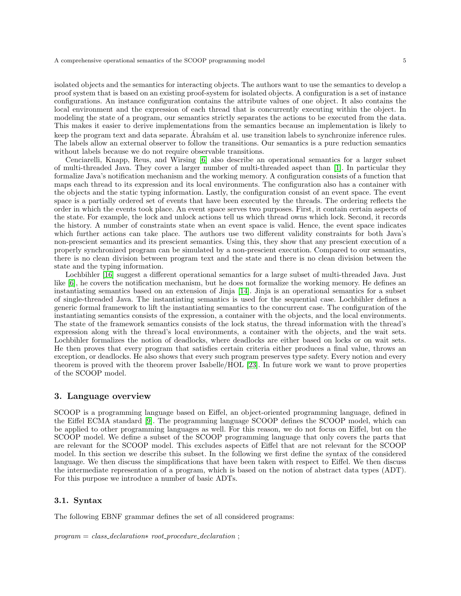A comprehensive operational semantics of the SCOOP programming model 50  $\,$  5  $\,$  5  $\,$  5  $\,$  5  $\,$  5  $\,$  5  $\,$  5  $\,$  5  $\,$  5  $\,$  5  $\,$  5  $\,$  5  $\,$  5  $\,$  5  $\,$  5  $\,$  5  $\,$  5  $\,$  5  $\,$  5  $\,$  5  $\,$  5  $\,$ 

isolated objects and the semantics for interacting objects. The authors want to use the semantics to develop a proof system that is based on an existing proof-system for isolated objects. A configuration is a set of instance configurations. An instance configuration contains the attribute values of one object. It also contains the local environment and the expression of each thread that is concurrently executing within the object. In modeling the state of a program, our semantics strictly separates the actions to be executed from the data. This makes it easier to derive implementations from the semantics because an implementation is likely to keep the program text and data separate. Abrahám et al. use transition labels to synchronize inference rules. The labels allow an external observer to follow the transitions. Our semantics is a pure reduction semantics without labels because we do not require observable transitions.

Cenciarelli, Knapp, Reus, and Wirsing [\[6\]](#page-79-19) also describe an operational semantics for a larger subset of multi-threaded Java. They cover a larger number of multi-threaded aspect than [\[1\]](#page-79-18). In particular they formalize Java's notification mechanism and the working memory. A configuration consists of a function that maps each thread to its expression and its local environments. The configuration also has a container with the objects and the static typing information. Lastly, the configuration consist of an event space. The event space is a partially ordered set of events that have been executed by the threads. The ordering reflects the order in which the events took place. An event space serves two purposes. First, it contain certain aspects of the state. For example, the lock and unlock actions tell us which thread owns which lock. Second, it records the history. A number of constraints state when an event space is valid. Hence, the event space indicates which further actions can take place. The authors use two different validity constraints for both Java's non-prescient semantics and its prescient semantics. Using this, they show that any prescient execution of a properly synchronized program can be simulated by a non-prescient execution. Compared to our semantics, there is no clean division between program text and the state and there is no clean division between the state and the typing information.

Lochbihler [\[16\]](#page-79-20) suggest a different operational semantics for a large subset of multi-threaded Java. Just like [\[6\]](#page-79-19), he covers the notification mechanism, but he does not formalize the working memory. He defines an instantiating semantics based on an extension of Jinja [\[14\]](#page-79-21). Jinja is an operational semantics for a subset of single-threaded Java. The instantiating semantics is used for the sequential case. Lochbihler defines a generic formal framework to lift the instantiating semantics to the concurrent case. The configuration of the instantiating semantics consists of the expression, a container with the objects, and the local environments. The state of the framework semantics consists of the lock status, the thread information with the thread's expression along with the thread's local environments, a container with the objects, and the wait sets. Lochbihler formalizes the notion of deadlocks, where deadlocks are either based on locks or on wait sets. He then proves that every program that satisfies certain criteria either produces a final value, throws an exception, or deadlocks. He also shows that every such program preserves type safety. Every notion and every theorem is proved with the theorem prover Isabelle/HOL [\[23\]](#page-79-22). In future work we want to prove properties of the SCOOP model.

## <span id="page-4-0"></span>3. Language overview

SCOOP is a programming language based on Eiffel, an object-oriented programming language, defined in the Eiffel ECMA standard [\[9\]](#page-79-23). The programming language SCOOP defines the SCOOP model, which can be applied to other programming languages as well. For this reason, we do not focus on Eiffel, but on the SCOOP model. We define a subset of the SCOOP programming language that only covers the parts that are relevant for the SCOOP model. This excludes aspects of Eiffel that are not relevant for the SCOOP model. In this section we describe this subset. In the following we first define the syntax of the considered language. We then discuss the simplifications that have been taken with respect to Eiffel. We then discuss the intermediate representation of a program, which is based on the notion of abstract data types (ADT). For this purpose we introduce a number of basic ADTs.

## 3.1. Syntax

The following EBNF grammar defines the set of all considered programs:

 $program = class\_declaration* root\_procedure\_declaration$ ;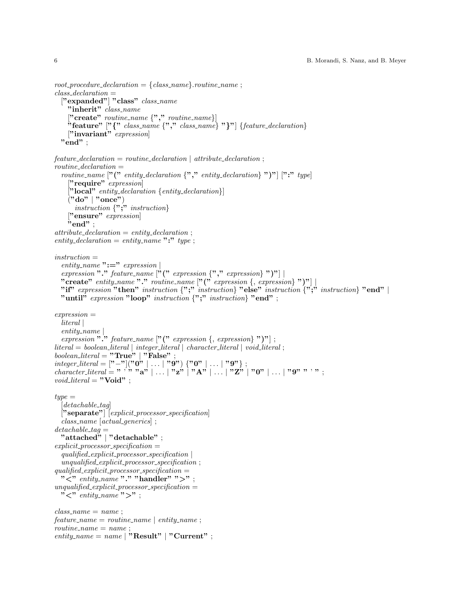```
root\_procedure\_declaration = \{class\_name\}.routine\_name;
class\_declaration =["expanded"] "class" class name
    "inherit" class_name
    ["create" routine name {"," routine name}]
    "feature" ["\{" class_name \{"," class_name} "}"] {feature_declaration}
    ["invariant" expression]
  "end" ;
feature\_declaration = routine\_declaration | attribute\_declaration ;routine\_de characterization =routine_name ["("math>entity\_declaration", "entity\_declaration", ""]" ":: "type"["require" expression]
     "local" entity_declaration \{entity\_declaration\}]("do" | "once")
      instruction \{ "; "instruction \}["ensure" expression]
    "end";
attribute\_declaration = entity\_declaration;entity_declaration = entity_name ":" type;
instruction =
  entity_name ":=" expressionexpression "." feature_name ["("expression", "expression", ")]"create" entity_name"." routine_name ["("expression \{, expression\})"]"if" expression "then" instruction \{\cdot\cdot\cdot\}" instruction \{\cdot\cdot\cdot\}" instruction \{\cdot\cdot\cdot\}" instruction \{\cdot\cdot\}"
  "until" expression "loop" instruction {";" instruction} "end";
expression =literal |
  entity_nameexpression "." feature_name ["("expression", expression", " ")"];
literal = boolean\_literal \mid integer\_literal \mid character\_literal \mid void\_literal;
boolean_literal = "True" | "False" ;
integer\_literal = [\text{''}-\text{''}]({\text{''0''}}\mid \ldots \mid {\text{''9''}}\rangle {\text{''0''}}\mid \ldots \mid {\text{''9''}}\};
character_literal = " ' " " "a" | ... | "z" | "A" | ... | "Z" | "0" | ... | "9" " ' ";
void_literal = "Void" ;
type =[detachable\_tag]["separate"] [explicit processor specification]
  class name [actual generics] ;
detachable\_taq ="attached" | "detachable" ;
explicit\_processor\_specification =qualified explicit processor specification |
  unqualified explicit processor specification ;
qualified\_explicit\_processor\_specification ="\lt"" entity_name "." "handler" ">";
unqualified\_explicit\_processor\_specification ="\lt" entity_name">";
class_name = name;feature_name = routine_name | entity_name ;routine\_name = name;entity_name = name \mid "Result" \mid "Current" ;
```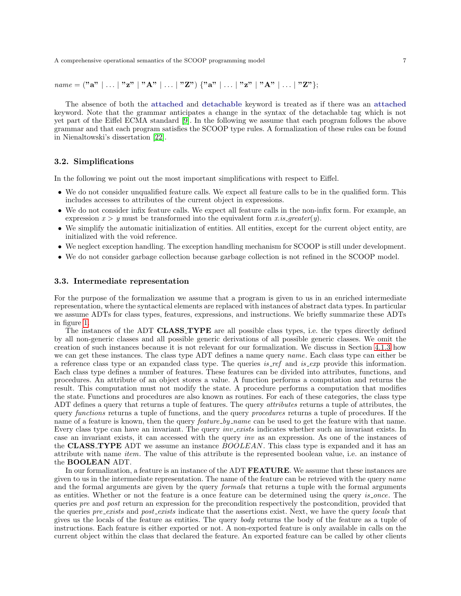$name = ("a" | ... | "z" | "A" | ... | "Z")$  {"a" | ... | "z" | "A" | ... | "Z" };

The absence of both the attached and detachable keyword is treated as if there was an attached keyword. Note that the grammar anticipates a change in the syntax of the detachable tag which is not yet part of the Eiffel ECMA standard [\[9\]](#page-79-23). In the following we assume that each program follows the above grammar and that each program satisfies the SCOOP type rules. A formalization of these rules can be found in Nienaltowski's dissertation [\[22\]](#page-79-1).

## 3.2. Simplifications

In the following we point out the most important simplifications with respect to Eiffel.

- We do not consider unqualified feature calls. We expect all feature calls to be in the qualified form. This includes accesses to attributes of the current object in expressions.
- We do not consider infix feature calls. We expect all feature calls in the non-infix form. For example, an expression  $x > y$  must be transformed into the equivalent form x.is\_greater(y).
- We simplify the automatic initialization of entities. All entities, except for the current object entity, are initialized with the void reference.
- We neglect exception handling. The exception handling mechanism for SCOOP is still under development.
- We do not consider garbage collection because garbage collection is not refined in the SCOOP model.

#### 3.3. Intermediate representation

For the purpose of the formalization we assume that a program is given to us in an enriched intermediate representation, where the syntactical elements are replaced with instances of abstract data types. In particular we assume ADTs for class types, features, expressions, and instructions. We briefly summarize these ADTs in figure [1.](#page-7-0)

The instances of the ADT **CLASS\_TYPE** are all possible class types, i.e. the types directly defined by all non-generic classes and all possible generic derivations of all possible generic classes. We omit the creation of such instances because it is not relevant for our formalization. We discuss in Section [4.1.3](#page-11-0) how we can get these instances. The class type ADT defines a name query *name*. Each class type can either be a reference class type or an expanded class type. The queries is ref and is exp provide this information. Each class type defines a number of features. These features can be divided into attributes, functions, and procedures. An attribute of an object stores a value. A function performs a computation and returns the result. This computation must not modify the state. A procedure performs a computation that modifies the state. Functions and procedures are also known as routines. For each of these categories, the class type ADT defines a query that returns a tuple of features. The query *attributes* returns a tuple of attributes, the query functions returns a tuple of functions, and the query procedures returns a tuple of procedures. If the name of a feature is known, then the query *feature\_by\_name* can be used to get the feature with that name. Every class type can have an invariant. The query *inv\_exists* indicates whether such an invariant exists. In case an invariant exists, it can accessed with the query inv as an expression. As one of the instances of the **CLASS TYPE** ADT we assume an instance *BOOLEAN*. This class type is expanded and it has an attribute with name item. The value of this attribute is the represented boolean value, i.e. an instance of the BOOLEAN ADT.

In our formalization, a feature is an instance of the ADT FEATURE. We assume that these instances are given to us in the intermediate representation. The name of the feature can be retrieved with the query name and the formal arguments are given by the query *formals* that returns a tuple with the formal arguments as entities. Whether or not the feature is a once feature can be determined using the query is once. The queries pre and post return an expression for the precondition respectively the postcondition, provided that the queries pre-exists and post-exists indicate that the assertions exist. Next, we have the query locals that gives us the locals of the feature as entities. The query body returns the body of the feature as a tuple of instructions. Each feature is either exported or not. A non-exported feature is only available in calls on the current object within the class that declared the feature. An exported feature can be called by other clients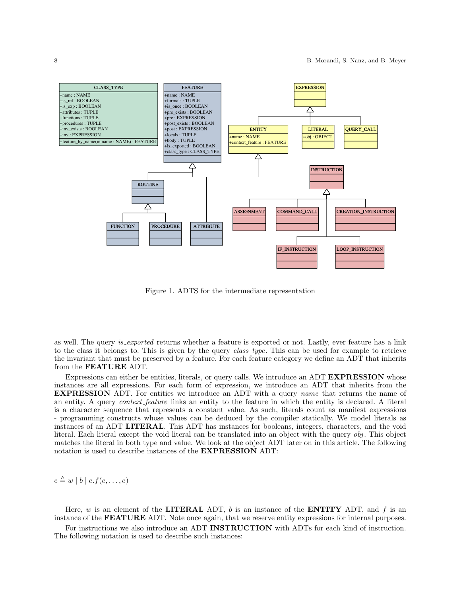

<span id="page-7-0"></span>Figure 1. ADTS for the intermediate representation

as well. The query is exported returns whether a feature is exported or not. Lastly, ever feature has a link to the class it belongs to. This is given by the query *class\_type*. This can be used for example to retrieve the invariant that must be preserved by a feature. For each feature category we define an ADT that inherits from the FEATURE ADT.

Expressions can either be entities, literals, or query calls. We introduce an ADT **EXPRESSION** whose instances are all expressions. For each form of expression, we introduce an ADT that inherits from the EXPRESSION ADT. For entities we introduce an ADT with a query name that returns the name of an entity. A query *context* feature links an entity to the feature in which the entity is declared. A literal is a character sequence that represents a constant value. As such, literals count as manifest expressions - programming constructs whose values can be deduced by the compiler statically. We model literals as instances of an ADT LITERAL. This ADT has instances for booleans, integers, characters, and the void literal. Each literal except the void literal can be translated into an object with the query obj. This object matches the literal in both type and value. We look at the object ADT later on in this article. The following notation is used to describe instances of the EXPRESSION ADT:

 $e \triangleq w | b | e.f(e, \ldots, e)$ 

Here, w is an element of the **LITERAL** ADT, b is an instance of the **ENTITY** ADT, and f is an instance of the FEATURE ADT. Note once again, that we reserve entity expressions for internal purposes.

For instructions we also introduce an ADT INSTRUCTION with ADTs for each kind of instruction. The following notation is used to describe such instances: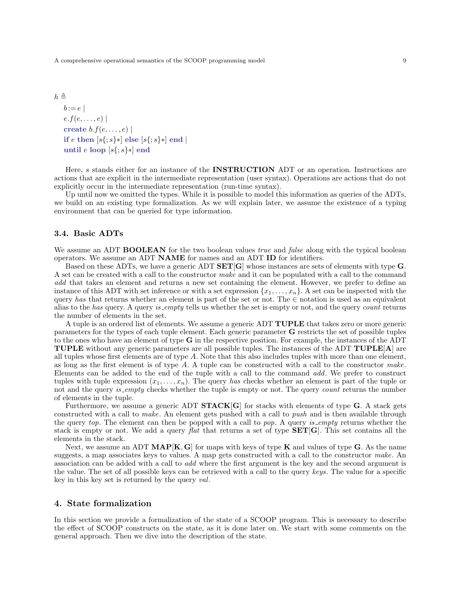$h \triangleq$  $b := e \mid$  $e.f(e, \ldots, e)$ create  $b. f(e, \ldots, e)$ if e then  $[s\{ ; s\}*]$  else  $[s\{ ; s\}*]$  end | until e loop [s{; s}∗] end

Here, s stands either for an instance of the **INSTRUCTION** ADT or an operation. Instructions are actions that are explicit in the intermediate representation (user syntax). Operations are actions that do not explicitly occur in the intermediate representation (run-time syntax).

Up until now we omitted the types. While it is possible to model this information as queries of the ADTs, we build on an existing type formalization. As we will explain later, we assume the existence of a typing environment that can be queried for type information.

#### 3.4. Basic ADTs

We assume an ADT **BOOLEAN** for the two boolean values true and false along with the typical boolean operators. We assume an ADT NAME for names and an ADT ID for identifiers.

Based on these ADTs, we have a generic ADT **SET**[G] whose instances are sets of elements with type **G**. A set can be created with a call to the constructor make and it can be populated with a call to the command add that takes an element and returns a new set containing the element. However, we prefer to define an instance of this ADT with set inference or with a set expression  $\{x_1, \ldots, x_n\}$ . A set can be inspected with the query has that returns whether an element is part of the set or not. The  $\in$  notation is used as an equivalent alias to the has query. A query is empty tells us whether the set is empty or not, and the query count returns the number of elements in the set.

A tuple is an ordered list of elements. We assume a generic ADT TUPLE that takes zero or more generic parameters for the types of each tuple element. Each generic parameter G restricts the set of possible tuples to the ones who have an element of type G in the respective position. For example, the instances of the ADT TUPLE without any generic parameters are all possible tuples. The instances of the ADT TUPLE[A] are all tuples whose first elements are of type A. Note that this also includes tuples with more than one element, as long as the first element is of type A. A tuple can be constructed with a call to the constructor make. Elements can be added to the end of the tuple with a call to the command add. We prefer to construct tuples with tuple expression  $(x_1, \ldots, x_n)$ . The query has checks whether an element is part of the tuple or not and the query *is empty* checks whether the tuple is empty or not. The query *count* returns the number of elements in the tuple.

Furthermore, we assume a generic ADT  $STACK[G]$  for stacks with elements of type  $G$ . A stack gets constructed with a call to make. An element gets pushed with a call to push and is then available through the query top. The element can then be popped with a call to pop. A query is empty returns whether the stack is empty or not. We add a query *flat* that returns a set of type  $SET[G]$ . This set contains all the elements in the stack.

Next, we assume an ADT  $\text{MAP}[\textbf{K}, \textbf{G}]$  for maps with keys of type K and values of type G. As the name suggests, a map associates keys to values. A map gets constructed with a call to the constructor make. An association can be added with a call to add where the first argument is the key and the second argument is the value. The set of all possible keys can be retrieved with a call to the query keys. The value for a specific key in this key set is returned by the query val.

## <span id="page-8-0"></span>4. State formalization

In this section we provide a formalization of the state of a SCOOP program. This is necessary to describe the effect of SCOOP constructs on the state, as it is done later on. We start with some comments on the general approach. Then we dive into the description of the state.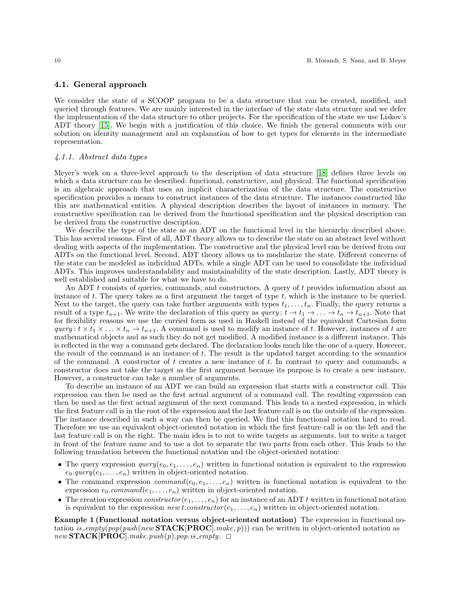#### 4.1. General approach

We consider the state of a SCOOP program to be a data structure that can be created, modified, and queried through features. We are mainly interested in the interface of the state data structure and we defer the implementation of the data structure to other projects. For the specification of the state we use Liskov's ADT theory [\[15\]](#page-79-9). We begin with a justification of this choice. We finish the general comments with our solution on identity management and an explanation of how to get types for elements in the intermediate representation.

#### 4.1.1. Abstract data types

Meyer's work on a three-level approach to the description of data structure [\[18\]](#page-79-24) defines three levels on which a data structure can be described: functional, constructive, and physical. The functional specification is an algebraic approach that uses an implicit characterization of the data structure. The constructive specification provides a means to construct instances of the data structure. The instances constructed like this are mathematical entities. A physical description describes the layout of instances in memory. The constructive specification can be derived from the functional specification and the physical description can be derived from the constructive description.

We describe the type of the state as an ADT on the functional level in the hierarchy described above. This has several reasons. First of all, ADT theory allows us to describe the state on an abstract level without dealing with aspects of the implementation. The constructive and the physical level can be derived from our ADTs on the functional level. Second, ADT theory allows us to modularize the state. Different concerns of the state can be modeled as individual ADTs, while a single ADT can be used to consolidate the individual ADTs. This improves understandability and maintainability of the state description. Lastly, ADT theory is well established and suitable for what we have to do.

An ADT t consists of queries, commands, and constructors. A query of t provides information about an instance of  $t$ . The query takes as a first argument the target of type  $t$ , which is the instance to be queried. Next to the target, the query can take further arguments with types  $t_1, \ldots, t_n$ . Finally, the query returns a result of a type  $t_{n+1}$ . We write the declaration of this query as  $query : t \to t_1 \to \ldots \to t_n \to t_{n+1}$ . Note that for flexibility reasons we use the curried form as used in Haskell instead of the equivalent Cartesian form query:  $t \times t_1 \times \ldots \times t_n \to t_{n+1}$ . A command is used to modify an instance of t. However, instances of t are mathematical objects and as such they do not get modified. A modified instance is a different instance. This is reflected in the way a command gets declared. The declaration looks much like the one of a query. However, the result of the command is an instance of t. The result is the updated target according to the semantics of the command. A constructor of  $t$  creates a new instance of  $t$ . In contrast to query and commands, a constructor does not take the target as the first argument because its purpose is to create a new instance. However, a constructor can take a number of arguments.

To describe an instance of an ADT we can build an expression that starts with a constructor call. This expression can then be used as the first actual argument of a command call. The resulting expression can then be used as the first actual argument of the next command. This leads to a nested expression, in which the first feature call is in the root of the expression and the last feature call is on the outside of the expression. The instance described in such a way can then be queried. We find this functional notation hard to read. Therefore we use an equivalent object-oriented notation in which the first feature call is on the left and the last feature call is on the right. The main idea is to not to write targets as arguments, but to write a target in front of the feature name and to use a dot to separate the two parts from each other. This leads to the following translation between the functional notation and the object-oriented notation:

- The query expression  $query(e_0, e_1, \ldots, e_n)$  written in functional notation is equivalent to the expression  $e_0$ .query $(e_1, \ldots, e_n)$  written in object-oriented notation.
- The command expression *command*( $e_0, e_1, \ldots, e_n$ ) written in functional notation is equivalent to the expression  $e_0$ .command $(e_1, \ldots, e_n)$  written in object-oriented notation.
- The creation expression  $constructor(e_1, \ldots, e_n)$  for an instance of an ADT t written in functional notation is equivalent to the expression new t.constructor  $(e_1, \ldots, e_n)$  written in object-oriented notation.

Example 1 (Functional notation versus object-oriented notation) The expression in functional notation is empty(pop(push(new **STACK**[PROC].make, p))) can be written in object-oriented notation as  $new$  STACK[PROC].make.push(p).pop.is\_empty.  $\square$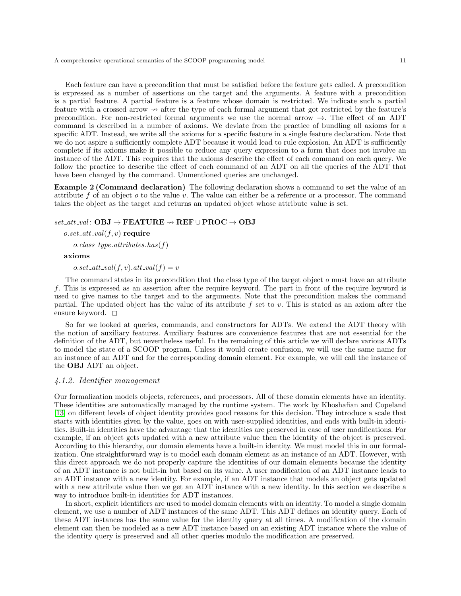Each feature can have a precondition that must be satisfied before the feature gets called. A precondition is expressed as a number of assertions on the target and the arguments. A feature with a precondition is a partial feature. A partial feature is a feature whose domain is restricted. We indicate such a partial feature with a crossed arrow  $\rightarrow$  after the type of each formal argument that got restricted by the feature's precondition. For non-restricted formal arguments we use the normal arrow  $\rightarrow$ . The effect of an ADT command is described in a number of axioms. We deviate from the practice of bundling all axioms for a specific ADT. Instead, we write all the axioms for a specific feature in a single feature declaration. Note that we do not aspire a sufficiently complete ADT because it would lead to rule explosion. An ADT is sufficiently complete if its axioms make it possible to reduce any query expression to a form that does not involve an instance of the ADT. This requires that the axioms describe the effect of each command on each query. We follow the practice to describe the effect of each command of an ADT on all the queries of the ADT that have been changed by the command. Unmentioned queries are unchanged.

Example 2 (Command declaration) The following declaration shows a command to set the value of an attribute f of an object  $o$  to the value v. The value can either be a reference or a processor. The command takes the object as the target and returns an updated object whose attribute value is set.

#### $set\_att\_val$ : OBJ  $\rightarrow$  FEATURE  $\rightarrow$  REF ∪ PROC  $\rightarrow$  OBJ

 $o.set\_att\_val(f, v)$  require

 $o.class\_type. attributes. has(f)$ 

## axioms

 $o.set\_att\_val(f, v).att\_val(f) = v$ 

The command states in its precondition that the class type of the target object  $\rho$  must have an attribute f. This is expressed as an assertion after the require keyword. The part in front of the require keyword is used to give names to the target and to the arguments. Note that the precondition makes the command partial. The updated object has the value of its attribute  $f$  set to  $v$ . This is stated as an axiom after the ensure keyword.

So far we looked at queries, commands, and constructors for ADTs. We extend the ADT theory with the notion of auxiliary features. Auxiliary features are convenience features that are not essential for the definition of the ADT, but nevertheless useful. In the remaining of this article we will declare various ADTs to model the state of a SCOOP program. Unless it would create confusion, we will use the same name for an instance of an ADT and for the corresponding domain element. For example, we will call the instance of the OBJ ADT an object.

#### 4.1.2. Identifier management

Our formalization models objects, references, and processors. All of these domain elements have an identity. These identities are automatically managed by the runtime system. The work by Khoshafian and Copeland [\[13\]](#page-79-25) on different levels of object identity provides good reasons for this decision. They introduce a scale that starts with identities given by the value, goes on with user-supplied identities, and ends with built-in identities. Built-in identities have the advantage that the identities are preserved in case of user modifications. For example, if an object gets updated with a new attribute value then the identity of the object is preserved. According to this hierarchy, our domain elements have a built-in identity. We must model this in our formalization. One straightforward way is to model each domain element as an instance of an ADT. However, with this direct approach we do not properly capture the identities of our domain elements because the identity of an ADT instance is not built-in but based on its value. A user modification of an ADT instance leads to an ADT instance with a new identity. For example, if an ADT instance that models an object gets updated with a new attribute value then we get an ADT instance with a new identity. In this section we describe a way to introduce built-in identities for ADT instances.

In short, explicit identifiers are used to model domain elements with an identity. To model a single domain element, we use a number of ADT instances of the same ADT. This ADT defines an identity query. Each of these ADT instances has the same value for the identity query at all times. A modification of the domain element can then be modeled as a new ADT instance based on an existing ADT instance where the value of the identity query is preserved and all other queries modulo the modification are preserved.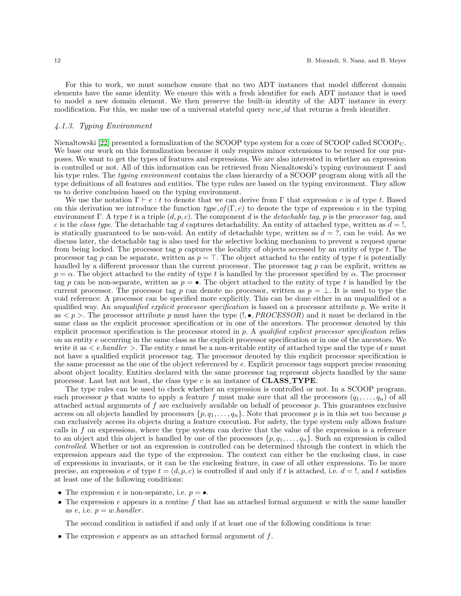For this to work, we must somehow ensure that no two ADT instances that model different domain elements have the same identity. We ensure this with a fresh identifier for each ADT instance that is used to model a new domain element. We then preserve the built-in identity of the ADT instance in every modification. For this, we make use of a universal stateful query new id that returns a fresh identifier.

#### <span id="page-11-0"></span>4.1.3. Typing Environment

Nienaltowski [\[22\]](#page-79-1) presented a formalization of the SCOOP type system for a core of SCOOP called SCOOP<sub>C</sub>. We base our work on this formalization because it only requires minor extensions to be reused for our purposes. We want to get the types of features and expressions. We are also interested in whether an expression is controlled or not. All of this information can be retrieved from Nienaltowski's typing environment Γ and his type rules. The *typing environment* contains the class hierarchy of a SCOOP program along with all the type definitions of all features and entities. The type rules are based on the typing environment. They allow us to derive conclusion based on the typing environment.

We use the notation  $\Gamma \vdash e : t$  to denote that we can derive from  $\Gamma$  that expression e is of type t. Based on this derivation we introduce the function  $type\_of(\Gamma, e)$  to denote the type of expression e in the typing environment Γ. A type t is a triple  $(d, p, c)$ . The component d is the detachable tag, p is the processor tag, and c is the class type. The detachable tag d captures detachability. An entity of attached type, written as  $d = !$ , is statically guaranteed to be non-void. An entity of detachable type, written as  $d = ?$ , can be void. As we discuss later, the detachable tag is also used for the selective locking mechanism to prevent a request queue from being locked. The processor tag p captures the locality of objects accessed by an entity of type  $t$ . The processor tag p can be separate, written as  $p = T$ . The object attached to the entity of type t is potentially handled by a different processor than the current processor. The processor tag  $p$  can be explicit, written as  $p = \alpha$ . The object attached to the entity of type t is handled by the processor specified by  $\alpha$ . The processor tag p can be non-separate, written as  $p = \bullet$ . The object attached to the entity of type t is handled by the current processor. The processor tag p can denote no processor, written as  $p = \perp$ . It is used to type the void reference. A processor can be specified more explicitly. This can be done either in an unqualified or a qualified way. An unqualified explicit processor specification is based on a processor attribute p. We write it as  $\langle p \rangle$ . The processor attribute p must have the type  $(!, \bullet, PROCESSOR)$  and it must be declared in the same class as the explicit processor specification or in one of the ancestors. The processor denoted by this explicit processor specification is the processor stored in  $p$ . A qualified explicit processor specification relies on an entity e occurring in the same class as the explicit processor specification or in one of the ancestors. We write it as  $\lt e$ .handler  $\gt$ . The entity e must be a non-writable entity of attached type and the type of e must not have a qualified explicit processor tag. The processor denoted by this explicit processor specification is the same processor as the one of the object referenced by e. Explicit processor tags support precise reasoning about object locality. Entities declared with the same processor tag represent objects handled by the same processor. Last but not least, the class type  $c$  is an instance of **CLASS\_TYPE**.

The type rules can be used to check whether an expression is controlled or not. In a SCOOP program, each processor p that wants to apply a feature f must make sure that all the processors  $(q_1, \ldots, q_n)$  of all attached actual arguments of  $f$  are exclusively available on behalf of processor  $p$ . This guarantees exclusive access on all objects handled by processors  $\{p, q_1, \ldots, q_n\}$ . Note that processor p is in this set too because p can exclusively access its objects during a feature execution. For safety, the type system only allows feature calls in  $f$  on expressions, where the type system can derive that the value of the expression is a reference to an object and this object is handled by one of the processors  $\{p, q_1, \ldots, q_n\}$ . Such an expression is called controlled. Whether or not an expression is controlled can be determined through the context in which the expression appears and the type of the expression. The context can either be the enclosing class, in case of expressions in invariants, or it can be the enclosing feature, in case of all other expressions. To be more precise, an expression e of type  $t = (d, p, c)$  is controlled if and only if t is attached, i.e.  $d = !$ , and t satisfies at least one of the following conditions:

- The expression e is non-separate, i.e.  $p = \bullet$ .
- The expression e appears in a routine f that has an attached formal argument w with the same handler as e, i.e.  $p = w.handler$ .

The second condition is satisfied if and only if at least one of the following conditions is true:

• The expression  $e$  appears as an attached formal argument of  $f$ .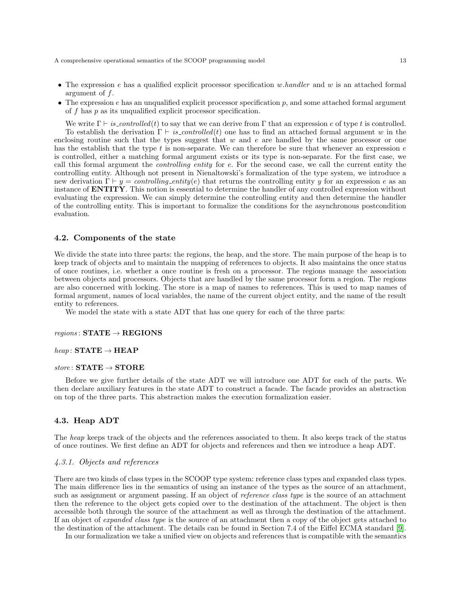- The expression  $e$  has a qualified explicit processor specification w.handler and w is an attached formal argument of f.
- The expression  $e$  has an unqualified explicit processor specification  $p$ , and some attached formal argument of f has  $p$  as its unqualified explicit processor specification.

We write  $\Gamma \vdash is_{\text{controlled}}(t)$  to say that we can derive from  $\Gamma$  that an expression e of type t is controlled. To establish the derivation  $\Gamma \vdash is_{controlled}(t)$  one has to find an attached formal argument w in the enclosing routine such that the types suggest that  $w$  and  $e$  are handled by the same processor or one has the establish that the type  $t$  is non-separate. We can therefore be sure that whenever an expression  $e$ is controlled, either a matching formal argument exists or its type is non-separate. For the first case, we call this formal argument the controlling entity for e. For the second case, we call the current entity the controlling entity. Although not present in Nienaltowski's formalization of the type system, we introduce a new derivation  $\Gamma \vdash y = controlling\_entity(e)$  that returns the controlling entity y for an expression e as an instance of ENTITY. This notion is essential to determine the handler of any controlled expression without evaluating the expression. We can simply determine the controlling entity and then determine the handler of the controlling entity. This is important to formalize the conditions for the asynchronous postcondition evaluation.

## 4.2. Components of the state

We divide the state into three parts: the regions, the heap, and the store. The main purpose of the heap is to keep track of objects and to maintain the mapping of references to objects. It also maintains the once status of once routines, i.e. whether a once routine is fresh on a processor. The regions manage the association between objects and processors. Objects that are handled by the same processor form a region. The regions are also concerned with locking. The store is a map of names to references. This is used to map names of formal argument, names of local variables, the name of the current object entity, and the name of the result entity to references.

We model the state with a state ADT that has one query for each of the three parts:

#### $regions: STATE \rightarrow REGIONS$

#### $heap: STATE \rightarrow HEAD$

#### $store: \textbf{STATE} \rightarrow \textbf{STOP}$

Before we give further details of the state ADT we will introduce one ADT for each of the parts. We then declare auxiliary features in the state ADT to construct a facade. The facade provides an abstraction on top of the three parts. This abstraction makes the execution formalization easier.

## 4.3. Heap ADT

The heap keeps track of the objects and the references associated to them. It also keeps track of the status of once routines. We first define an ADT for objects and references and then we introduce a heap ADT.

#### 4.3.1. Objects and references

There are two kinds of class types in the SCOOP type system: reference class types and expanded class types. The main difference lies in the semantics of using an instance of the types as the source of an attachment, such as assignment or argument passing. If an object of *reference class type* is the source of an attachment then the reference to the object gets copied over to the destination of the attachment. The object is then accessible both through the source of the attachment as well as through the destination of the attachment. If an object of expanded class type is the source of an attachment then a copy of the object gets attached to the destination of the attachment. The details can be found in Section 7.4 of the Eiffel ECMA standard [\[9\]](#page-79-23).

In our formalization we take a unified view on objects and references that is compatible with the semantics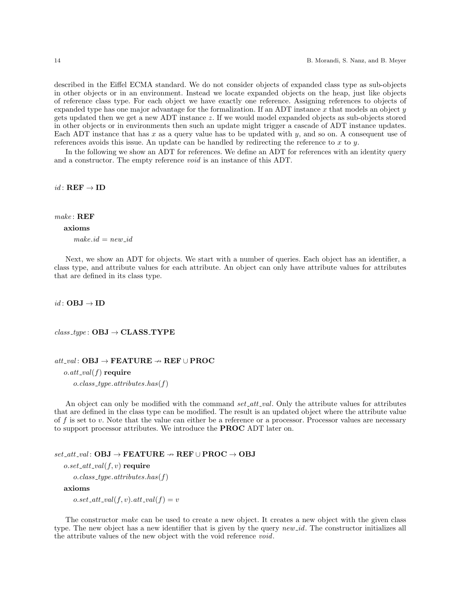described in the Eiffel ECMA standard. We do not consider objects of expanded class type as sub-objects in other objects or in an environment. Instead we locate expanded objects on the heap, just like objects of reference class type. For each object we have exactly one reference. Assigning references to objects of expanded type has one major advantage for the formalization. If an ADT instance  $x$  that models an object  $y$ gets updated then we get a new ADT instance z. If we would model expanded objects as sub-objects stored in other objects or in environments then such an update might trigger a cascade of ADT instance updates. Each ADT instance that has  $x$  as a query value has to be updated with  $y$ , and so on. A consequent use of references avoids this issue. An update can be handled by redirecting the reference to x to  $y$ .

In the following we show an ADT for references. We define an ADT for references with an identity query and a constructor. The empty reference void is an instance of this ADT.

 $id:$  REF  $\rightarrow$  ID

#### $make:$ **REF**

## axioms

 $make.id = new_id$ 

Next, we show an ADT for objects. We start with a number of queries. Each object has an identifier, a class type, and attribute values for each attribute. An object can only have attribute values for attributes that are defined in its class type.

 $id: \mathbf{OBJ} \to \mathbf{ID}$ 

 $class\_type:$  OBJ  $\rightarrow$  CLASS\_TYPE

#### $att\_val$ : OBJ  $\rightarrow$  FEATURE  $\nrightarrow$  REF ∪ PROC

 $o.$ att\_val(f) require

 $o.class\_type. attributes. has(f)$ 

An object can only be modified with the command set att val. Only the attribute values for attributes that are defined in the class type can be modified. The result is an updated object where the attribute value of f is set to v. Note that the value can either be a reference or a processor. Processor values are necessary to support processor attributes. We introduce the PROC ADT later on.

 $set\_att\_val \colon \mathbf{OBJ} \to \mathbf{FEATURE} \to \mathbf{REF} \cup \mathbf{PROC} \to \mathbf{OBJ}$ 

 $o.set\_att\_val(f, v)$  require

 $o.class\_type. attributes. has(f)$ 

## axioms

 $o.set\_att\_val(f, v).att\_val(f) = v$ 

The constructor make can be used to create a new object. It creates a new object with the given class type. The new object has a new identifier that is given by the query  $new_id$ . The constructor initializes all the attribute values of the new object with the void reference void.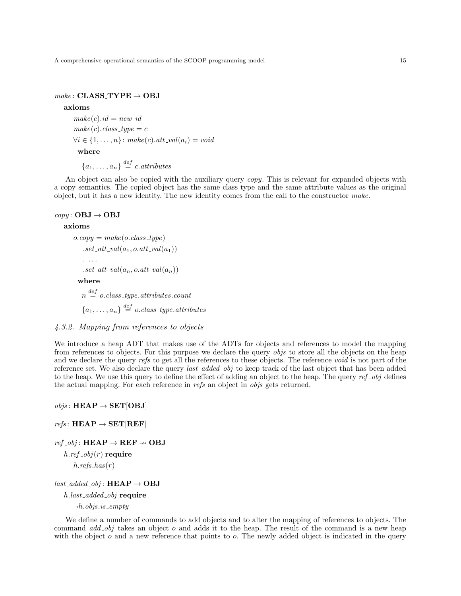# $make: **CLASS**.**TYPE**  $\rightarrow$  **OBJ**$

#### axioms

 $make(c).id = new_id$  $make(c).class\_type = c$  $\forall i \in \{1, \ldots, n\}$ : make(c).att\_val(a<sub>i</sub>) = void where  ${a_1, \ldots, a_n} \stackrel{def}{=} c \cdot attributes$ 

An object can also be copied with the auxiliary query copy. This is relevant for expanded objects with a copy semantics. The copied object has the same class type and the same attribute values as the original object, but it has a new identity. The new identity comes from the call to the constructor make.

#### $copy:$  OBJ  $\rightarrow$  OBJ

#### axioms

```
o.copy = make(o.class_type).set\_att\_val(a_1, o.att\_val(a_1)). . . .
    .set\_att\_val(a_n, o.att\_val(a_n))where
   n \stackrel{def}{=} o.class\_type. attributes. count{a_1, \ldots, a_n} \stackrel{def}{=} o.class\_type. attributes
```
4.3.2. Mapping from references to objects

We introduce a heap ADT that makes use of the ADTs for objects and references to model the mapping from references to objects. For this purpose we declare the query *objs* to store all the objects on the heap and we declare the query refs to get all the references to these objects. The reference void is not part of the reference set. We also declare the query last\_added\_obj to keep track of the last object that has been added to the heap. We use this query to define the effect of adding an object to the heap. The query ref-obj defines the actual mapping. For each reference in refs an object in *objs* gets returned.

 $\textit{objs}: \mathbf{HEAD} \rightarrow \mathbf{SET[OBJ]}$ 

 $refs: HERP \rightarrow SET [REF]$ 

 $ref\_obj$ :  $HEAD \rightarrow REF \rightarrow OBJ$ 

 $h.ref\_obj(r)$  require

 $h.$ refs.has $(r)$ 

 $last\_added\_obj : \mathbf{HEAD} \rightarrow \mathbf{OBJ}$ 

h.last\_added\_obj require

 $\neg h. \textit{objs}. \textit{is} \textit{.empty}$ 

We define a number of commands to add objects and to alter the mapping of references to objects. The command  $add_o\dot{\theta}$  takes an object  $o$  and adds it to the heap. The result of the command is a new heap with the object  $o$  and a new reference that points to  $o$ . The newly added object is indicated in the query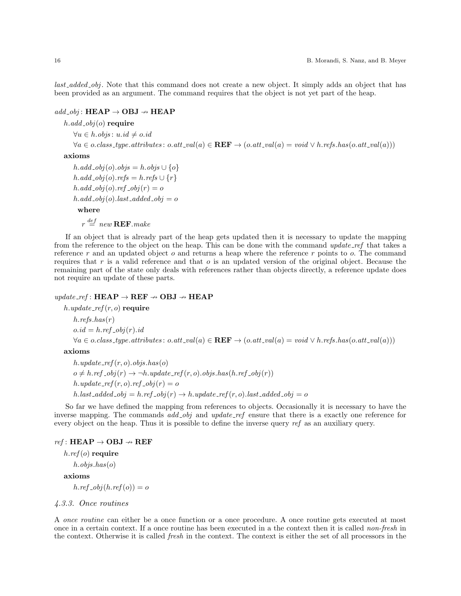last added obj. Note that this command does not create a new object. It simply adds an object that has been provided as an argument. The command requires that the object is not yet part of the heap.

## $add\_obj$ :  $HEAD \rightarrow OBJ \rightarrow HEAD$

 $h.add\_obj(o)$  require

 $\forall u \in h. \textit{objs} : u.id \neq o.id$  $\forall a \in o.class_type.attributes : o.att_val(a) \in REF \rightarrow (o.att_val(a) = void \vee h.refs.has(o.att_val(a)))$ 

axioms

h.add\_obj(o).objs = h.objs  $\cup \{o\}$ h.add\_obj(o).refs = h.refs  $\cup \{r\}$  $h.add\_obj(o).ref\_obj(r) = o$  $h.add\_obj(o).last\_added\_obj = o$ where  $r\stackrel{def}{=} \mathit{new}\ \mathbf{REF}.\mathit{make}$ 

If an object that is already part of the heap gets updated then it is necessary to update the mapping from the reference to the object on the heap. This can be done with the command update ref that takes a reference r and an updated object  $o$  and returns a heap where the reference r points to  $o$ . The command requires that r is a valid reference and that  $o$  is an updated version of the original object. Because the remaining part of the state only deals with references rather than objects directly, a reference update does not require an update of these parts.

# $update\_ref : \mathbf{HEAD} \rightarrow \mathbf{REF} \nrightarrow \mathbf{OBJ} \nrightarrow \mathbf{HEAD}$

h.update\_ref $(r, o)$  require  $h.$ refs.has $(r)$  $o.id = h.ref\_obj(r).id$  $\forall a \in o.class\_type. attributes: o.att\_val(a) \in \textbf{REF} \rightarrow (o.att\_val(a) = void \vee h.refs. has(o.att\_val(a)))$ 

axioms

 $h.update\_ref(r, o).obs. has(o)$  $o \neq h.ref\_obj(r) \rightarrow \neg h.update\_ref(r, o).obs.has(h.ref\_obj(r))$ h.update\_ref $(r, o)$ .ref\_obj $(r) = o$ h.last\_added\_obj = h.ref\_obj(r)  $\rightarrow$  h.update\_ref(r, o).last\_added\_obj = o

So far we have defined the mapping from references to objects. Occasionally it is necessary to have the inverse mapping. The commands  $add_o\psi$  and  $update\text{-}ref$  ensure that there is a exactly one reference for every object on the heap. Thus it is possible to define the inverse query  $ref$  as an auxiliary query.

## $ref: \mathbf{HEAD} \rightarrow \mathbf{OBJ} \nrightarrow \mathbf{REF}$

 $h.ref(o)$  require

 $h. \textit{objs}. \textit{has}(o)$ 

axioms

 $h.ref\_obj(h.ref(o)) = o$ 

4.3.3. Once routines

A once routine can either be a once function or a once procedure. A once routine gets executed at most once in a certain context. If a once routine has been executed in a the context then it is called non-fresh in the context. Otherwise it is called fresh in the context. The context is either the set of all processors in the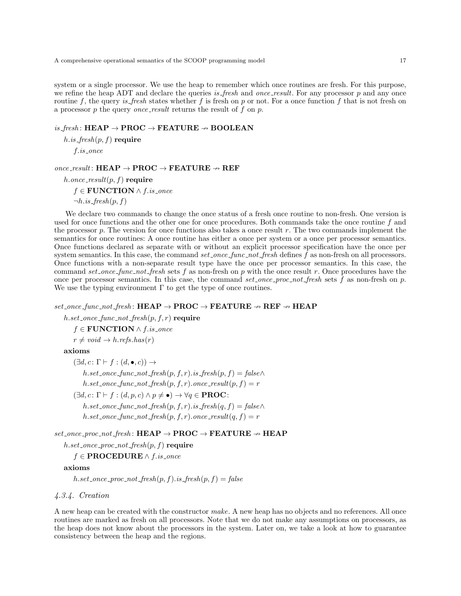system or a single processor. We use the heap to remember which once routines are fresh. For this purpose, we refine the heap ADT and declare the queries is fresh and once result. For any processor  $p$  and any once routine f, the query is fresh states whether f is fresh on p or not. For a once function f that is not fresh on a processor p the query *once result* returns the result of f on p.

## $is\_fresh$ : HEAP  $\rightarrow$  PROC  $\rightarrow$  FEATURE  $\rightarrow$  BOOLEAN

 $h.is\_fresh(p, f)$  require

 $f.is\_once$ 

 $once\_result \colon \text{HEAD} \rightarrow \text{PROC} \rightarrow \text{FEATURE} \rightarrow \text{REF}$ 

h.once\_result(p, f) require

 $f \in \textbf{FUNCTION} \wedge f.is\_once$ 

 $\neg h.is\_fresh(p, f)$ 

We declare two commands to change the once status of a fresh once routine to non-fresh. One version is used for once functions and the other one for once procedures. Both commands take the once routine f and the processor p. The version for once functions also takes a once result r. The two commands implement the semantics for once routines: A once routine has either a once per system or a once per processor semantics. Once functions declared as separate with or without an explicit processor specification have the once per system semantics. In this case, the command set once func not fresh defines f as non-fresh on all processors. Once functions with a non-separate result type have the once per processor semantics. In this case, the command set once func not fresh sets f as non-fresh on p with the once result r. Once procedures have the once per processor semantics. In this case, the command set once proc not fresh sets f as non-fresh on p. We use the typing environment  $\Gamma$  to get the type of once routines.

# $set\_once\_func\_not\_fresh$ :  $HEAD \rightarrow PROC \rightarrow FEATURE \nrightarrow REF \nrightarrow HEAP$

h.set\_once\_func\_not\_fresh $(p, f, r)$  require

 $f \in \textbf{FUNCTION} \land f.is\_once$  $r \neq void \rightarrow h. \text{refs}. \text{has}(r)$ 

#### axioms

 $(\exists d, c : \Gamma \vdash f : (d, \bullet, c)) \rightarrow$ 

h.set\_once\_func\_not\_fresh $(p, f, r)$ .is\_fresh $(p, f) = false \wedge$ h.set\_once\_func\_not\_fresh $(p, f, r)$ .once\_result $(p, f) = r$ 

 $(\exists d, c : \Gamma \vdash f : (d, p, c) \land p \neq \bullet) \rightarrow \forall q \in \textbf{PROC}:$ 

h.set\_once\_func\_not\_fresh $(p, f, r)$ .is\_fresh $(q, f) = false \wedge$ h.set\_once\_func\_not\_fresh $(p, f, r)$ .once\_result $(q, f) = r$ 

 $set\_once\_proc\_not\_fresh$ :  $HEAD \rightarrow PROC \rightarrow FEATURE \rightarrow HEAD$ 

 $h.set\_once\_proc\_not\_fresh(p, f)$  require

 $f \in \textbf{PROCEDURE} \wedge f.is\_once$ 

## axioms

h.set\_once\_proc\_not\_fresh $(p, f)$ .is\_fresh $(p, f)$  = false

4.3.4. Creation

A new heap can be created with the constructor make. A new heap has no objects and no references. All once routines are marked as fresh on all processors. Note that we do not make any assumptions on processors, as the heap does not know about the processors in the system. Later on, we take a look at how to guarantee consistency between the heap and the regions.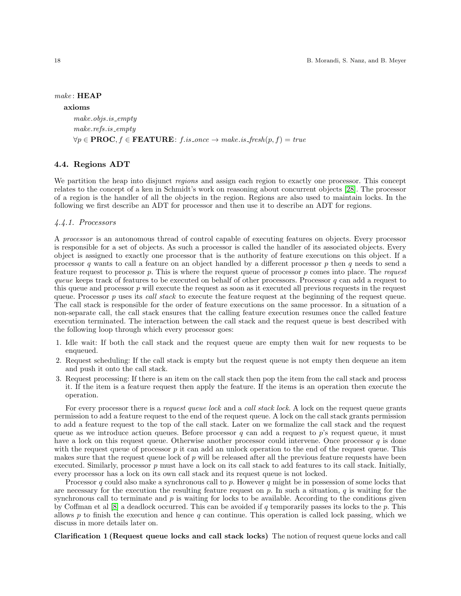## $make$ : HEAP

axioms

make.objs.is empty  $make. *refs.is-empty*$  $\forall p \in \textbf{PROC}, f \in \textbf{FEATURE}: f.is\_once \rightarrow make.is\_fresh(p, f) = true$ 

## 4.4. Regions ADT

We partition the heap into disjunct *regions* and assign each region to exactly one processor. This concept relates to the concept of a ken in Schmidt's work on reasoning about concurrent objects [\[28\]](#page-79-26). The processor of a region is the handler of all the objects in the region. Regions are also used to maintain locks. In the following we first describe an ADT for processor and then use it to describe an ADT for regions.

## 4.4.1. Processors

A processor is an autonomous thread of control capable of executing features on objects. Every processor is responsible for a set of objects. As such a processor is called the handler of its associated objects. Every object is assigned to exactly one processor that is the authority of feature executions on this object. If a processor q wants to call a feature on an object handled by a different processor  $p$  then  $q$  needs to send a feature request to processor p. This is where the request queue of processor p comes into place. The request queue keeps track of features to be executed on behalf of other processors. Processor  $q$  can add a request to this queue and processor p will execute the request as soon as it executed all previous requests in the request queue. Processor p uses its call stack to execute the feature request at the beginning of the request queue. The call stack is responsible for the order of feature executions on the same processor. In a situation of a non-separate call, the call stack ensures that the calling feature execution resumes once the called feature execution terminated. The interaction between the call stack and the request queue is best described with the following loop through which every processor goes:

- 1. Idle wait: If both the call stack and the request queue are empty then wait for new requests to be enqueued.
- 2. Request scheduling: If the call stack is empty but the request queue is not empty then dequeue an item and push it onto the call stack.
- 3. Request processing: If there is an item on the call stack then pop the item from the call stack and process it. If the item is a feature request then apply the feature. If the items is an operation then execute the operation.

For every processor there is a *request queue lock* and a *call stack lock*. A lock on the request queue grants permission to add a feature request to the end of the request queue. A lock on the call stack grants permission to add a feature request to the top of the call stack. Later on we formalize the call stack and the request queue as we introduce action queues. Before processor  $q$  can add a request to p's request queue, it must have a lock on this request queue. Otherwise another processor could intervene. Once processor  $q$  is done with the request queue of processor  $p$  it can add an unlock operation to the end of the request queue. This makes sure that the request queue lock of p will be released after all the previous feature requests have been executed. Similarly, processor  $p$  must have a lock on its call stack to add features to its call stack. Initially, every processor has a lock on its own call stack and its request queue is not locked.

Processor q could also make a synchronous call to p. However q might be in possession of some locks that are necessary for the execution the resulting feature request on p. In such a situation,  $q$  is waiting for the synchronous call to terminate and  $p$  is waiting for locks to be available. According to the conditions given by Coffman et al  $[8]$  a deadlock occurred. This can be avoided if q temporarily passes its locks to the p. This allows p to finish the execution and hence q can continue. This operation is called lock passing, which we discuss in more details later on.

Clarification 1 (Request queue locks and call stack locks) The notion of request queue locks and call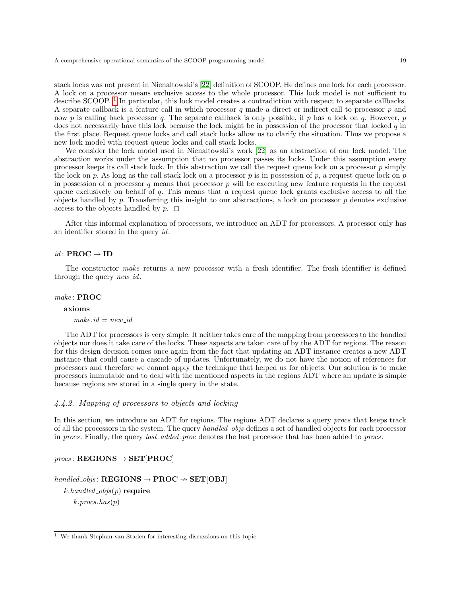stack locks was not present in Nienaltowski's [\[22\]](#page-79-1) definition of SCOOP. He defines one lock for each processor. A lock on a processor means exclusive access to the whole processor. This lock model is not sufficient to describe SCOOP.<sup>[1](#page-18-0)</sup> In particular, this lock model creates a contradiction with respect to separate callbacks. A separate callback is a feature call in which processor  $q$  made a direct or indirect call to processor  $p$  and now  $p$  is calling back processor  $q$ . The separate callback is only possible, if  $p$  has a lock on  $q$ . However,  $p$ does not necessarily have this lock because the lock might be in possession of the processor that locked  $q$  in the first place. Request queue locks and call stack locks allow us to clarify the situation. Thus we propose a new lock model with request queue locks and call stack locks.

We consider the lock model used in Nienaltowski's work [\[22\]](#page-79-1) as an abstraction of our lock model. The abstraction works under the assumption that no processor passes its locks. Under this assumption every processor keeps its call stack lock. In this abstraction we call the request queue lock on a processor p simply the lock on p. As long as the call stack lock on a processor  $p$  is in possession of  $p$ , a request queue lock on  $p$ in possession of a processor  $q$  means that processor  $p$  will be executing new feature requests in the request queue exclusively on behalf of q. This means that a request queue lock grants exclusive access to all the objects handled by p. Transferring this insight to our abstractions, a lock on processor  $p$  denotes exclusive access to the objects handled by  $p$ .  $\Box$ 

After this informal explanation of processors, we introduce an ADT for processors. A processor only has an identifier stored in the query id.

#### $id \colon \textbf{PROC} \to \textbf{ID}$

The constructor *make* returns a new processor with a fresh identifier. The fresh identifier is defined through the query  $new_id$ .

#### make : PROC

#### axioms

 $make.id = new_id$ 

The ADT for processors is very simple. It neither takes care of the mapping from processors to the handled objects nor does it take care of the locks. These aspects are taken care of by the ADT for regions. The reason for this design decision comes once again from the fact that updating an ADT instance creates a new ADT instance that could cause a cascade of updates. Unfortunately, we do not have the notion of references for processors and therefore we cannot apply the technique that helped us for objects. Our solution is to make processors immutable and to deal with the mentioned aspects in the regions ADT where an update is simple because regions are stored in a single query in the state.

## 4.4.2. Mapping of processors to objects and locking

In this section, we introduce an ADT for regions. The regions ADT declares a query *procs* that keeps track of all the processors in the system. The query handled objs defines a set of handled objects for each processor in procs. Finally, the query *last\_added\_proc* denotes the last processor that has been added to procs.

## $\textit{procs} : \textbf{REGIONS} \rightarrow \textbf{SET}[\textbf{PROC}]$

```
\mathit{handled\_objs}: \mathbf{REGIONS} \rightarrow \mathbf{PROC} \rightarrow \mathbf{SET[OBJ]}
```
 $k.h and led\_objs(p)$  require  $k. process.$ has(p)

<span id="page-18-0"></span> $\overline{1}$  We thank Stephan van Staden for interesting discussions on this topic.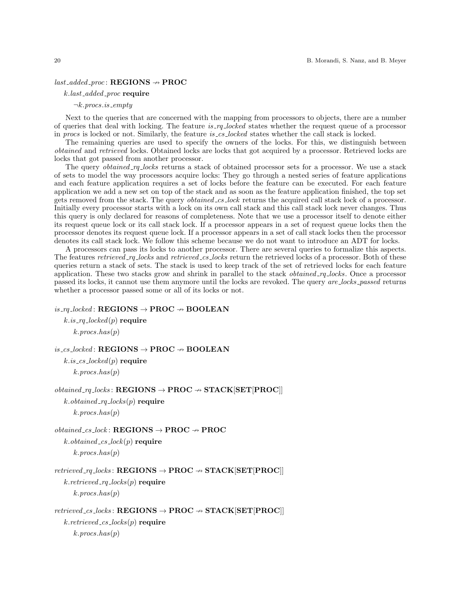## $last\_added\_proc: REGIONS \rightarrow \textbf{PROC}$

## k.last added proc require

#### $\neg k. process.is\_empty$

Next to the queries that are concerned with the mapping from processors to objects, there are a number of queries that deal with locking. The feature is rq locked states whether the request queue of a processor in procs is locked or not. Similarly, the feature is cs locked states whether the call stack is locked.

The remaining queries are used to specify the owners of the locks. For this, we distinguish between obtained and retrieved locks. Obtained locks are locks that got acquired by a processor. Retrieved locks are locks that got passed from another processor.

The query *obtained rq locks* returns a stack of obtained processor sets for a processor. We use a stack of sets to model the way processors acquire locks: They go through a nested series of feature applications and each feature application requires a set of locks before the feature can be executed. For each feature application we add a new set on top of the stack and as soon as the feature application finished, the top set gets removed from the stack. The query obtained cs lock returns the acquired call stack lock of a processor. Initially every processor starts with a lock on its own call stack and this call stack lock never changes. Thus this query is only declared for reasons of completeness. Note that we use a processor itself to denote either its request queue lock or its call stack lock. If a processor appears in a set of request queue locks then the processor denotes its request queue lock. If a processor appears in a set of call stack locks then the processor denotes its call stack lock. We follow this scheme because we do not want to introduce an ADT for locks.

A processors can pass its locks to another processor. There are several queries to formalize this aspects. The features retrieved rq locks and retrieved cs locks return the retrieved locks of a processor. Both of these queries return a stack of sets. The stack is used to keep track of the set of retrieved locks for each feature application. These two stacks grow and shrink in parallel to the stack obtained rq locks. Once a processor passed its locks, it cannot use them anymore until the locks are revoked. The query are locks passed returns whether a processor passed some or all of its locks or not.

# $is\_rq\_locked \colon \mathbf{REGIONS} \to \mathbf{PROC} \not\rightarrow \mathbf{BOOLEAN}$

 $k.is\_rq\_locked(p)$  require  $k. process.$ has(p)

## $is\_cs\_locked$ : REGIONS  $\rightarrow$  PROC  $\nrightarrow$  BOOLEAN

 $k.is\_cs\_locked(p)$  require  $k. process.$ has(p)

# $obtained\_rq\_locks$ :  $REGIONS \rightarrow PROC \nrightarrow STACK[SET|PROC]|$

 $k. obtained\_rq\_locks(p)$  require  $k. process.$ has(p)

# $\textit{obtained\_cs\_lock}:\textbf{REGIONS}\rightarrow\textbf{PROC}\nrightarrow\textbf{PROC}$

k.obtained\_cs\_lock(p) require  $k. process.$ has(p)

# $retrieved\_rq\_locks: REGIONS \rightarrow PROC \nrightarrow STACK[SET[PROC]]$  $k. retrieved\_rq\_locks(p)$  require  $k. *procs. has*(*p*)$

 $retrieved\_cs\_locks$ :  $REGIONS \rightarrow PROC \nrightarrow STACK[SET|PROC]|$  $k. retrieved\_cs\_locks(p)$  require  $k. *procs. has*(*p*)$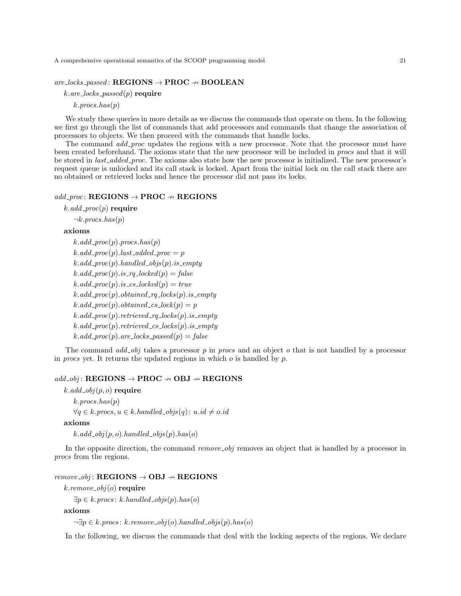# $are\_locks\_passed$ : REGIONS  $\rightarrow$  PROC  $\nrightarrow$  BOOLEAN

 $k. are \textit{-locks} \textit{-} passed(p)$  require

 $k. process.$ has(p)

We study these queries in more details as we discuss the commands that operate on them. In the following we first go through the list of commands that add processors and commands that change the association of processors to objects. We then proceed with the commands that handle locks.

The command *add\_proc* updates the regions with a new processor. Note that the processor must have been created beforehand. The axioms state that the new processor will be included in procs and that it will be stored in last added proc. The axioms also state how the new processor is initialized. The new processor's request queue is unlocked and its call stack is locked. Apart from the initial lock on the call stack there are no obtained or retrieved locks and hence the processor did not pass its locks.

#### $add\_proc: REGIONS \rightarrow PROC \nrightarrow REGIONS$

```
k.add\_proc(p) require
```

```
\neg k. process.has(p)
```
# axioms

 $k.add\_proc(p).procs.has(p)$  $k.add\_proc(p).last\_added\_proc = p$  $k.add\_proc(p).handled\_objs(p).is\_empty$  $k.add\_proc(p).is\_rq\_locked(p) = false$  $k.add\_proc(p).is\_cs\_locked(p) = true$  $k.add\_proc(p).obtained\_rq\_locks(p).is\_empty$  $k.add\_proc(p).obtained\_cs\_lock(p) = p$  $k.add\_proc(p).retrieved\_rq\_locks(p).is\_empty$  $k.add\_proc(p).retrieved\_cs\_locks(p).is\_empty$  $k.add\_proc(p).are\_locks\_passed(p) = false$ 

The command  $add_oobj$  takes a processor p in procs and an object o that is not handled by a processor in *procs* yet. It returns the updated regions in which  $o$  is handled by  $p$ .

# $add\_obj$ : REGIONS  $\rightarrow$  PROC  $\nrightarrow$  OBJ  $\nrightarrow$  REGIONS

```
k.add\_obj(p, o) require
   k. process.has(p)
   \forall q \in k. pros, u \in k. handled\_objs(q): u.id \neq o.id
```
## axioms

 $k.add\_obj(p, o).handled\_objs(p).has(o)$ 

In the opposite direction, the command remove<sub>-obj</sub> removes an object that is handled by a processor in procs from the regions.

## $remove\_obj$ : REGIONS  $\rightarrow$  OBJ  $\nrightarrow$  REGIONS

```
k.remove_obj(o) require
```
 $\exists p \in k. pros: k. handled\_objs(p).has(o)$ 

#### axioms

 $\neg \exists p \in k. pros: k. remove\_obj(o). handled\_obj(s).has(o)$ 

In the following, we discuss the commands that deal with the locking aspects of the regions. We declare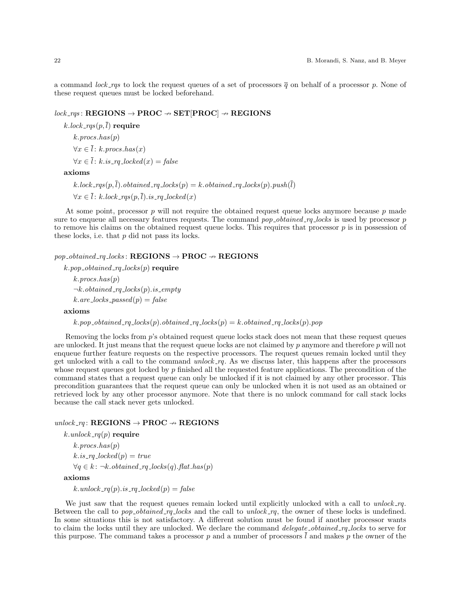a command lock ras to lock the request queues of a set of processors  $\bar{q}$  on behalf of a processor p. None of these request queues must be locked beforehand.

## $lock\_rqs$ : REGIONS  $\rightarrow$  PROC  $\rightarrow$  SET[PROC]  $\rightarrow$  REGIONS

 $k. lock_{\textit{rqs}}(p, l)$  require  $k. process.$ has(p)

 $\forall x \in \overline{l}: k. process has(x)$ 

 $\forall x \in \overline{l}$ : k.is\_rq\_locked $(x)$  = false

axioms

k.lock\_rqs(p, $\overline{l}$ ).obtained\_rq\_locks(p) = k.obtained\_rq\_locks(p).push( $\overline{l}$ )  $\forall x \in \overline{l}: k. lock\_ras(n, \overline{l}). is\_ra\_locked(x)$ 

At some point, processor  $p$  will not require the obtained request queue locks anymore because  $p$  made sure to enqueue all necessary features requests. The command  $pop\_obtained\_rq\_locks$  is used by processor  $p$ to remove his claims on the obtained request queue locks. This requires that processor  $p$  is in possession of these locks, i.e. that  $p$  did not pass its locks.

## $pop\_obtained\_rq\_locks$ : REGIONS  $\rightarrow$  PROC  $\rightarrow$  REGIONS

 $k.pop\_obtained\_rq\_locks(p)$  require

 $k. *procs.has*(p)$  $\neg k. obtained_\textit{Tq-locks}(p).is_\textit{empty}$  $k. are \textit{-locks} \textit{-} passed(p) = \textit{false}$ 

#### axioms

k.pop\_obtained\_rq\_locks(p).obtained\_rq\_locks(p) = k.obtained\_rq\_locks(p).pop

Removing the locks from p's obtained request queue locks stack does not mean that these request queues are unlocked. It just means that the request queue locks are not claimed by  $p$  anymore and therefore  $p$  will not enqueue further feature requests on the respective processors. The request queues remain locked until they get unlocked with a call to the command  $unlock\_rq$ . As we discuss later, this happens after the processors whose request queues got locked by  $p$  finished all the requested feature applications. The precondition of the command states that a request queue can only be unlocked if it is not claimed by any other processor. This precondition guarantees that the request queue can only be unlocked when it is not used as an obtained or retrieved lock by any other processor anymore. Note that there is no unlock command for call stack locks because the call stack never gets unlocked.

## $\text{unlock\_rq}: \text{REGIONS} \rightarrow \text{PROC} \nrightarrow \text{REGIONS}$

 $k.$ *unlock\_rq*(p) require

 $k. process.$ has(p)  $k.is\_rq\_locked(p) = true$  $\forall q \in k : \neg k \text{. obtained\_rq\_locks}(q) \text{. flat.} has(p)$ 

# axioms

k.unlock\_rq(p).is\_rq\_locked(p) = false

We just saw that the request queues remain locked until explicitly unlocked with a call to unlock-rq. Between the call to *pop obtained rq locks* and the call to *unlock rq*, the owner of these locks is undefined. In some situations this is not satisfactory. A different solution must be found if another processor wants to claim the locks until they are unlocked. We declare the command *delegate\_obtained\_rq\_locks* to serve for this purpose. The command takes a processor p and a number of processors  $\overline{l}$  and makes p the owner of the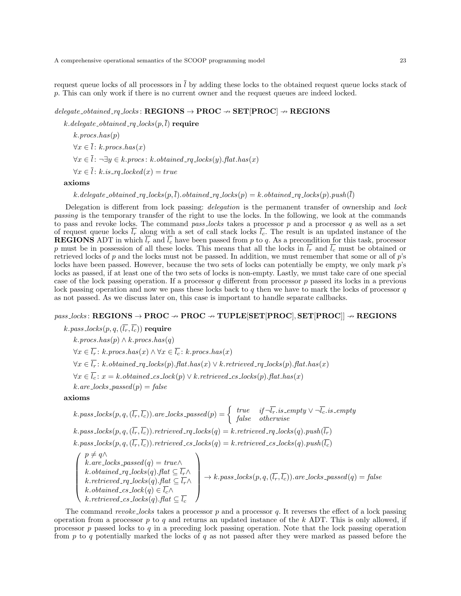request queue locks of all processors in  $\overline{l}$  by adding these locks to the obtained request queue locks stack of p. This can only work if there is no current owner and the request queues are indeed locked.

# $\text{delegate\_obtained\_rq\_locks}: \text{REGIONS} \rightarrow \text{PROC} \rightarrow \text{SET}[\text{PROC}] \rightarrow \text{REGIONS}$

k.delegate\_obtained\_rq\_locks(p, $\overline{l}$ ) require

 $k. process.$ has(p)  $\forall x \in \overline{l}: k. process.has(x)$  $\forall x \in \overline{l} : \neg \exists y \in k. \text{process}: k. \text{obtained\_rq\_locks}(y). \text{flat}. \text{has}(x)$  $\forall x \in \overline{l}: k.is\_rq\_locked(x) = true$ 

axioms

k.delegate\_obtained\_rq\_locks(p, $\overline{l}$ ).obtained\_rq\_locks(p) = k.obtained\_rq\_locks(p).push( $\overline{l}$ )

Delegation is different from lock passing: *delegation* is the permanent transfer of ownership and lock passing is the temporary transfer of the right to use the locks. In the following, we look at the commands to pass and revoke locks. The command pass locks takes a processor  $p$  and a processor  $q$  as well as a set of request queue locks  $\overline{l_r}$  along with a set of call stack locks  $\overline{l_c}$ . The result is an updated instance of the **REGIONS** ADT in which  $l_r$  and  $l_c$  have been passed from p to q. As a precondition for this task, processor p must be in possession of all these locks. This means that all the locks in  $\overline{l_r}$  and  $\overline{l_c}$  must be obtained or retrieved locks of  $p$  and the locks must not be passed. In addition, we must remember that some or all of  $p$ 's locks have been passed. However, because the two sets of locks can potentially be empty, we only mark  $p$ 's locks as passed, if at least one of the two sets of locks is non-empty. Lastly, we must take care of one special case of the lock passing operation. If a processor q different from processor  $p$  passed its locks in a previous lock passing operation and now we pass these locks back to q then we have to mark the locks of processor q as not passed. As we discuss later on, this case is important to handle separate callbacks.

## $pass\_locks \colon \textbf{REGIONS} \to \textbf{PROC} \nrightarrow \textbf{PROC} \nrightarrow \textbf{TUPLE}[\textbf{SET}[\textbf{PROC}], \textbf{SET}[\textbf{PROC}]] \nrightarrow \textbf{REGIONS}$

k.pass\_locks(p, q,  $(\overline{l_r}, \overline{l_c})$ ) require

 $k. process.has(p) \wedge k. process.has(q)$  $\forall x \in \overline{l_r}$ : k.procs.has(x)  $\land \forall x \in \overline{l_c}$ : k.procs.has(x)  $\forall x \in \overline{l_r}: k. obtained\_rq\_locks(p). flat. has(x) \lor k. retrieved\_rq\_locks(p). flat. has(x)$  $\forall x \in \overline{l_c} : x = k \text{.} obtained \text{.} cs \text{.} lock(p) \lor k \text{.} retrieved \text{.} cs \text{.} locks(p) \text{.} flat \text{.} has(x)$  $k. are \textit{-locks} \textit{-} passed(p) = \textit{false}$ 

axioms

 $k.\text{pass\_locks}(p, q, (\overline{l_r}, \overline{l_c}))\text{.} are\_locks\text{-}passed(p) = \begin{cases} true & \text{if } \neg \overline{l_r} \text{.} is \text{-}empty \lor \neg \overline{l_c} \text{.} is \text{-}empty \end{cases}$ false otherwise k.pass\_locks(p, q,  $(\overline{l_r}, \overline{l_c})$ ).retrieved\_rq\_locks(q) = k.retrieved\_rq\_locks(q).push( $\overline{l_r}$ ) k.pass\_locks(p, q,  $(\overline{l_r}, \overline{l_c})$ ).retrieved\_cs\_locks(q) = k.retrieved\_cs\_locks(q).push( $\overline{l_c}$ )  $\sqrt{ }$  $\overline{\phantom{a}}$  $p \neq q \wedge$  $k. are\_locks\_passed(q) = true \wedge$ k.obtained\_rq\_locks $(q)$ .flat  $\subseteq$   $l_r \wedge$ k.retrieved\_rq\_locks $(q)$ .flat  $\subseteq$   $l_r \wedge$ k.obtained\_cs\_lock $(q) \in l_c \wedge$ k.retrieved\_cs\_locks(q).flat  $\subseteq \overline{l_c}$  $\setminus$  $\overline{\phantom{a}}$  $\rightarrow k.\textit{pass\_locks}(p, q, (l_r, l_c)).\textit{are\_locks\_passed}(q) = \textit{false}$ 

The command *revoke locks* takes a processor  $p$  and a processor  $q$ . It reverses the effect of a lock passing operation from a processor p to q and returns an updated instance of the k ADT. This is only allowed, if processor p passed locks to q in a preceding lock passing operation. Note that the lock passing operation from p to q potentially marked the locks of q as not passed after they were marked as passed before the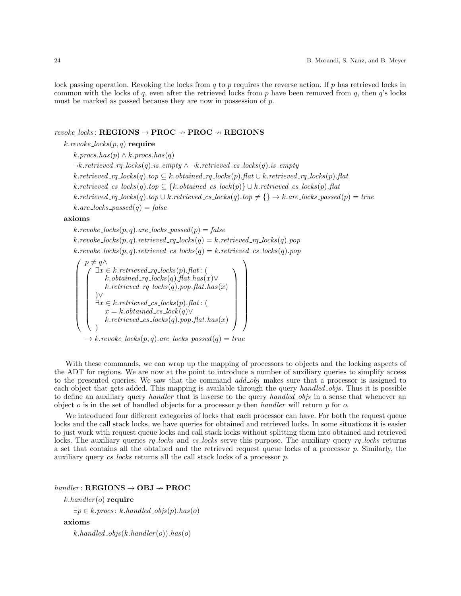lock passing operation. Revoking the locks from  $q$  to  $p$  requires the reverse action. If  $p$  has retrieved locks in common with the locks of q, even after the retrieved locks from p have been removed from q, then  $q$ 's locks must be marked as passed because they are now in possession of p.

# $revole\_locks$ : REGIONS  $\rightarrow$  PROC  $\rightarrow$  PROC  $\rightarrow$  REGIONS

 $k.revoke\_locks(p, q)$  require

 $k. process. has(p) \wedge k. process. has(q)$  $\neg k. retrieved\_rq\_locks(q).is\_empty \land \neg k. retrieved\_cs\_locks(q).is\_empty$ k.retrieved\_rq\_locks(q).top ⊆ k.obtained\_rq\_locks(p).flat ∪ k.retrieved\_rq\_locks(p).flat  $k. retrieved\_cs\_locks(q).top \subseteq {k.obtained\_cs\_lock(p)} ∪ k. retrieved\_cs\_locks(p).flat$ k.retrieved\_rq\_locks(q).top ∪ k.retrieved\_cs\_locks(q).top  $\neq \{\} \rightarrow k.$ are\_locks\_passed(p) = true  $k. are \textit{-locks}$  -  $passesed(q) = \textit{false}$ 

axioms

 $k.revoke\_locks(p, q).are\_locks\_passed(p) = false$ k.revoke\_locks(p, q).retrieved\_rq\_locks(q) = k.retrieved\_rq\_locks(q).pop k.revoke\_locks(p, q).retrieved\_cs\_locks(q) = k.retrieved\_cs\_locks(q).pop  $\sqrt{ }$  $\overline{\phantom{a}}$  $p \neq q \wedge$  $\overline{f}$   $\exists x \in k.$ retrieved\_rq\_locks $(p)$ .flat: (  $\overline{\phantom{a}}$  $k. obtained\_rq\_locks(q).flat.has(x) \lor$  $k. retrieved\_rq\_locks(q).pop-flat.has(x)$ )∨  $\exists x \in k.$ retrieved\_cs\_locks $(p).$ flat: (  $x = k.obtained_ccs\_lock(q) \vee$  $k. retrieved\_cs\_locks(q).pop-flat.has(x)$ )  $\setminus$  $\begin{array}{c} \hline \end{array}$  $\setminus$  $\overline{\phantom{a}}$  $\rightarrow k.revoke\_locks(p, q).are\_locks\_passed(q) = true$ 

With these commands, we can wrap up the mapping of processors to objects and the locking aspects of the ADT for regions. We are now at the point to introduce a number of auxiliary queries to simplify access to the presented queries. We saw that the command  $add\_obj$  makes sure that a processor is assigned to each object that gets added. This mapping is available through the query handled objs. Thus it is possible to define an auxiliary query *handler* that is inverse to the query *handled objs* in a sense that whenever an object  $o$  is in the set of handled objects for a processor  $p$  then *handler* will return  $p$  for  $o$ .

We introduced four different categories of locks that each processor can have. For both the request queue locks and the call stack locks, we have queries for obtained and retrieved locks. In some situations it is easier to just work with request queue locks and call stack locks without splitting them into obtained and retrieved locks. The auxiliary queries  $r\llap{/q\lrcorner}$  locks and cs locks serve this purpose. The auxiliary query  $r\llap{/q\lrcorner}$  locks returns a set that contains all the obtained and the retrieved request queue locks of a processor  $p$ . Similarly, the auxiliary query cs locks returns all the call stack locks of a processor p.

# $handler: REGIONS \rightarrow OBJ \rightarrow PROC$

```
k.handler(o) require
```
 $\exists p \in k. pros: k. handled\_objs(p).has(o)$ 

#### axioms

 $k.h and led\_objs(k.h andler(o)).has(o)$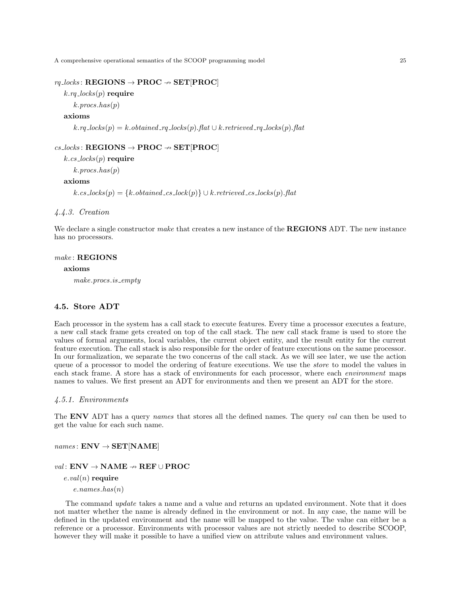## $rq\_locks$ : REGIONS  $\rightarrow$  PROC  $\rightarrow$  SET[PROC]

 $k.rq\_locks(p)$  require

 $k. process.$ has(p)

## axioms

 $k.rq\_locks(p) = k.obtained\_rq\_locks(p). flat \cup k.retried\_rq\_locks(p). flat$ 

# $cs\_{locks}$ : REGIONS  $\rightarrow$  PROC  $\rightarrow$  SET[PROC]

 $k.cs\_locks(p)$  require

 $k. process.$ has(p)

## axioms

 $k.cs\_locks(p) = {k.obtained_c.s\_lock(p)} \cup k.retrieved_c.s\_locks(p).flat$ 

## 4.4.3. Creation

We declare a single constructor make that creates a new instance of the **REGIONS** ADT. The new instance has no processors.

## $make \cdot \bf REGIONS$

#### axioms

make.procs.is empty

# 4.5. Store ADT

Each processor in the system has a call stack to execute features. Every time a processor executes a feature, a new call stack frame gets created on top of the call stack. The new call stack frame is used to store the values of formal arguments, local variables, the current object entity, and the result entity for the current feature execution. The call stack is also responsible for the order of feature executions on the same processor. In our formalization, we separate the two concerns of the call stack. As we will see later, we use the action queue of a processor to model the ordering of feature executions. We use the *store* to model the values in each stack frame. A store has a stack of environments for each processor, where each *environment* maps names to values. We first present an ADT for environments and then we present an ADT for the store.

## 4.5.1. Environments

The **ENV** ADT has a query names that stores all the defined names. The query val can then be used to get the value for each such name.

 $names:$   $\mathbf{ENV} \rightarrow \mathbf{SET}[\mathbf{NAME}]$ 

#### $val\colon \mathbf{ENV} \to \mathbf{NAME} \nrightarrow \mathbf{REF} \cup \mathbf{PROC}$

## $e.val(n)$  require

 $e. names. has(n)$ 

The command *update* takes a name and a value and returns an updated environment. Note that it does not matter whether the name is already defined in the environment or not. In any case, the name will be defined in the updated environment and the name will be mapped to the value. The value can either be a reference or a processor. Environments with processor values are not strictly needed to describe SCOOP, however they will make it possible to have a unified view on attribute values and environment values.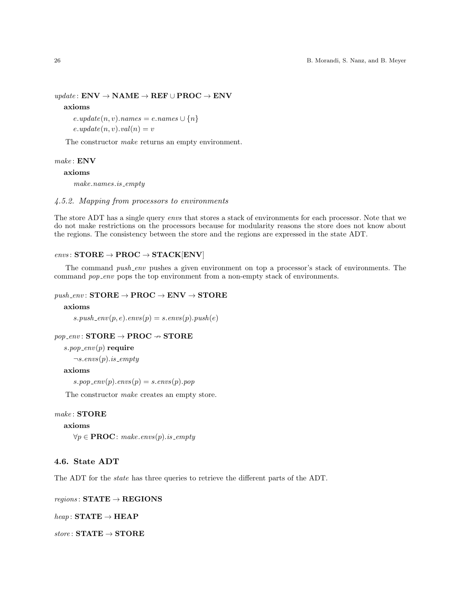## $update: ENV \rightarrow NAME \rightarrow REF \cup PROC \rightarrow ENV$

## axioms

 $e.update(n, v).names = e.name \cup \{n\}$ 

 $e.update(n, v).val(n) = v$ 

The constructor make returns an empty environment.

## $make:$   $\bf{ENV}$

axioms

make.names.is empty

#### 4.5.2. Mapping from processors to environments

The store ADT has a single query envs that stores a stack of environments for each processor. Note that we do not make restrictions on the processors because for modularity reasons the store does not know about the regions. The consistency between the store and the regions are expressed in the state ADT.

## $envs: \textbf{STORE} \rightarrow \textbf{PROC} \rightarrow \textbf{STACK}[\textbf{ENV}]$

The command  $push\_env$  pushes a given environment on top a processor's stack of environments. The command *pop\_env* pops the top environment from a non-empty stack of environments.

#### $push\_env : \text{STORE} \rightarrow \text{PROC} \rightarrow \text{ENV} \rightarrow \text{STORE}$

## axioms

 $s.push\_env(p, e).envs(p) = s.envs(p).push(e)$ 

## $pop\_env: \textbf{STOP} \rightarrow \textbf{PROC} \rightarrow \textbf{STOP}$

 $s.pop\_env(p)$  require

 $\neg s. envs(p). is\_empty$ 

axioms

 $s.pop\_env(p).envs(p) = s.envs(p).pop$ 

The constructor make creates an empty store.

## $make:$   $\bf STORE$

#### axioms

 $\forall p \in \textbf{PROC}: \textit{make}.\textit{envs}(p).\textit{is}.\textit{empty}$ 

## 4.6. State ADT

The ADT for the state has three queries to retrieve the different parts of the ADT.

 $regions: STATE \rightarrow REGIONS$ 

 $heap: STATE \rightarrow HEAD$ 

 $store: \textbf{STATE} \rightarrow \textbf{STORE}$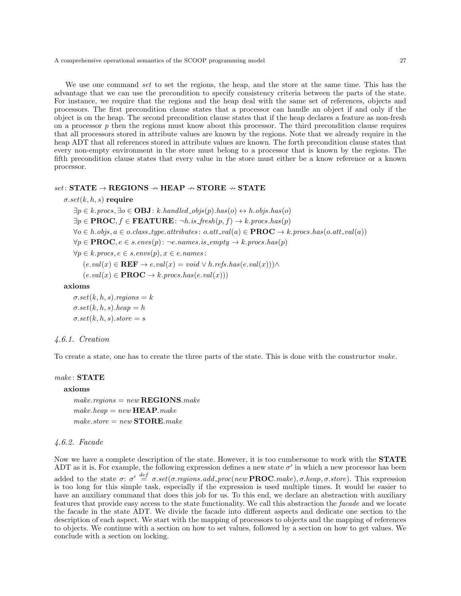We use one command set to set the regions, the heap, and the store at the same time. This has the advantage that we can use the precondition to specify consistency criteria between the parts of the state. For instance, we require that the regions and the heap deal with the same set of references, objects and processors. The first precondition clause states that a processor can handle an object if and only if the object is on the heap. The second precondition clause states that if the heap declares a feature as non-fresh on a processor  $p$  then the regions must know about this processor. The third precondition clause requires that all processors stored in attribute values are known by the regions. Note that we already require in the heap ADT that all references stored in attribute values are known. The forth precondition clause states that every non-empty environment in the store must belong to a processor that is known by the regions. The fifth precondition clause states that every value in the store must either be a know reference or a known processor.

#### $set: \textbf{STATE} \rightarrow \textbf{REGIONS} \rightarrow \textbf{HEAD} \rightarrow \textbf{STORE} \rightarrow \textbf{STATE}$

 $\sigma.set(k, h, s)$  require

 $\exists p \in k. pros, \exists o \in \mathbf{OBJ}: k. handled\_objs(p).has(o) \leftrightarrow h.obs.has(o)$  $\exists p \in \textbf{PROC}, f \in \textbf{FEATURE}: \neg h.is\_fresh(p, f) \rightarrow k.\text{process}.has(p)$  $\forall o \in h. \textit{objs}, a \in o. \textit{class_type}.\textit{attributes}: o. \textit{att_val}(a) \in \textbf{PROC} \rightarrow k. \textit{process}.\textit{has}(o. \textit{att_val}(a))$  $\forall p \in \textbf{PROC}, e \in s. \text{envs}(p) : \neg e. \text{names.} \text{is\_empty} \rightarrow k. \text{process.} \text{has}(p)$  $\forall p \in k. \text{process}, e \in s. \text{enus}(p), x \in e. \text{names}:$  $(e.val(x) \in \text{REF} \rightarrow e.val(x) = void \vee h.refs.has(e.val(x))) \wedge$  $(e.val(x) \in \textbf{PROC} \rightarrow k. process. has (e.val(x)))$ 

axioms

 $\sigma.set(k, h, s)$ . regions = k  $\sigma.set(k, h, s)$ .heap = h  $\sigma.set(k, h, s)$ .store = s

## 4.6.1. Creation

To create a state, one has to create the three parts of the state. This is done with the constructor make.

## $make:$   $$

axioms

 $make. regions = new REGIONS. make$  $make\mathit{.heap} = new \textbf{HEAD}\mathit{.make}$  $make. store = new$   $$ 

## 4.6.2. Facade

Now we have a complete description of the state. However, it is too cumbersome to work with the **STATE** ADT as it is. For example, the following expression defines a new state  $\sigma'$  in which a new processor has been added to the state  $\sigma: \sigma' \stackrel{def}{=} \sigma.set(\sigma.\mathit{regions}.\mathit{add\_proc}(\mathit{new \, PROC}.\mathit{make}), \sigma.\mathit{heap}, \sigma.\mathit{store})$ . This expression is too long for this simple task, especially if the expression is used multiple times. It would be easier to have an auxiliary command that does this job for us. To this end, we declare an abstraction with auxiliary features that provide easy access to the state functionality. We call this abstraction the facade and we locate the facade in the state ADT. We divide the facade into different aspects and dedicate one section to the description of each aspect. We start with the mapping of processors to objects and the mapping of references to objects. We continue with a section on how to set values, followed by a section on how to get values. We conclude with a section on locking.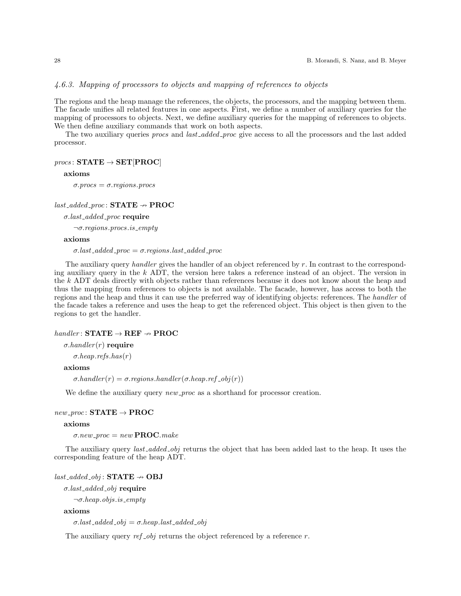## 4.6.3. Mapping of processors to objects and mapping of references to objects

The regions and the heap manage the references, the objects, the processors, and the mapping between them. The facade unifies all related features in one aspects. First, we define a number of auxiliary queries for the mapping of processors to objects. Next, we define auxiliary queries for the mapping of references to objects. We then define auxiliary commands that work on both aspects.

The two auxiliary queries *procs* and *last\_added\_proc* give access to all the processors and the last added processor.

#### $\text{process}: \textbf{STATE} \rightarrow \textbf{SET}[\textbf{PROC}]$

#### axioms

 $\sigma.$ procs =  $\sigma.$ regions.procs

#### $last\_added\_proc \colon \mathbf{STATE} \rightarrow \mathbf{PROC}$

 $\sigma$ .last\_added\_proc require

 $\neg \sigma. regions. process.is\_empty$ 

## axioms

 $\sigma$ .last\_added\_proc =  $\sigma$ .regions.last\_added\_proc

The auxiliary query handler gives the handler of an object referenced by r. In contrast to the corresponding auxiliary query in the  $k$  ADT, the version here takes a reference instead of an object. The version in the k ADT deals directly with objects rather than references because it does not know about the heap and thus the mapping from references to objects is not available. The facade, however, has access to both the regions and the heap and thus it can use the preferred way of identifying objects: references. The handler of the facade takes a reference and uses the heap to get the referenced object. This object is then given to the regions to get the handler.

## $\mathit{handler}: \mathbf{STATE} \rightarrow \mathbf{REF} \nrightarrow \mathbf{PROC}$

```
\sigma.handler(r) require
```
 $\sigma$ .heap.refs.has(r)

## axioms

 $\sigma.handler(r) = \sigma.\text{regions.handler}(\sigma.\text{heap.ref\_obj}(r))$ 

We define the auxiliary query *new proc* as a shorthand for processor creation.

## $new\_proc \colon \mathbf{STATE} \to \mathbf{PROC}$

#### axioms

 $\sigma$ .new  $proc = new \text{PROC}.make$ 

The auxiliary query *last\_added\_obj* returns the object that has been added last to the heap. It uses the corresponding feature of the heap ADT.

#### $last\_added\_obj : \mathbf{STATE} \rightarrow \mathbf{OBJ}$

 $\sigma$ .last\_added\_obj require

 $\neg \sigma.$ heap.objs.is\_empty

# axioms

 $\sigma$ .last\_added\_obj =  $\sigma$ .heap.last\_added\_obj

The auxiliary query ref  $\omega$  returns the object referenced by a reference r.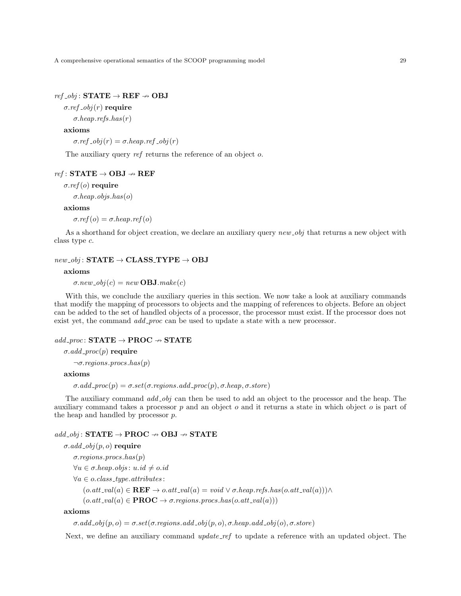$ref\_obj : \mathbf{STATE} \rightarrow \mathbf{REF} \rightarrow \mathbf{OBJ}$ 

 $\sigma$ .ref \_obj(r) require

 $\sigma$ .heap.refs.has(r)

#### axioms

 $\sigma.ref\_obj(r) = \sigma.heap.ref\_obj(r)$ 

The auxiliary query *ref* returns the reference of an object o.

## $ref: \textbf{STATE} \rightarrow \textbf{OBJ} \rightarrow \textbf{REF}$

σ.ref (o) require

σ.heap.objs.has(o)

axioms

 $\sigma.\mathit{ref}(o) = \sigma.\mathit{heap}.\mathit{ref}(o)$ 

As a shorthand for object creation, we declare an auxiliary query  $new_oobj$  that returns a new object with class type c.

## $new\_obj$ :  $STATE \rightarrow CLASS\_TYPE \rightarrow OBJ$

axioms

 $\sigma.new\_obj(c) = new \textbf{OBJ}.make(c)$ 

With this, we conclude the auxiliary queries in this section. We now take a look at auxiliary commands that modify the mapping of processors to objects and the mapping of references to objects. Before an object can be added to the set of handled objects of a processor, the processor must exist. If the processor does not exist yet, the command *add\_proc* can be used to update a state with a new processor.

# $add\_proc \colon \mathbf{STATE} \to \mathbf{PROC} \nrightarrow \mathbf{STATE}$

 $\sigma.add\_proc(p)$  require

 $\neg \sigma.$ regions.procs.has(p)

#### axioms

 $\sigma.add\_proc(p) = \sigma.set(\sigma.\mathit{regions}.add\_proc(p), \sigma.\mathit{heap}, \sigma.\mathit{store})$ 

The auxiliary command *add*-*obj* can then be used to add an object to the processor and the heap. The auxiliary command takes a processor p and an object  $\rho$  and it returns a state in which object  $\rho$  is part of the heap and handled by processor p.

## $add\_obj \colon \mathbf{STATE} \to \mathbf{PROC} \nrightarrow \mathbf{OBJ} \nrightarrow \mathbf{STATE}$

 $\sigma.add\_obj(p, o)$  require

 $\sigma$ .regions.procs.has(p)

 $\forall u \in \sigma \. \, heap. \, objs: u.id \neq o.id$ 

 $\forall a \in o.class\_type. attributes:$ 

 $(o.att\_val(a) \in \text{REF} \rightarrow o.att\_val(a) = void \vee \sigma.heap.refs.has(o.att\_val(a))) \wedge$ 

 $(o.att\_val(a) \in \textbf{PROC} \rightarrow \sigma \text{.regions. process.} has (o.att\_val(a)))$ 

## axioms

 $\sigma.add\_obj(p, o) = \sigma.set(\sigma.\mathit{regions}.add\_obj(p, o), \sigma.\mathit{heap}.\mathit{add}\_\mathit{obj}(o), \sigma.\mathit{store})$ 

Next, we define an auxiliary command *update\_ref* to update a reference with an updated object. The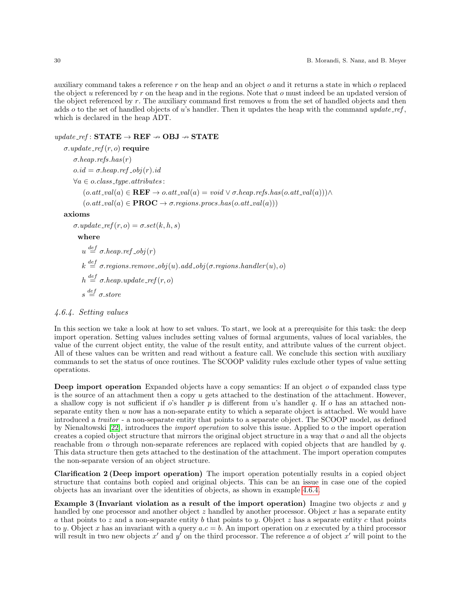auxiliary command takes a reference  $r$  on the heap and an object  $o$  and it returns a state in which  $o$  replaced the object u referenced by r on the heap and in the regions. Note that  $\sigma$  must indeed be an updated version of the object referenced by  $r$ . The auxiliary command first removes  $u$  from the set of handled objects and then adds o to the set of handled objects of u's handler. Then it updates the heap with the command update ref, which is declared in the heap ADT.

## $update\_ref : STATE \rightarrow REF \rightarrow OBJ \rightarrow STATE$

 $\sigma.update\_ref(r, o)$  require  $\sigma$ .heap.refs.has(r)  $o.id = \sigma.heap.ref\_obj(r).id$  $\forall a \in o.class\_type. attributes:$  $(o.att\_val(a) \in \text{REF} \rightarrow o.att\_val(a) = void \vee \sigma.heap.refs.has(o.att\_val(a))) \wedge$  $(o.att\_val(a) \in \textbf{PROC} \rightarrow \sigma \text{.regions. process.} has (o.att\_val(a)))$ axioms  $\sigma.update\_ref(r, o) = \sigma.set(k, h, s)$ 

where

 $u \stackrel{def}{=} \sigma \cdot \text{heap} \cdot \text{ref}\_\text{obj}(r)$  $k \stackrel{def}{=} \sigma.\mathit{regions}.\mathit{remove\_obj}(u).\mathit{add\_obj}(\sigma.\mathit{regions}.\mathit{handler}(u), o)$  $h \stackrel{def}{=} \sigma \cdot h \in p \cdot update \_ref(r, o)$  $s \stackrel{def}{=} \sigma$ .store

# 4.6.4. Setting values

In this section we take a look at how to set values. To start, we look at a prerequisite for this task: the deep import operation. Setting values includes setting values of formal arguments, values of local variables, the value of the current object entity, the value of the result entity, and attribute values of the current object. All of these values can be written and read without a feature call. We conclude this section with auxiliary commands to set the status of once routines. The SCOOP validity rules exclude other types of value setting operations.

<span id="page-29-0"></span>**Deep import operation** Expanded objects have a copy semantics: If an object  $o$  of expanded class type is the source of an attachment then a copy  $u$  gets attached to the destination of the attachment. However, a shallow copy is not sufficient if  $o$ 's handler  $p$  is different from  $u$ 's handler  $q$ . If  $o$  has an attached nonseparate entity then u now has a non-separate entity to which a separate object is attached. We would have introduced a traitor - a non-separate entity that points to a separate object. The SCOOP model, as defined by Nienaltowski [\[22\]](#page-79-1), introduces the import operation to solve this issue. Applied to o the import operation creates a copied object structure that mirrors the original object structure in a way that o and all the objects reachable from o through non-separate references are replaced with copied objects that are handled by q. This data structure then gets attached to the destination of the attachment. The import operation computes the non-separate version of an object structure.

Clarification 2 (Deep import operation) The import operation potentially results in a copied object structure that contains both copied and original objects. This can be an issue in case one of the copied objects has an invariant over the identities of objects, as shown in example [4.6.4.](#page-29-0)

Example 3 (Invariant violation as a result of the import operation) Imagine two objects x and y handled by one processor and another object  $z$  handled by another processor. Object  $x$  has a separate entity a that points to z and a non-separate entity b that points to y. Object z has a separate entity c that points to y. Object x has an invariant with a query  $a.c = b$ . An import operation on x executed by a third processor will result in two new objects x' and y' on the third processor. The reference a of object x' will point to the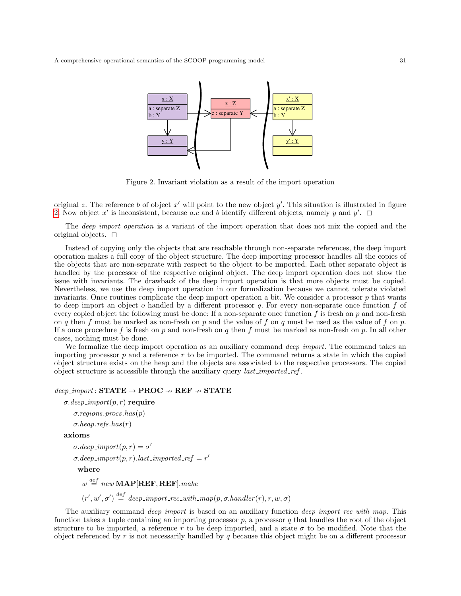

<span id="page-30-0"></span>Figure 2. Invariant violation as a result of the import operation

original z. The reference b of object  $x'$  will point to the new object  $y'$ . This situation is illustrated in figure [2.](#page-30-0) Now object  $x'$  is inconsistent, because a.c and b identify different objects, namely y and  $y'$ .  $\Box$ 

The *deep import operation* is a variant of the import operation that does not mix the copied and the original objects.  $\square$ 

Instead of copying only the objects that are reachable through non-separate references, the deep import operation makes a full copy of the object structure. The deep importing processor handles all the copies of the objects that are non-separate with respect to the object to be imported. Each other separate object is handled by the processor of the respective original object. The deep import operation does not show the issue with invariants. The drawback of the deep import operation is that more objects must be copied. Nevertheless, we use the deep import operation in our formalization because we cannot tolerate violated invariants. Once routines complicate the deep import operation a bit. We consider a processor  $p$  that wants to deep import an object  $o$  handled by a different processor  $q$ . For every non-separate once function  $f$  of every copied object the following must be done: If a non-separate once function f is fresh on  $p$  and non-fresh on q then f must be marked as non-fresh on p and the value of f on q must be used as the value of f on p. If a once procedure f is fresh on p and non-fresh on q then f must be marked as non-fresh on p. In all other cases, nothing must be done.

We formalize the deep import operation as an auxiliary command deep import. The command takes an importing processor  $p$  and a reference  $r$  to be imported. The command returns a state in which the copied object structure exists on the heap and the objects are associated to the respective processors. The copied object structure is accessible through the auxiliary query  $last\text{-}imported\text{-}ref$ .

## $deep\_import: STATE \rightarrow PROC \nrightarrow REF \nrightarrow STATE$

```
\sigma \cdot \text{deep\_import}(p, r) require
    \sigma.regions.procs.has(p)
    \sigma.heap.refs.has(r)
axioms
     \sigma \cdot \text{deep\_import}(p, r) = \sigma'\sigma \cdot \text{deep\_import}(p, r) \cdot \text{last\_imported\_ref} = r'where
          w\stackrel{def}{=}new\mathbf{MAP}[\mathbf{REF},\mathbf{REF}].\mathit{make}(r', w', \sigma') \stackrel{def}{=} \text{deep import\_rec\_with\_map}(p, \sigma \text{.handler}(r), r, w, \sigma)
```
The auxiliary command *deep\_import* is based on an auxiliary function *deep\_import\_rec\_with\_map*. This function takes a tuple containing an importing processor  $p$ , a processor  $q$  that handles the root of the object structure to be imported, a reference r to be deep imported, and a state  $\sigma$  to be modified. Note that the object referenced by r is not necessarily handled by q because this object might be on a different processor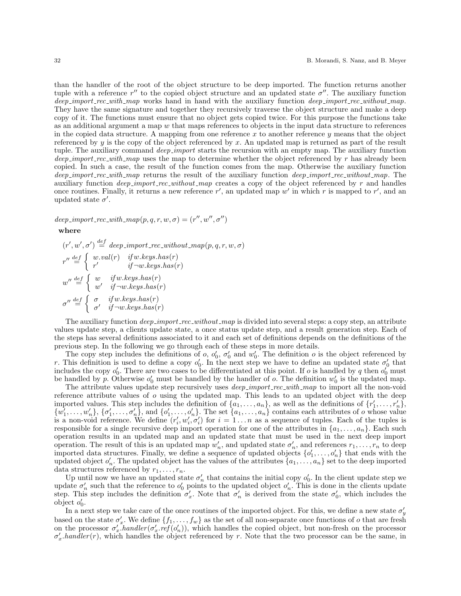than the handler of the root of the object structure to be deep imported. The function returns another tuple with a reference r'' to the copied object structure and an updated state  $\sigma''$ . The auxiliary function deep import rec with map works hand in hand with the auxiliary function deep import rec without map. They have the same signature and together they recursively traverse the object structure and make a deep copy of it. The functions must ensure that no object gets copied twice. For this purpose the functions take as an additional argument a map  $w$  that maps references to objects in the input data structure to references in the copied data structure. A mapping from one reference x to another reference y means that the object referenced by y is the copy of the object referenced by x. An updated map is returned as part of the result tuple. The auxiliary command *deep import* starts the recursion with an empty map. The auxiliary function deep import rec with map uses the map to determine whether the object referenced by r has already been copied. In such a case, the result of the function comes from the map. Otherwise the auxiliary function deep\_import\_rec\_with\_map returns the result of the auxiliary function deep\_import\_rec\_without\_map. The auxiliary function  $deep\_import\_rec\_without\_map$  creates a copy of the object referenced by r and handles once routines. Finally, it returns a new reference  $r'$ , an updated map w' in which r is mapped to  $r'$ , and an updated state  $\sigma'$ .

 $deep\_import\_rec\_with\_map(p, q, r, w, \sigma) = (r'', w'', \sigma'')$ 

#### where

$$
(r', w', \sigma') \stackrel{def}{=} deep import\_rec\_without\_map(p, q, r, w, \sigma)
$$
  
\n
$$
r'' \stackrel{def}{=} \begin{cases} w.val(r) & if w.keys.has(r) \\ r' & if \neg w.keys.has(r) \end{cases}
$$
  
\n
$$
w'' \stackrel{def}{=} \begin{cases} w & if w.keys.has(r) \\ w' & if \neg w.keys.has(r) \end{cases}
$$
  
\n
$$
\sigma'' \stackrel{def}{=} \begin{cases} \sigma & if w.keys.has(r) \\ \sigma' & if \neg w.keys.has(r) \end{cases}
$$

The auxiliary function *deep\_import\_rec\_without\_map* is divided into several steps: a copy step, an attribute values update step, a clients update state, a once status update step, and a result generation step. Each of the steps has several definitions associated to it and each set of definitions depends on the definitions of the previous step. In the following we go through each of these steps in more details.

The copy step includes the definitions of  $o, o'_0, \sigma'_0$  and  $w'_0$ . The definition  $o$  is the object referenced by r. This definition is used to define a copy  $o'_0$ . In the next step we have to define an updated state  $\sigma'_0$  that includes the copy  $o'_0$ . There are two cases to be differentiated at this point. If *o* is handled by *q* then  $o'_0$  must be handled by p. Otherwise  $o'_0$  must be handled by the handler of o. The definition  $w'_0$  is the updated map.

The attribute values update step recursively uses *deep\_import\_rec\_with\_map* to import all the non-void reference attribute values of  $o$  using the updated map. This leads to an updated object with the deep imported values. This step includes the definition of  $\{a_1, \ldots, a_n\}$ , as well as the definitions of  $\{r'_1, \ldots, r'_n\}$ ,  $\{w_1^j,\ldots,w_n^j\},\{\sigma_1^j,\ldots,\sigma_n^j\},\text{ and } \{\sigma_1^j,\ldots,\sigma_n^j\}$ . The set  $\{a_1,\ldots,a_n\}$  contains each attributes of o whose value is a non-void reference. We define  $(r'_i, w'_i, \sigma'_i)$  for  $i = 1...n$  as a sequence of tuples. Each of the tuples is responsible for a single recursive deep import operation for one of the attributes in  $\{a_1, \ldots, a_n\}$ . Each such operation results in an updated map and an updated state that must be used in the next deep import operation. The result of this is an updated map  $w'_n$ , and updated state  $\sigma'_n$ , and references  $r_1, \ldots, r_n$  to deep imported data structures. Finally, we define a sequence of updated objects  $\{o'_1, \ldots, o'_n\}$  that ends with the updated object  $o'_n$ . The updated object has the values of the attributes  $\{a_1, \ldots, a_n\}$  set to the deep imported data structures referenced by  $r_1, \ldots, r_n$ .

Up until now we have an updated state  $\sigma'_n$  that contains the initial copy  $o'_0$ . In the client update step we update  $\sigma'_n$  such that the reference to  $o'_0$  points to the updated object  $o'_n$ . This is done in the clients update step. This step includes the definition  $\sigma'_x$ . Note that  $\sigma'_n$  is derived from the state  $\sigma'_0$ , which includes the object  $o'_0$ .

In a next step we take care of the once routines of the imported object. For this, we define a new state  $\sigma'_y$ based on the state  $\sigma'_x$ . We define  $\{f_1, \ldots, f_w\}$  as the set of all non-separate once functions of  $o$  that are fresh on the processor  $\sigma'_x$  handler  $(\sigma'_x \cdot ref(o'_n))$ , which handles the copied object, but non-fresh on the processor  $\sigma'_x$ .handler(r), which handles the object referenced by r. Note that the two processor can be the same, in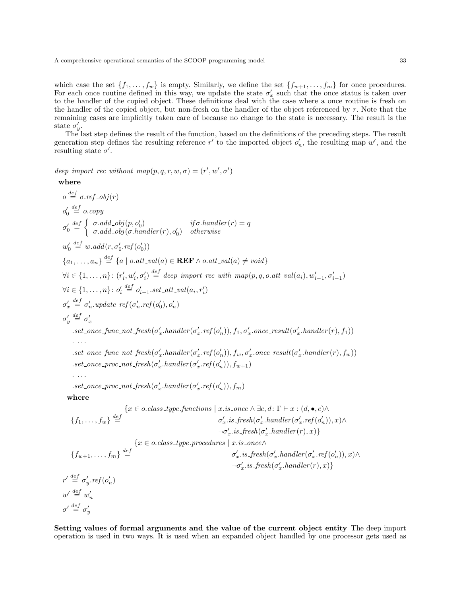which case the set  $\{f_1, \ldots, f_w\}$  is empty. Similarly, we define the set  $\{f_{w+1}, \ldots, f_m\}$  for once procedures. For each once routine defined in this way, we update the state  $\sigma'_x$  such that the once status is taken over to the handler of the copied object. These definitions deal with the case where a once routine is fresh on the handler of the copied object, but non-fresh on the handler of the object referenced by  $r$ . Note that the remaining cases are implicitly taken care of because no change to the state is necessary. The result is the state  $\sigma'_y$ .

The last step defines the result of the function, based on the definitions of the preceding steps. The result generation step defines the resulting reference r' to the imported object  $o'_n$ , the resulting map w', and the resulting state  $\sigma'$ .

 $deep\_import\_rec\_without\_map(p, q, r, w, \sigma) = (r', w', \sigma')$ 

## where

 $o \stackrel{def}{=} \sigma.\mathit{ref}\_obj(r)$  $o'_0$  $\stackrel{def}{=} o.copy$  $\sigma'_0$  $\begin{array}{ll}\n\text{def} & \text{if } \sigma.\text{add } \text{obj}(p, o'_0) \\
\equiv & \text{if } \sigma.\text{add } \text{obj}(r, \text{handlen}(m), o') \quad \text{otherwise.}\n\end{array}$  $\sigma.add\_obj(\sigma.handler(r),o_0') \quad otherwise$  $w'_0$  $\stackrel{def}{=} w.add(r, \sigma'_0.ref(o'_0))$  ${a_1, \ldots, a_n} \stackrel{def}{=} {a \mid o. att\_val(a) \in \textbf{REF} \land o. att\_val(a) \neq void}$  $\forall i \in \{1,\ldots,n\} \colon (r'_i,w'_i,\sigma'_i) \stackrel{def}{=} \textit{deep import\_rec\_with\_map}(p,q,o.\textit{att\_val}(a_i),w'_{i-1},\sigma'_{i-1})$  $\forall i \in \{1, \ldots, n\} \colon o'_i$  $\stackrel{def}{=} o'_{i-1}.set\_att\_val(a_i,r'_i)$  $\sigma'_x$  $\stackrel{def}{=} \sigma'_n.update\_ref(\sigma'_n.ref(o'_0), o'_n)$  $\sigma'_y$  $\stackrel{def}{=} \sigma'_x$  $\label{eq:1} \begin{split} .set\_once\_func\_not\_fresh(\sigma_x'.handler(\sigma_x'.ref(\boldsymbol{o}_n')), f_1, \sigma_x'.once\_result(\sigma_x'.handler(r), f_1)) \end{split}$ . . . .  $\label{eq:1} .set\_once\_func\_not\_fresh(\sigma_x'.handler(\sigma_x'.ref(\omicron_n')), f_w, \sigma_x'.once\_result(\sigma_x'.handler(r), f_w))$  $\label{eq:1} .set\_once\_proc\_not\_fresh(\sigma_x'.handler(\sigma_x'.ref(\boldsymbol{o}_n')), f_{w+1})$ . . . .  $.set\_once\_proc\_not\_fresh(\sigma_x'.handler(\sigma_x'.ref(o_n')), f_m)$ where  ${f_1,\ldots,f_w\} \stackrel{def}{=}$  ${x \in o.class\_type.functions \mid x.is\_once \land \exists c, d \colon \Gamma \vdash x : (d, \bullet, c) \land \Gamma}$  $\sigma_x'.is\_fresh(\sigma_x'.handler(\sigma_x'.ref(o_n')), x) \land$  $\neg \sigma_x'.is\_fresh(\sigma_x'.handler(r), x)$  ${f_{w+1},..., f_m} \stackrel{def}{=}$  ${x \in o.class_typeچ}$ .  $|x.is\_once \wedge$  $\sigma_x'.is\_fresh(\sigma_x'.handler(\sigma_x'.ref(o_n')), x) \wedge$  $\neg \sigma_x'.is\_fresh(\sigma_x'.handler(r), x)$  $r' \stackrel{def}{=} \sigma'_y .\text{ref}(o'_n)$  $w' \stackrel{def}{=} w'_n$  $\sigma' \overset{def}{=} \sigma'_y$ 

Setting values of formal arguments and the value of the current object entity The deep import operation is used in two ways. It is used when an expanded object handled by one processor gets used as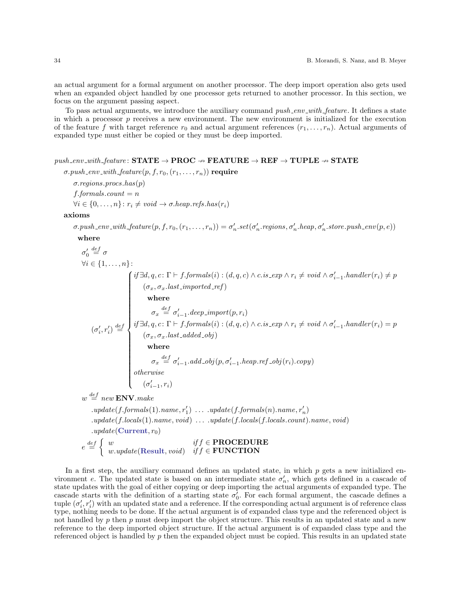an actual argument for a formal argument on another processor. The deep import operation also gets used when an expanded object handled by one processor gets returned to another processor. In this section, we focus on the argument passing aspect.

To pass actual arguments, we introduce the auxiliary command *push\_env\_with\_feature*. It defines a state in which a processor  $p$  receives a new environment. The new environment is initialized for the execution of the feature f with target reference  $r_0$  and actual argument references  $(r_1, \ldots, r_n)$ . Actual arguments of expanded type must either be copied or they must be deep imported.

## $push\_env\_with\_feature \colon \mathbf{STATE} \to \mathbf{PROC} \to \mathbf{FEATURE} \to \mathbf{REF} \to \mathbf{TUPLE} \to \mathbf{STATE}$

 $\sigma.push\_env\_with\_feature(p, f, r_0, (r_1, \ldots, r_n))$  require

 $\sigma$ .regions.procs.has(p)  $f. *formals.count* = n$ 

 $\forall i \in \{0, \ldots, n\} : r_i \neq \text{void} \rightarrow \sigma \text{.heap.} \text{refs.} \text{has}(r_i)$ 

axioms

 $\sigma. push\_env\_with\_feature(p, f, r_0, (r_1, \ldots, r_n)) = \sigma'_n.set(\sigma'_n \cdot regions, \sigma'_n \cdot heap, \sigma'_n store \cdot push\_env(p, e))$ 

where

$$
\sigma'_0 \stackrel{def}{=} \sigma
$$
\n
$$
\forall i \in \{1, ..., n\}:
$$
\n
$$
\sigma'_0 \stackrel{def}{=} \sigma
$$
\n
$$
\sigma_x \cdot \text{last import } d \cdot \text{ref}
$$
\n
$$
\sigma_x \cdot \text{last import } d \cdot \text{ref}
$$
\n
$$
\sigma_x \cdot \text{last import } d \cdot \text{ref}
$$
\n
$$
\sigma_x \stackrel{def}{=} \sigma'_{i-1} \cdot \text{deep import }(p, r_i)
$$
\n
$$
(\sigma'_i, r'_i) \stackrel{def}{=} \begin{cases}\n\text{if } \exists d, q, c: \Gamma \vdash f \text{, format}(i): (d, q, c) \land c \text{.is } \exp \land r_i \neq \text{void } \land \sigma'_{i-1} \text{.handler}(r_i) = p \\
\sigma_x \stackrel{def}{=} \sigma'_{i-1} \cdot \text{deep import }(p, r_i) \\
(\sigma_x, \sigma_x \cdot \text{last } \text{.add } \text{obj}) \\
\text{where} \\
\sigma_x \stackrel{def}{=} \sigma'_{i-1} \cdot \text{add } \text{obj}(p, \sigma'_{i-1} \text{.heap } \text{ref } \text{.obj}(r_i) \text{.copy}) \\
\text{otherwise} \\
(\sigma'_{i-1}, r_i) \\
\text{update}(f \text{.formals}(1) \text{.name}, r'_1) \dots \text{update}(f \text{.formals}(n) \text{.name}, r'_n) \\
\text{update}(f \text{.locals}(1) \text{.name}, \text{void}) \dots \text{update}(f \text{.locals} \text{.count}) \text{.name}, \text{void}) \\
\text{update}(\text{Current}, r_0) \\
\text{update}(\text{Result}, \text{void}) \quad \text{if } f \in \text{PROCEDURE}
$$

In a first step, the auxiliary command defines an updated state, in which  $p$  gets a new initialized environment e. The updated state is based on an intermediate state  $\sigma'_n$ , which gets defined in a cascade of state updates with the goal of either copying or deep importing the actual arguments of expanded type. The cascade starts with the definition of a starting state  $\sigma'_0$ . For each formal argument, the cascade defines a tuple  $(\sigma'_i, r'_i)$  with an updated state and a reference. If the corresponding actual argument is of reference class type, nothing needs to be done. If the actual argument is of expanded class type and the referenced object is not handled by  $p$  then  $p$  must deep import the object structure. This results in an updated state and a new reference to the deep imported object structure. If the actual argument is of expanded class type and the referenced object is handled by  $p$  then the expanded object must be copied. This results in an updated state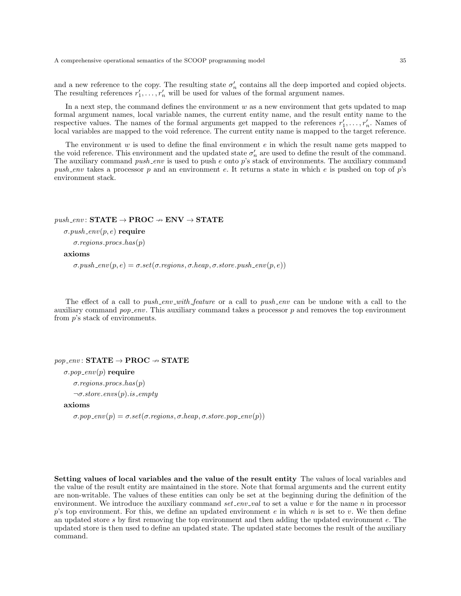and a new reference to the copy. The resulting state  $\sigma'_n$  contains all the deep imported and copied objects. The resulting references  $r'_1, \ldots, r'_n$  will be used for values of the formal argument names.

In a next step, the command defines the environment  $w$  as a new environment that gets updated to map formal argument names, local variable names, the current entity name, and the result entity name to the respective values. The names of the formal arguments get mapped to the references  $r'_1, \ldots, r'_n$ . Names of local variables are mapped to the void reference. The current entity name is mapped to the target reference.

The environment  $w$  is used to define the final environment  $e$  in which the result name gets mapped to the void reference. This environment and the updated state  $\sigma'_n$  are used to define the result of the command. The auxiliary command  $push\_env$  is used to push  $e$  onto  $p$ 's stack of environments. The auxiliary command push env takes a processor p and an environment e. It returns a state in which e is pushed on top of  $p$ 's environment stack.

#### $push\_env : \text{STATE} \rightarrow \text{PROC} \nrightarrow \text{ENV} \rightarrow \text{STATE}$

 $\sigma.push\_env(p, e)$  require

 $\sigma$ .regions.procs.has(p)

#### axioms

 $\sigma.push\_env(p, e) = \sigma.set(\sigma. regions, \sigma. heap, \sigma. store.push\_env(p, e))$ 

The effect of a call to *push\_env\_with\_feature* or a call to *push\_env* can be undone with a call to the auxiliary command pop\_env. This auxiliary command takes a processor  $p$  and removes the top environment from p's stack of environments.

# $pop\_env$ :  $STATE \rightarrow PROC \rightarrow STATE$

 $\sigma$ .pop\_env(p) require

 $\sigma$ .regions.procs.has(p)  $\neg \sigma. store. envs(p). is\_empty$ 

#### axioms

 $\sigma.pop\_env(p) = \sigma.set(\sigma.\mathit{regions}, \sigma.\mathit{heap}, \sigma.\mathit{store}.pop\_env(p))$ 

Setting values of local variables and the value of the result entity The values of local variables and the value of the result entity are maintained in the store. Note that formal arguments and the current entity are non-writable. The values of these entities can only be set at the beginning during the definition of the environment. We introduce the auxiliary command set env val to set a value v for the name n in processor p's top environment. For this, we define an updated environment  $e$  in which  $n$  is set to v. We then define an updated store s by first removing the top environment and then adding the updated environment e. The updated store is then used to define an updated state. The updated state becomes the result of the auxiliary command.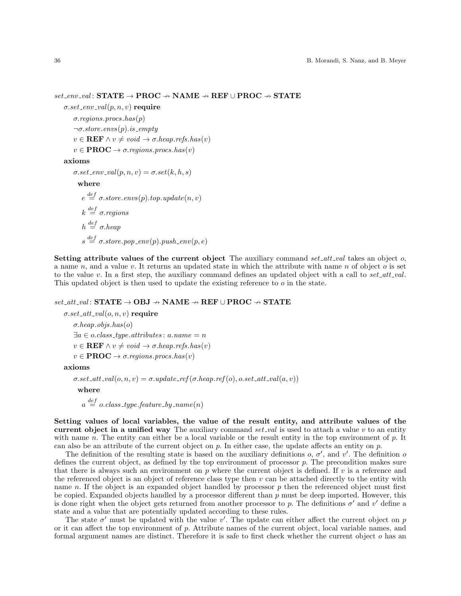```
set\_env\_val\colon \mathbf{STATE}\to \mathbf{PROC}\nrightarrow \mathbf{NAME}\nrightarrow \mathbf{REF}\cup \mathbf{PROC}\nrightarrow \mathbf{STATE}\sigma.set\_env\_val(p, n, v) require
         \sigma.regions.procs.has(p)
          \neg \sigma. store. envs(p). is\_emptyv \in \text{REF} \land v \neq void \rightarrow \sigma \text{.}heap \text{.} refs \text{.} has(v)v \in \textbf{PROC} \rightarrow \sigma \text{.regions. process.} has (v)axioms
          \sigma.set\_env\_val(p, n, v) = \sigma.set(k, h, s)where
               e \stackrel{def}{=} \sigma . store. envs(p).top. update(n, v)k \stackrel{def}{=} \sigma.\mathit{regions}h \stackrel{def}{=} \sigma \cdot h \neqs \stackrel{def}{=} \sigma . store.pop\_env(p). push\_env(p, e)
```
Setting attribute values of the current object The auxiliary command set  $_{att\_val}$  takes an object  $o$ . a name n, and a value v. It returns an updated state in which the attribute with name n of object  $o$  is set to the value v. In a first step, the auxiliary command defines an updated object with a call to  $set\_att\_val$ . This updated object is then used to update the existing reference to o in the state.

# $set\_att\_val\colon \mathbf{STATE}\to \mathbf{OBJ}\nrightarrow \mathbf{NAME}\nrightarrow \mathbf{REF}\cup \mathbf{PROC}\nrightarrow \mathbf{STATE}$

 $\sigma.set\_att\_val(o, n, v)$  require  $\sigma$ .heap.objs.has(o)  $\exists a \in o.class_type.attributes: a.name = n$  $v \in \text{REF} \land v \neq void \rightarrow \sigma \text{.}heap \text{.} refs \text{.} has(v)$  $v \in \textbf{PROC} \rightarrow \sigma.\text{regions. }procs.$ has $(v)$ 

axioms

 $\sigma.set\_att\_val(o, n, v) = \sigma.update\_ref(\sigma.heap.ref(o), o.set\_att\_val(a, v))$ where

 $a \stackrel{def}{=} o.class\_type.feature\_by\_name(n)$ 

Setting values of local variables, the value of the result entity, and attribute values of the current object in a unified way The auxiliary command  $set_val$  is used to attach a value v to an entity with name n. The entity can either be a local variable or the result entity in the top environment of  $p$ . It can also be an attribute of the current object on  $p$ . In either case, the update affects an entity on  $p$ .

The definition of the resulting state is based on the auxiliary definitions  $o, \sigma'$ , and  $v'$ . The definition of defines the current object, as defined by the top environment of processor  $p$ . The precondition makes sure that there is always such an environment on  $p$  where the current object is defined. If  $v$  is a reference and the referenced object is an object of reference class type then  $v$  can be attached directly to the entity with name n. If the object is an expanded object handled by processor  $p$  then the referenced object must first be copied. Expanded objects handled by a processor different than  $p$  must be deep imported. However, this is done right when the object gets returned from another processor to p. The definitions  $\sigma'$  and  $v'$  define a state and a value that are potentially updated according to these rules.

The state  $\sigma'$  must be updated with the value v'. The update can either affect the current object on p or it can affect the top environment of p. Attribute names of the current object, local variable names, and formal argument names are distinct. Therefore it is safe to first check whether the current object o has an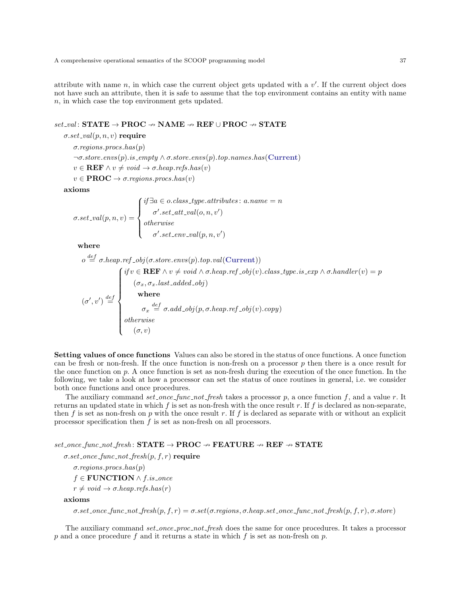attribute with name  $n$ , in which case the current object gets updated with a  $v'$ . If the current object does not have such an attribute, then it is safe to assume that the top environment contains an entity with name n, in which case the top environment gets updated.

## $set\_val\colon\mathbf{STATE}\to\mathbf{PROC}\nrightarrow\mathbf{NAME}\nrightarrow\mathbf{REF}\cup\mathbf{PROC}\nrightarrow\mathbf{STATE}$

 $\sigma.set\_val(p, n, v)$  require  $\sigma$ .regions.procs.has(p)  $\neg \sigma. store. envs(p). is empty \land \sigma. store. envs(p). top. names. has (Current)$  $v \in \text{REF} \land v \neq void \rightarrow \sigma \text{.}heap \text{.} refs \text{.} has(v)$  $v \in \textbf{PROC} \rightarrow \sigma.\text{regions. }procs.$ has $(v)$ 

axioms

$$
\sigma.set\_val(p, n, v) = \begin{cases} if \exists a \in o.class\_type. attributes: a.name = n \\ \sigma'.set\_att\_val(o, n, v') \\ otherwise \\ \sigma'.set\_env\_val(p, n, v') \end{cases}
$$

where

 $o \stackrel{def}{=} \sigma . \mathit{heap} . \mathit{ref\_obj}(\sigma . \mathit{store} . \mathit{envs}(p) . \mathit{top} . \mathit{val}(\text{Current}))$ 

$$
(\sigma', v') \stackrel{def}{=} \begin{cases} \text{if } v \in \textbf{REF} \land v \neq \text{void} \land \sigma \text{.heap.ref\_obj}(v) \text{. class\_type} \text{.is\_exp} \land \sigma \text{.handler}(v) = p \\ (\sigma_x, \sigma_x \text{.last\_added\_obj}) \\ \text{where} \\ \sigma_x \stackrel{def}{=} \sigma \text{.add\_obj}(p, \sigma \text{.heap.ref\_obj}(v) \text{.copy}) \\ \text{otherwise} \\ (\sigma, v) \end{cases}
$$

Setting values of once functions Values can also be stored in the status of once functions. A once function can be fresh or non-fresh. If the once function is non-fresh on a processor  $p$  then there is a once result for the once function on p. A once function is set as non-fresh during the execution of the once function. In the following, we take a look at how a processor can set the status of once routines in general, i.e. we consider both once functions and once procedures.

The auxiliary command set once func not fresh takes a processor p, a once function f, and a value r. It returns an updated state in which  $f$  is set as non-fresh with the once result r. If  $f$  is declared as non-separate, then f is set as non-fresh on p with the once result r. If f is declared as separate with or without an explicit processor specification then  $\tilde{f}$  is set as non-fresh on all processors.

 $set\_once\_func\_not\_fresh \colon \mathbf{STATE} \to \mathbf{PROC} \nrightarrow \mathbf{FEATURE} \nrightarrow \mathbf{REF} \nrightarrow \mathbf{STATE}$ 

 $\sigma.set\_once\_func\_not\_fresh(p, f, r)$  require  $\sigma$ .regions.procs.has(p)  $f \in \textbf{FUNCTION} \land f.is\_once$  $r \neq void \rightarrow \sigma.\mathit{heap}.\mathit{refs}.\mathit{has}(r)$ 

axioms

σ.set once func not fresh(p, f, r) = σ.set(σ.regions, σ.heap.set once func not fresh(p, f, r), σ.store)

The auxiliary command set once proc not fresh does the same for once procedures. It takes a processor p and a once procedure f and it returns a state in which f is set as non-fresh on p.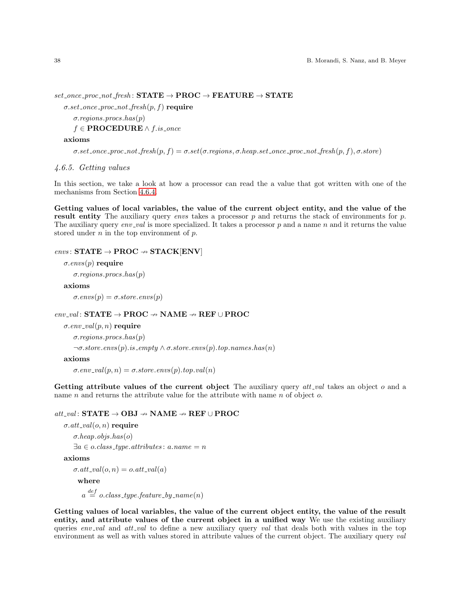#### $set\_once\_proc\_not\_fresh \colon \mathbf{STATE} \to \mathbf{PROC} \to \mathbf{FEATURE} \to \mathbf{STATE}$

 $\sigma.set\_once\_proc\_not\_fresh(p, f)$  require

 $\sigma$ .regions.procs.has(p)

 $f \in \textbf{PROCEDURE} \wedge f.is\_once$ 

### axioms

σ.set once proc not fresh $(p, f) = \sigma$ .set $(\sigma$  regions, σ.heap.set once proc not fresh $(p, f)$ , σ.store)

## 4.6.5. Getting values

In this section, we take a look at how a processor can read the a value that got written with one of the mechanisms from Section [4.6.4.](#page-29-0)

Getting values of local variables, the value of the current object entity, and the value of the result entity The auxiliary query envs takes a processor  $p$  and returns the stack of environments for  $p$ . The auxiliary query env val is more specialized. It takes a processor p and a name n and it returns the value stored under  $n$  in the top environment of  $p$ .

## $envs: \textbf{STATE} \rightarrow \textbf{PROC} \nrightarrow \textbf{STACK}[\textbf{ENV}]$

 $\sigma$ .envs $(p)$  require

 $\sigma$ .regions.procs.has(p)

### axioms

 $\sigma.\text{envs}(p) = \sigma.\text{store}.\text{envs}(p)$ 

## $\mathit{env\_val}\colon\mathbf{STATE}\to\mathbf{PROC}\nrightarrow\mathbf{NAME}\nrightarrow\mathbf{REF}\cup\mathbf{PROC}$

 $\sigma$ .env\_val(p, n) require  $\sigma$ .regions.procs.has(p)  $\neg \sigma. store. envs(p). is empty \land \sigma. store. envs(p). top. names. has(n)$ 

#### axioms

 $\sigma.\text{env\_val}(p, n) = \sigma.\text{store}.\text{env\_val}(n).$ 

Getting attribute values of the current object The auxiliary query  $att_val$  takes an object  $o$  and a name n and returns the attribute value for the attribute with name  $n$  of object  $o$ .

# $att\_val\colon \mathbf{STATE}\to \mathbf{OBJ}\nrightarrow \mathbf{NAME}\nrightarrow \mathbf{REF}\cup\mathbf{PROC}$

```
\sigma.att_val(o, n) require
   σ.heap.objs.has(o)
   \exists a \in o.class_type.attributes: a.name = n
```
# axioms

 $\sigma.$ att\_val $(o, n) = o.$ att\_val $(a)$ 

where

 $a \stackrel{def}{=} o.class\_type.feature\_by\_name(n)$ 

Getting values of local variables, the value of the current object entity, the value of the result entity, and attribute values of the current object in a unified way We use the existing auxiliary queries env\_val and att\_val to define a new auxiliary query val that deals both with values in the top environment as well as with values stored in attribute values of the current object. The auxiliary query values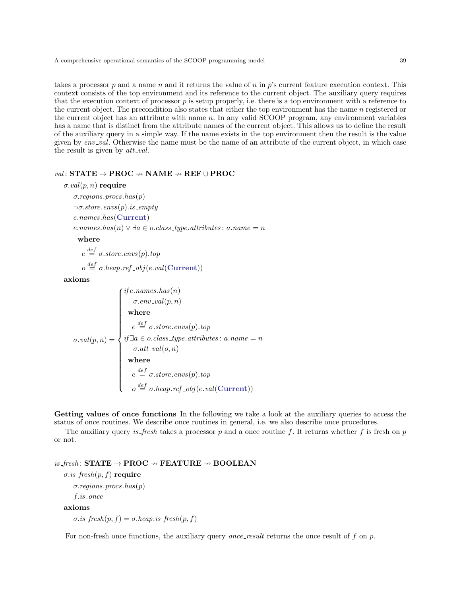takes a processor p and a name n and it returns the value of n in  $p$ 's current feature execution context. This context consists of the top environment and its reference to the current object. The auxiliary query requires that the execution context of processor  $p$  is setup properly, i.e. there is a top environment with a reference to the current object. The precondition also states that either the top environment has the name n registered or the current object has an attribute with name n. In any valid SCOOP program, any environment variables has a name that is distinct from the attribute names of the current object. This allows us to define the result of the auxiliary query in a simple way. If the name exists in the top environment then the result is the value given by  $env\_val$ . Otherwise the name must be the name of an attribute of the current object, in which case the result is given by  $\textit{att_val}$ .

## $val\colon\mathbf{STATE}\to\mathbf{PROC}\nrightarrow\mathbf{NAME}\nrightarrow\mathbf{REF}\cup\mathbf{PROC}$

```
\sigma.val(p,n) require
```

```
\sigma.regions.procs.has(p)
```
 $\neg \sigma. store. envs(p). is\_empty$ 

e.names.has(Current)

e.names.has $(n) \vee \exists a \in o.class_type.attributes: a.name = n$ 

where

 $e \stackrel{def}{=} \sigma . store. env(p). top$ 

 $o \stackrel{def}{=} \sigma \text{.} \text{heap.} \text{ref\_obj}(e \text{.} \text{val}(\text{Current}))$ 

axioms

$$
\sigma.val(p, n) = \begin{cases}\n \text{if } e.name s.has(n) \\
 \sigma . env\_val(p, n) \\
 \text{where} \\
 e \stackrel{def}{=} \sigma .store. env(p).top \\
 \text{if } \exists a \in o.class\_type. attributes: a.name = n \\
 \sigma .att\_val(o, n) \\
 \text{where} \\
 e \stackrel{def}{=} \sigma .store. env(p).top \\
 e \stackrel{def}{=} \sigma .keep.ref\_obj(e.val(\text{Current}))\n\end{cases}
$$

Getting values of once functions In the following we take a look at the auxiliary queries to access the status of once routines. We describe once routines in general, i.e. we also describe once procedures.

The auxiliary query is fresh takes a processor p and a once routine f. It returns whether f is fresh on p or not.

## $is\_fresh: STATE \rightarrow PROC \nrightarrow FEATURE \nrightarrow BOOLEAN$

```
\sigma.is\_fresh(p, f) require
   \sigma.regions.procs.has(p)
   f.is\_once
```
axioms

 $\sigma.is\_fresh(p, f) = \sigma.heap.is\_fresh(p, f)$ 

For non-fresh once functions, the auxiliary query *once result* returns the once result of f on p.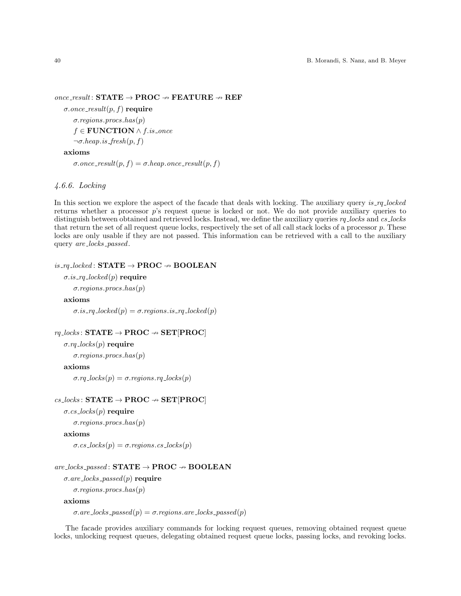```
once\_result \colon \mathbf{STATE} \to \mathbf{PROC} \nrightarrow \mathbf{FEATURE} \nrightarrow \mathbf{REF}
```
 $\sigma$ .once\_result(p, f) require  $\sigma$ .regions.procs.has(p)  $f \in \textbf{FUNCTION} \land f.is\_once$ 

 $\neg \sigma. \text{heap.} is \text{\_} \text{ fresh}(p, f)$ 

#### axioms

 $\sigma.\text{once\_result}(p, f) = \sigma.\text{heap}.\text{once\_result}(p, f)$ 

## 4.6.6. Locking

In this section we explore the aspect of the facade that deals with locking. The auxiliary query is rq locked returns whether a processor p's request queue is locked or not. We do not provide auxiliary queries to distinguish between obtained and retrieved locks. Instead, we define the auxiliary queries  $rq\_locks$  and  $cs\_locks$ that return the set of all request queue locks, respectively the set of all call stack locks of a processor p. These locks are only usable if they are not passed. This information can be retrieved with a call to the auxiliary query are locks passed.

## is\_rq\_locked:  $STATE \rightarrow \text{PROC} \rightarrow \text{BOOLEAN}$

 $\sigma.is\_rq\_locked(p)$  require

 $\sigma$ .regions.procs.has(p)

## axioms

 $\sigma.is\_rq\_locked(p) = \sigma.\mathit{regions}.is\_rq\_locked(p)$ 

## $rq\_locks$ :  $STATE \rightarrow PROC \nrightarrow SET[PROC]$

```
\sigma.rq<sub>-locks</sub>(p) require
```
 $\sigma$ .regions.procs.has(p)

## axioms

 $\sigma.\text{rq\_locks}(p) = \sigma.\text{regions.rq\_locks}(p)$ 

## $cs\_{locks}$ :  $STATE \rightarrow PROC \rightarrow SET[PROC]$

```
\sigma.cs locks(p) require
```
 $\sigma$ .regions.procs.has(p)

## axioms

 $\sigma.cs\_locks(p) = \sigma.readions.cs\_locks(p)$ 

## $are\_locks\_passed \colon \mathbf{STATE} \to \mathbf{PROC} \nrightarrow \mathbf{BOOLEAN}$

 $\sigma.$ are\_locks\_passed(p) require

 $\sigma$ .regions.procs.has(p)

## axioms

 $\sigma$ .are locks passed(p) =  $\sigma$ .regions.are locks passed(p)

The facade provides auxiliary commands for locking request queues, removing obtained request queue locks, unlocking request queues, delegating obtained request queue locks, passing locks, and revoking locks.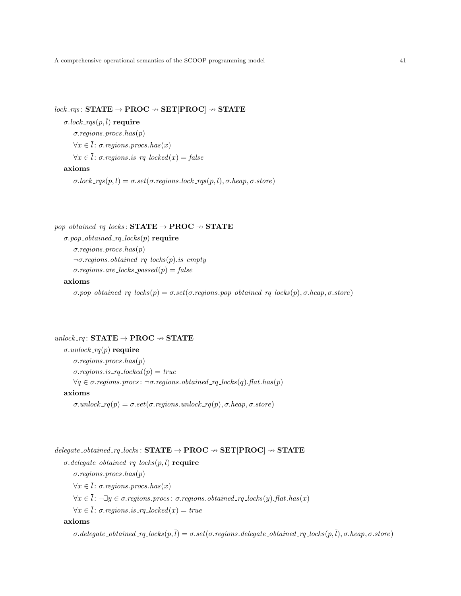## $lock\_rqs \colon \mathbf{STATE} \to \mathbf{PROC} \nrightarrow \mathbf{SET}[\mathbf{PROC}] \nrightarrow \mathbf{STATE}$

σ.lock\_rqs(p, $\overline{l}$ ) require  $\sigma$ .regions.procs.has(p)  $\forall x \in \overline{l} : \sigma \text{.regions. process.} has(x)$  $\forall x \in \overline{l} : \sigma \text{.regions.} is \text{.}rq \text{.locked}(x) = \text{false}$ 

## axioms

σ.lock\_rqs(p, $\overline{l}$ ) = σ.set(σ.regions.lock\_rqs(p, $\overline{l}$ ), σ.heap, σ.store)

#### $pop\_obtained\_rq\_locks \colon \textbf{STATE} \rightarrow \textbf{PROC} \nrightarrow \textbf{STATE}$

 $\sigma$ .pop\_obtained\_rq\_locks(p) require  $\sigma$ .regions.procs.has(p)  $\neg \sigma. regions. obtained\_rq\_locks(p).is\_empty$  $\sigma$ .regions.are\_locks\_passed(p) = false

### axioms

σ.pop\_obtained\_rq\_locks(p) =  $\sigma.set(\sigma. regions.pop\_obtained\_rq\_locks(p), \sigma. heap, \sigma. store)$ 

## $unlock_{\mathcal{A}}: \textbf{STATE} \rightarrow \textbf{PROC} \nrightarrow \textbf{STATE}$

σ.unlock\_rq(p) require  $\sigma$ .regions.procs.has(p)  $\sigma$ .regions.is\_rq\_locked(p) = true  $\forall q \in \sigma$  regions.procs:  $\neg \sigma$  regions.obtained  $rq\_locks(q)$ .flat.has(p) axioms σ.unlock rq(p) = σ.set(σ.regions.unlock rq(p), σ.heap, σ.store)

```
\text{delegate\_obtained\_rq\_locks} : \textbf{STATE} \rightarrow \textbf{PROC} \nrightarrow \textbf{SET}[\textbf{PROC}] \nrightarrow \textbf{STATE}
```
 $\sigma$ .delegate\_obtained\_rq\_locks(p, $\bar{l}$ ) require

 $\sigma$ .regions.procs.has(p)

 $\forall x \in \overline{l} : \sigma.\mathit{regions}.\mathit{procs}.\mathit{has}(x)$ 

 $\forall x \in \overline{l} : \neg \exists y \in \sigma \text{.regions. process}: \sigma \text{.regions. obtained\_rq\_locks(y). flat. has(x)$ 

 $\forall x \in \overline{l} : \sigma \text{.regions.} is \text{--}rq \text{.locked}(x) = true$ 

## axioms

σ.delegate\_obtained\_rq\_locks(p, $\overline{l}$ ) = σ.set(σ.regions.delegate\_obtained\_rq\_locks(p, $\overline{l}$ ), σ.heap, σ.store)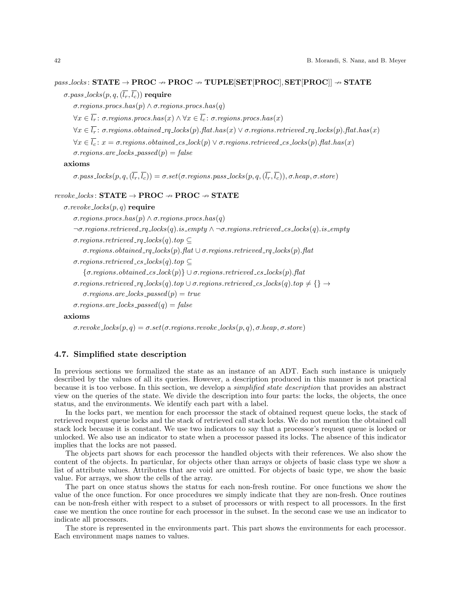## $pass\_locks \colon \mathbf{STATE} \to \mathbf{PROC} \nrightarrow \mathbf{PROC} \nrightarrow \mathbf{TUPLE}[\mathbf{SET}[\mathbf{PROC}], \mathbf{SET}[\mathbf{PROC}]\nrightarrow \mathbf{STATE}$

 $\sigma$ .pass\_locks(p, q,  $(\overline{l_r}, \overline{l_c})$ ) require

σ.regions.procs.has(p) ∧ σ.regions.procs.has(q)

 $\forall x \in \overline{l_r} : \sigma.\mathit{regions}.\mathit{process}.\mathit{has}(x) \land \forall x \in \overline{l_c} : \sigma.\mathit{regions}.\mathit{process}.\mathit{has}(x)$ 

 $\forall x \in \overline{l_r} : \sigma.\mathit{regions}.\mathit{obtained\_rq}\_\mathit{locks}(p).\mathit{flat}.\mathit{has}(x) \lor \sigma.\mathit{regions}.\mathit{retrieved\_rq}\_\mathit{locks}(p).\mathit{flat}.\mathit{has}(x)$ 

 $\forall x \in \overline{l_c} : x = \sigma$ .regions.obtained\_cs\_lock(p)  $\lor \sigma$ .regions.retrieved\_cs\_locks(p).flat.has(x)

 $\sigma$ .regions.are\_locks\_passed(p) = false

axioms

 $\sigma$ .pass\_locks(p, q,( $\overline{l_r}, \overline{l_c}$ )) =  $\sigma$ .set( $\sigma$ .regions.pass\_locks(p, q,( $\overline{l_r}, \overline{l_c}$ )), $\sigma$ .heap, $\sigma$ .store)

# $\textit{revoke\_locks} \colon \mathbf{STATE} \to \mathbf{PROC} \nrightarrow \mathbf{PROC} \nrightarrow \mathbf{STATE}$

 $\sigma$ .revoke\_locks $(p, q)$  require

 $\sigma$ .regions.procs.has(p)  $\land \sigma$ .regions.procs.has(q)

 $\neg \sigma.\mathit{regions}.retrieved\_rq\_locks(q).\mathit{is\_empty} \land \neg \sigma.\mathit{regions}.retrieved\_cs\_locks(q).\mathit{is\_empty}$ 

 $\sigma$ .regions.retrieved\_rq\_locks(q).top  $\subseteq$ 

 $σ. regions. obtained_rq\_locks(p).flat ∪ σ. regions. retrieved_rq\_locks(p).flat$ 

 $\sigma$ .regions.retrieved\_cs\_locks(q).top  $\subset$ 

 $\{\sigma.\mathit{regions}.\mathit{obtained}\_\mathit{cs}\_\mathit{lock}(p)\}\cup \sigma.\mathit{regions}.\mathit{retrieved}\_\mathit{cs}\_\mathit{locks}(p).\mathit{flat}$ 

 $σ. regions. retrieved_rq\_locks(q).top ∪ σ. regions. retrieved_css(a).top √$ 

 $\sigma$ .regions.are\_locks\_passed(p) = true

 $\sigma$ .regions.are\_locks\_passed(q) = false

axioms

σ.revoke locks(p, q) = σ.set(σ.regions.revoke locks(p, q), σ.heap, σ.store)

### 4.7. Simplified state description

In previous sections we formalized the state as an instance of an ADT. Each such instance is uniquely described by the values of all its queries. However, a description produced in this manner is not practical because it is too verbose. In this section, we develop a simplified state description that provides an abstract view on the queries of the state. We divide the description into four parts: the locks, the objects, the once status, and the environments. We identify each part with a label.

In the locks part, we mention for each processor the stack of obtained request queue locks, the stack of retrieved request queue locks and the stack of retrieved call stack locks. We do not mention the obtained call stack lock because it is constant. We use two indicators to say that a processor's request queue is locked or unlocked. We also use an indicator to state when a processor passed its locks. The absence of this indicator implies that the locks are not passed.

The objects part shows for each processor the handled objects with their references. We also show the content of the objects. In particular, for objects other than arrays or objects of basic class type we show a list of attribute values. Attributes that are void are omitted. For objects of basic type, we show the basic value. For arrays, we show the cells of the array.

The part on once status shows the status for each non-fresh routine. For once functions we show the value of the once function. For once procedures we simply indicate that they are non-fresh. Once routines can be non-fresh either with respect to a subset of processors or with respect to all processors. In the first case we mention the once routine for each processor in the subset. In the second case we use an indicator to indicate all processors.

The store is represented in the environments part. This part shows the environments for each processor. Each environment maps names to values.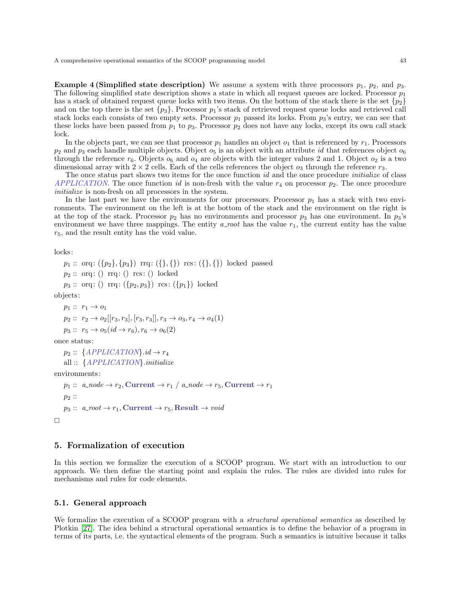**Example 4 (Simplified state description)** We assume a system with three processors  $p_1$ ,  $p_2$ , and  $p_3$ . The following simplified state description shows a state in which all request queues are locked. Processor  $p_1$ has a stack of obtained request queue locks with two items. On the bottom of the stack there is the set  $\{p_2\}$ and on the top there is the set  $\{p_3\}$ . Processor  $p_1$ 's stack of retrieved request queue locks and retrieved call stack locks each consists of two empty sets. Processor  $p_1$  passed its locks. From  $p_3$ 's entry, we can see that these locks have been passed from  $p_1$  to  $p_3$ . Processor  $p_2$  does not have any locks, except its own call stack lock.

In the objects part, we can see that processor  $p_1$  handles an object  $o_1$  that is referenced by  $r_1$ . Processors  $p_2$  and  $p_3$  each handle multiple objects. Object  $\sigma_5$  is an object with an attribute id that references object  $\sigma_6$ through the reference  $r_6$ . Objects  $o_6$  and  $o_4$  are objects with the integer values 2 and 1. Object  $o_2$  is a two dimensional array with  $2 \times 2$  cells. Each of the cells references the object  $o_3$  through the reference  $r_3$ .

The once status part shows two items for the once function id and the once procedure *initialize* of class APPLICATION. The once function id is non-fresh with the value  $r_4$  on processor  $p_2$ . The once procedure initialize is non-fresh on all processors in the system.

In the last part we have the environments for our processors. Processor  $p_1$  has a stack with two environments. The environment on the left is at the bottom of the stack and the environment on the right is at the top of the stack. Processor  $p_2$  has no environments and processor  $p_3$  has one environment. In  $p_3$ 's environment we have three mappings. The entity a root has the value  $r_1$ , the current entity has the value  $r_5$ , and the result entity has the void value.

locks:

```
p_1 :: \text{org}: (\{p_2\}, \{p_3\}) \text{ rrq}: (\{\}, \{\}) \text{ rcs}: (\{\}, \{\}) \text{ locked passed}p_2 :: \text{org}: () \text{ rng}: () \text{ res}: () \text{ locked}p_3 :: \text{ orq} : () \text{ rrq} : (\{p_2, p_3\}) \text{ rcs} : (\{p_1\}) \text{ locked}objects:
    p_1 :: r_1 \rightarrow o_1p_2 :: r_2 \rightarrow o_2[[r_3, r_3], [r_3, r_3]], r_3 \rightarrow o_3, r_4 \rightarrow o_4(1)p_3 :: r_5 \to o_5(id \to r_6), r_6 \to o_6(2)once status:
    p_2 :: \{APPLICATION\}.id \rightarrow r_4all :: {APPLICATION}.initialize
environments:
    p_1 :: a\_node \rightarrow r_2, Current \rightarrow r_1 / a\_node \rightarrow r_5, Current \rightarrow r_1p_2:
    p_3 :: a_{\text{1}}\text{root} \rightarrow r_1, Current \rightarrow r_5, Result \rightarrow \text{void}
```
 $\Box$ 

## 5. Formalization of execution

In this section we formalize the execution of a SCOOP program. We start with an introduction to our approach. We then define the starting point and explain the rules. The rules are divided into rules for mechanisms and rules for code elements.

### 5.1. General approach

We formalize the execution of a SCOOP program with a *structural operational semantics* as described by Plotkin [\[27\]](#page-79-0). The idea behind a structural operational semantics is to define the behavior of a program in terms of its parts, i.e. the syntactical elements of the program. Such a semantics is intuitive because it talks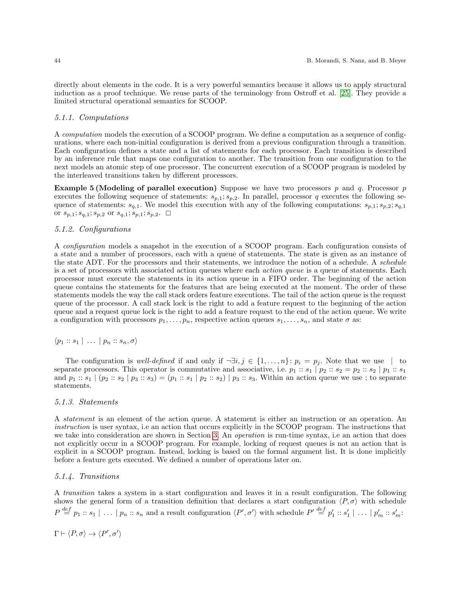directly about elements in the code. It is a very powerful semantics because it allows us to apply structural induction as a proof technique. We reuse parts of the terminology from Ostroff et al. [\[25\]](#page-79-1). They provide a limited structural operational semantics for SCOOP.

### 5.1.1. Computations

A computation models the execution of a SCOOP program. We define a computation as a sequence of configurations, where each non-initial configuration is derived from a previous configuration through a transition. Each configuration defines a state and a list of statements for each processor. Each transition is described by an inference rule that maps one configuration to another. The transition from one configuration to the next models an atomic step of one processor. The concurrent execution of a SCOOP program is modeled by the interleaved transitions taken by different processors.

**Example 5 (Modeling of parallel execution)** Suppose we have two processors p and q. Processor p executes the following sequence of statements:  $s_{p,1}; s_{p,2}$ . In parallel, processor q executes the following sequence of statements:  $s_{q,1}$ . We model this execution with any of the following computations:  $s_{p,1}; s_{p,2}; s_{q,1}$ or  $s_{p,1}; s_{q,1}; s_{p,2}$  or  $s_{q,1}; s_{p,1}; s_{p,2}. \square$ 

## 5.1.2. Configurations

A configuration models a snapshot in the execution of a SCOOP program. Each configuration consists of a state and a number of processors, each with a queue of statements. The state is given as an instance of the state ADT. For the processors and their statements, we introduce the notion of a schedule. A *schedule* is a set of processors with associated action queues where each *action queue* is a queue of statements. Each processor must execute the statements in its action queue in a FIFO order. The beginning of the action queue contains the statements for the features that are being executed at the moment. The order of these statements models the way the call stack orders feature executions. The tail of the action queue is the request queue of the processor. A call stack lock is the right to add a feature request to the beginning of the action queue and a request queue lock is the right to add a feature request to the end of the action queue. We write a configuration with processors  $p_1, \ldots, p_n$ , respective action queues  $s_1, \ldots, s_n$ , and state  $\sigma$  as:

$$
\langle p_1 :: s_1 \mid \ldots \mid p_n :: s_n, \sigma \rangle
$$

The configuration is well-defined if and only if  $\neg \exists i, j \in \{1, ..., n\}$ :  $p_i = p_j$ . Note that we use | to separate processors. This operator is commutative and associative, i.e.  $p_1 :: s_1 | p_2 :: s_2 = p_2 :: s_2 | p_1 :: s_1$ and  $p_1 :: s_1 | (p_2 :: s_2 | p_3 :: s_3) = (p_1 :: s_1 | p_2 :: s_2) | p_3 :: s_3$ . Within an action queue we use; to separate statements.

## 5.1.3. Statements

A statement is an element of the action queue. A statement is either an instruction or an operation. An instruction is user syntax, i.e an action that occurs explicitly in the SCOOP program. The instructions that we take into consideration are shown in Section [3.](#page-4-0) An *operation* is run-time syntax, i.e an action that does not explicitly occur in a SCOOP program. For example, locking of request queues is not an action that is explicit in a SCOOP program. Instead, locking is based on the formal argument list. It is done implicitly before a feature gets executed. We defined a number of operations later on.

#### 5.1.4. Transitions

A transition takes a system in a start configuration and leaves it in a result configuration. The following shows the general form of a transition definition that declares a start configuration  $\langle P, \sigma \rangle$  with schedule  $P \stackrel{def}{=} p_1 :: s_1 \mid ... \mid p_n :: s_n$  and a result configuration  $\langle P', \sigma' \rangle$  with schedule  $P' \stackrel{def}{=} p'_1 :: s'_1 \mid ... \mid p'_m :: s'_m$ .

 $\Gamma \vdash \langle P, \sigma \rangle \rightarrow \langle P', \sigma' \rangle$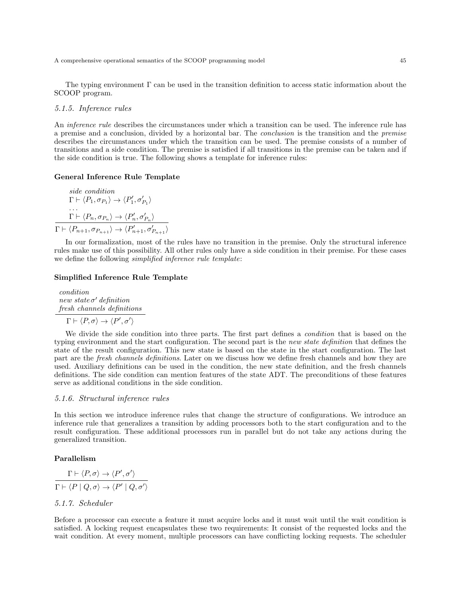The typing environment Γ can be used in the transition definition to access static information about the SCOOP program.

#### 5.1.5. Inference rules

An inference rule describes the circumstances under which a transition can be used. The inference rule has a premise and a conclusion, divided by a horizontal bar. The conclusion is the transition and the premise describes the circumstances under which the transition can be used. The premise consists of a number of transitions and a side condition. The premise is satisfied if all transitions in the premise can be taken and if the side condition is true. The following shows a template for inference rules:

#### General Inference Rule Template

side condition  $\Gamma \vdash \langle P_1, \sigma_{P_1} \rangle \rightarrow \langle P'_1, \sigma'_{P_1} \rangle$ . . .  $\Gamma \vdash \langle P_n, \sigma_{P_n} \rangle \rightarrow \langle P'_n, \sigma'_{P_n} \rangle$  $\Gamma \vdash \langle P_{n+1}, \sigma_{P_{n+1}} \rangle \rightarrow \langle P'_{n+1}, \sigma'_{P_{n+1}} \rangle$ 

In our formalization, most of the rules have no transition in the premise. Only the structural inference rules make use of this possibility. All other rules only have a side condition in their premise. For these cases we define the following simplified inference rule template:

### Simplified Inference Rule Template

condition  $new state \sigma' definition$ fresh channels definitions  $\Gamma \vdash \langle P, \sigma \rangle \rightarrow \langle P', \sigma' \rangle$ 

We divide the side condition into three parts. The first part defines a *condition* that is based on the typing environment and the start configuration. The second part is the *new state definition* that defines the state of the result configuration. This new state is based on the state in the start configuration. The last part are the fresh channels definitions. Later on we discuss how we define fresh channels and how they are used. Auxiliary definitions can be used in the condition, the new state definition, and the fresh channels definitions. The side condition can mention features of the state ADT. The preconditions of these features serve as additional conditions in the side condition.

#### 5.1.6. Structural inference rules

In this section we introduce inference rules that change the structure of configurations. We introduce an inference rule that generalizes a transition by adding processors both to the start configuration and to the result configuration. These additional processors run in parallel but do not take any actions during the generalized transition.

#### Parallelism

$$
\frac{\Gamma \vdash \langle P, \sigma \rangle \to \langle P', \sigma' \rangle}{\Gamma \vdash \langle P \mid Q, \sigma \rangle \to \langle P' \mid Q, \sigma' \rangle}
$$

### 5.1.7. Scheduler

Before a processor can execute a feature it must acquire locks and it must wait until the wait condition is satisfied. A locking request encapsulates these two requirements: It consist of the requested locks and the wait condition. At every moment, multiple processors can have conflicting locking requests. The scheduler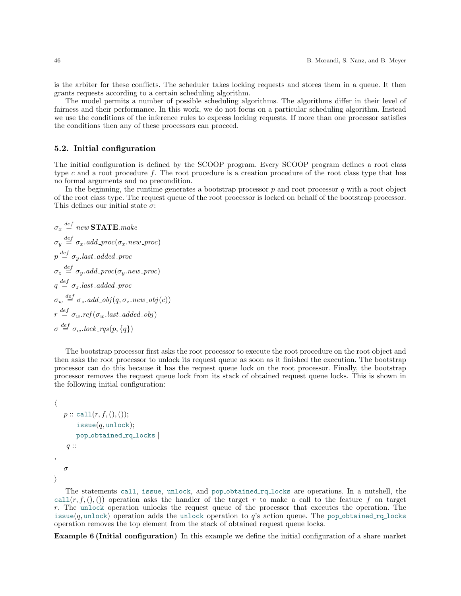is the arbiter for these conflicts. The scheduler takes locking requests and stores them in a queue. It then grants requests according to a certain scheduling algorithm.

The model permits a number of possible scheduling algorithms. The algorithms differ in their level of fairness and their performance. In this work, we do not focus on a particular scheduling algorithm. Instead we use the conditions of the inference rules to express locking requests. If more than one processor satisfies the conditions then any of these processors can proceed.

## 5.2. Initial configuration

The initial configuration is defined by the SCOOP program. Every SCOOP program defines a root class type c and a root procedure f. The root procedure is a creation procedure of the root class type that has no formal arguments and no precondition.

In the beginning, the runtime generates a bootstrap processor  $p$  and root processor  $q$  with a root object of the root class type. The request queue of the root processor is locked on behalf of the bootstrap processor. This defines our initial state  $\sigma$ :

$$
\begin{array}{l} \sigma_x \stackrel{def}{=} \mathit{new}\,\text{STATE}.\mathit{make} \\ \sigma_y \stackrel{def}{=} \sigma_x.\mathit{add\_proc}(\sigma_x.\mathit{new\_proc}) \\ p \stackrel{def}{=} \sigma_y.\mathit{last}\_added\_proc} \\ \sigma_z \stackrel{def}{=} \sigma_y.\mathit{add\_proc}(\sigma_y.\mathit{new\_proc}) \\ q \stackrel{def}{=} \sigma_z.\mathit{last}\_added\_proc} \\ \sigma_w \stackrel{def}{=} \sigma_z.\mathit{add\_obj}(q,\sigma_z.\mathit{new\_obj}(c)) \\ r \stackrel{def}{=} \sigma_w.\mathit{ref}(\sigma_w.\mathit{last}\_added\_obj) \\ \sigma \stackrel{def}{=} \sigma_w.\mathit{lock}\_rqs(p,\{q\}) \end{array}
$$

The bootstrap processor first asks the root processor to execute the root procedure on the root object and then asks the root processor to unlock its request queue as soon as it finished the execution. The bootstrap processor can do this because it has the request queue lock on the root processor. Finally, the bootstrap processor removes the request queue lock from its stack of obtained request queue locks. This is shown in the following initial configuration:

```
\langlep:: call(r, f,(),(),issue(q,unlock);
      pop obtained rq locks |
   q::,
  σ
```
 $\rangle$ 

The statements call, issue, unlock, and pop obtained rq locks are operations. In a nutshell, the call $(r, f, (),))$  operation asks the handler of the target r to make a call to the feature f on target r. The unlock operation unlocks the request queue of the processor that executes the operation. The issue(q, unlock) operation adds the unlock operation to q's action queue. The pop obtained rq locks operation removes the top element from the stack of obtained request queue locks.

Example 6 (Initial configuration) In this example we define the initial configuration of a share market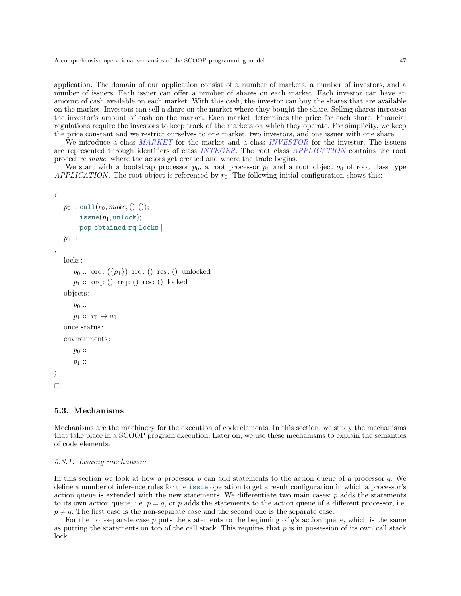application. The domain of our application consist of a number of markets, a number of investors, and a number of issuers. Each issuer can offer a number of shares on each market. Each investor can have an amount of cash available on each market. With this cash, the investor can buy the shares that are available on the market. Investors can sell a share on the market where they bought the share. Selling shares increases the investor's amount of cash on the market. Each market determines the price for each share. Financial regulations require the investors to keep track of the markets on which they operate. For simplicity, we keep the price constant and we restrict ourselves to one market, two investors, and one issuer with one share.

We introduce a class MARKET for the market and a class INVESTOR for the investor. The issuers are represented through identifiers of class INTEGER. The root class APPLICATION contains the root procedure make, where the actors get created and where the trade begins.

We start with a bootstrap processor  $p_0$ , a root processor  $p_1$  and a root object  $o_0$  of root class type APPLICATION. The root object is referenced by  $r_0$ . The following initial configuration shows this:

```
\langlep_0 :: call(r_0, make,(),());
        issue(p_1, \text{undock});pop_obtained_rq_locks |
   p_1 ::
```

```
locks:
```
,

 $\left\langle \right\rangle$  $\Box$ 

```
p_0 :: \text{org} : (\{p_1\}) \text{ rng} : () \text{ res} : () \text{ unlocked}p_1 :: orq: () rrq: () rcs: () locked
objects:
    p_0:
    p_1 :: r_0 \rightarrow o_0once status:
environments:
    p_0:
    p_1:
```
## 5.3. Mechanisms

Mechanisms are the machinery for the execution of code elements. In this section, we study the mechanisms that take place in a SCOOP program execution. Later on, we use these mechanisms to explain the semantics of code elements.

## 5.3.1. Issuing mechanism

In this section we look at how a processor p can add statements to the action queue of a processor q. We define a number of inference rules for the issue operation to get a result configuration in which a processor's action queue is extended with the new statements. We differentiate two main cases: p adds the statements to its own action queue, i.e.  $p = q$ , or p adds the statements to the action queue of a different processor, i.e.  $p \neq q$ . The first case is the non-separate case and the second one is the separate case.

For the non-separate case  $p$  puts the statements to the beginning of  $q$ 's action queue, which is the same as putting the statements on top of the call stack. This requires that  $p$  is in possession of its own call stack lock.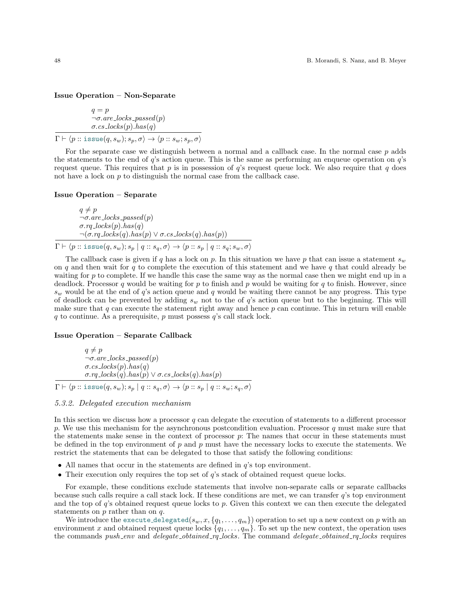#### Issue Operation – Non-Separate

 $q = p$  $\neg \sigma \text{.} are \text{.} locks \text{.} passed(p)$  $\sigma$ .cs\_locks(p).has(q)

 $\Gamma \vdash \langle p :: \text{\small{issue}}(q, s_w); s_p, \sigma \rangle \rightarrow \langle p :: s_w; s_p, \sigma \rangle$ 

For the separate case we distinguish between a normal and a callback case. In the normal case  $p$  adds the statements to the end of  $q$ 's action queue. This is the same as performing an enqueue operation on  $q$ 's request queue. This requires that  $p$  is in possession of  $q$ 's request queue lock. We also require that  $q$  does not have a lock on  $p$  to distinguish the normal case from the callback case.

#### Issue Operation – Separate

 $q \neq p$  $\neg \sigma \text{.} are \text{.} locks \text{.} passed(p)$  $\sigma$ .rq\_locks(p).has(q)  $\neg(\sigma.\textit{rq\_locks}(q).\textit{has}(p) \lor \sigma.\textit{cs\_locks}(q).\textit{has}(p))$ 

## $\Gamma \vdash \langle p:: \text{issue}(q, s_w); s_p \mid q:: s_q, \sigma \rangle \rightarrow \langle p:: s_p \mid q:: s_q; s_w, \sigma \rangle$

The callback case is given if q has a lock on p. In this situation we have p that can issue a statement  $s_w$ on q and then wait for q to complete the execution of this statement and we have q that could already be waiting for p to complete. If we handle this case the same way as the normal case then we might end up in a deadlock. Processor q would be waiting for p to finish and p would be waiting for q to finish. However, since  $s_w$  would be at the end of q's action queue and q would be waiting there cannot be any progress. This type of deadlock can be prevented by adding  $s_w$  not to the of  $q$ 's action queue but to the beginning. This will make sure that  $q$  can execute the statement right away and hence  $p$  can continue. This in return will enable  $q$  to continue. As a prerequisite,  $p$  must possess  $q$ 's call stack lock.

### Issue Operation – Separate Callback

 $q \neq p$  $\neg \sigma.$ are  $-locks$  passed $(p)$  $\sigma$ .cs  $-locks(p)$ .has(q)  $\sigma$ .rq\_locks(q).has(p)  $\lor \sigma$ .cs\_locks(q).has(p)  $\Gamma \vdash \langle p:: \text{issue}(q, s_w); s_p \mid q:: s_q, \sigma \rangle \rightarrow \langle p:: s_p \mid q:: s_w; s_q, \sigma \rangle$ 

5.3.2. Delegated execution mechanism

In this section we discuss how a processor q can delegate the execution of statements to a different processor p. We use this mechanism for the asynchronous postcondition evaluation. Processor  $q$  must make sure that the statements make sense in the context of processor p: The names that occur in these statements must be defined in the top environment of  $p$  and  $p$  must have the necessary locks to execute the statements. We restrict the statements that can be delegated to those that satisfy the following conditions:

- All names that occur in the statements are defined in  $q$ 's top environment.
- Their execution only requires the top set of  $q$ 's stack of obtained request queue locks.

For example, these conditions exclude statements that involve non-separate calls or separate callbacks because such calls require a call stack lock. If these conditions are met, we can transfer q's top environment and the top of  $q$ 's obtained request queue locks to  $p$ . Given this context we can then execute the delegated statements on  $p$  rather than on  $q$ .

We introduce the execute delegated( $s_w, x, \{q_1, \ldots, q_m\}$ ) operation to set up a new context on p with an environment x and obtained request queue locks  $\{q_1, \ldots, q_m\}$ . To set up the new context, the operation uses the commands push env and delegate obtained  $rq\_locks$ . The command delegate obtained  $rq\_locks$  requires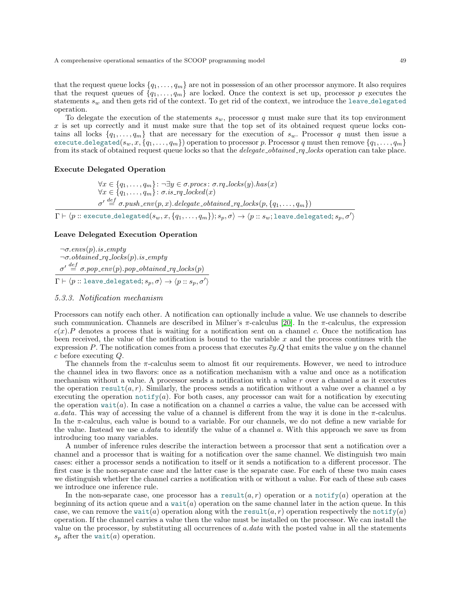that the request queue locks  $\{q_1, \ldots, q_m\}$  are not in possession of an other processor anymore. It also requires that the request queues of  $\{q_1, \ldots, q_m\}$  are locked. Once the context is set up, processor p executes the statements  $s_w$  and then gets rid of the context. To get rid of the context, we introduce the leave delegated operation.

To delegate the execution of the statements  $s_w$ , processor q must make sure that its top environment  $x$  is set up correctly and it must make sure that the top set of its obtained request queue locks contains all locks  $\{q_1, \ldots, q_m\}$  that are necessary for the execution of  $s_w$ . Processor q must then issue a execute delegated( $s_w, x, \{q_1, \ldots, q_m\}$ ) operation to processor p. Processor q must then remove  $\{q_1, \ldots, q_m\}$ from its stack of obtained request queue locks so that the *delegate\_obtained\_rq\_locks* operation can take place.

### Execute Delegated Operation

 $\forall x \in \{q_1, \ldots, q_m\} \colon \neg \exists y \in \sigma.\text{process} \colon \sigma.\text{rq\_locks}(y).\text{has}(x)$  $\forall x \in \{q_1, \ldots, q_m\}$ :  $\sigma$ .is\_rq\_locked(x)  $\sigma' \stackrel{def}{=} \sigma.push\_env(p, x). \textit{delegate\_obtained\_rq\_locks}(p, \{q_1, \ldots, q_m\})$ 

 $\Gamma \vdash \langle p::$  execute\_delegated $(s_w, x, \{q_1, \ldots, q_m\}); s_p, \sigma\rangle \rightarrow \langle p::s_w;$  leave\_delegated;  $s_p, \sigma'\rangle$ 

## Leave Delegated Execution Operation

 $\neg \sigma. envs(p). is\_empty$  $\neg \sigma. obtained\_rq\_locks(p).is\_empty$  $\sigma' \stackrel{def}{=} \sigma.pop\_env(p).pop\_obtained\_rq\_locks(p)$  $\Gamma \vdash \langle p :: \texttt{leave\_deleted}; s_p, \sigma \rangle \rightarrow \langle p :: s_p, \sigma' \rangle$ 

5.3.3. Notification mechanism

Processors can notify each other. A notification can optionally include a value. We use channels to describe such communication. Channels are described in Milner's  $\pi$ -calculus [\[20\]](#page-79-2). In the  $\pi$ -calculus, the expression  $c(x)$ . P denotes a process that is waiting for a notification sent on a channel c. Once the notification has been received, the value of the notification is bound to the variable  $x$  and the process continues with the expression P. The notification comes from a process that executes  $\overline{c}y.Q$  that emits the value y on the channel c before executing Q.

The channels from the  $\pi$ -calculus seem to almost fit our requirements. However, we need to introduce the channel idea in two flavors: once as a notification mechanism with a value and once as a notification mechanism without a value. A processor sends a notification with a value  $r$  over a channel  $a$  as it executes the operation result $(a, r)$ . Similarly, the process sends a notification without a value over a channel a by executing the operation notify(a). For both cases, any processor can wait for a notification by executing the operation wait(a). In case a notification on a channel a carries a value, the value can be accessed with a.data. This way of accessing the value of a channel is different from the way it is done in the  $\pi$ -calculus. In the π-calculus, each value is bound to a variable. For our channels, we do not define a new variable for the value. Instead we use a.data to identify the value of a channel  $a$ . With this approach we save us from introducing too many variables.

A number of inference rules describe the interaction between a processor that sent a notification over a channel and a processor that is waiting for a notification over the same channel. We distinguish two main cases: either a processor sends a notification to itself or it sends a notification to a different processor. The first case is the non-separate case and the latter case is the separate case. For each of these two main cases we distinguish whether the channel carries a notification with or without a value. For each of these sub cases we introduce one inference rule.

In the non-separate case, one processor has a result $(a, r)$  operation or a notify(a) operation at the beginning of its action queue and a wait(a) operation on the same channel later in the action queue. In this case, we can remove the wait(a) operation along with the result(a, r) operation respectively the notify(a) operation. If the channel carries a value then the value must be installed on the processor. We can install the value on the processor, by substituting all occurrences of a.data with the posted value in all the statements  $s_p$  after the wait(*a*) operation.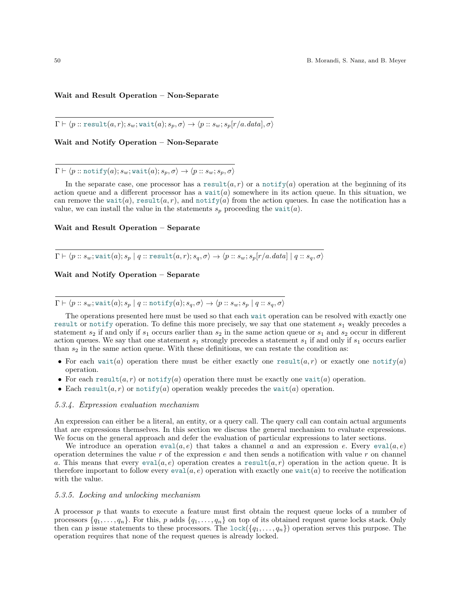### Wait and Result Operation – Non-Separate

 $\Gamma \vdash \langle p:: \text{result}(a, r); s_w; \text{wait}(a); s_p, \sigma \rangle \rightarrow \langle p:: s_w; s_p[r/a.data], \sigma \rangle$ 

#### Wait and Notify Operation – Non-Separate

 $\Gamma \vdash \langle p::\text{notify}(a); s_w; \text{wait}(a); s_p, \sigma \rangle \rightarrow \langle p::s_w; s_p, \sigma \rangle$ 

In the separate case, one processor has a result $(a, r)$  or a notify(a) operation at the beginning of its action queue and a different processor has a wait $(a)$  somewhere in its action queue. In this situation, we can remove the wait $(a)$ , result $(a, r)$ , and notify(a) from the action queues. In case the notification has a value, we can install the value in the statements  $s_p$  proceeding the wait $(a)$ .

#### Wait and Result Operation – Separate

 $\Gamma \vdash \langle p :: s_w; \text{wait}(a); s_n | q :: \text{result}(a, r); s_a, \sigma \rangle \rightarrow \langle p :: s_w; s_n[r/a.data] | q :: s_a, \sigma \rangle$ 

### Wait and Notify Operation – Separate

 $\Gamma \vdash \langle p::s_w; \mathtt{wait}(a); s_p \mid q::\mathtt{notify}(a); s_q, \sigma \rangle \rightarrow \langle p::s_w; s_p \mid q::s_a, \sigma \rangle$ 

The operations presented here must be used so that each wait operation can be resolved with exactly one result or notify operation. To define this more precisely, we say that one statement  $s_1$  weakly precedes a statement  $s_2$  if and only if  $s_1$  occurs earlier than  $s_2$  in the same action queue or  $s_1$  and  $s_2$  occur in different action queues. We say that one statement  $s_1$  strongly precedes a statement  $s_1$  if and only if  $s_1$  occurs earlier than  $s_2$  in the same action queue. With these definitions, we can restate the condition as:

- For each wait(a) operation there must be either exactly one result(a, r) or exactly one notify(a) operation.
- For each result $(a, r)$  or notify(a) operation there must be exactly one wait(a) operation.
- Each result $(a, r)$  or notify(a) operation weakly precedes the wait(a) operation.

#### 5.3.4. Expression evaluation mechanism

An expression can either be a literal, an entity, or a query call. The query call can contain actual arguments that are expressions themselves. In this section we discuss the general mechanism to evaluate expressions. We focus on the general approach and defer the evaluation of particular expressions to later sections.

We introduce an operation eval $(a, e)$  that takes a channel a and an expression e. Every eval $(a, e)$ operation determines the value r of the expression  $e$  and then sends a notification with value r on channel a. This means that every  $eval(a, e)$  operation creates a result $(a, r)$  operation in the action queue. It is therefore important to follow every  $eval(a, e)$  operation with exactly one wait $(a)$  to receive the notification with the value.

#### 5.3.5. Locking and unlocking mechanism

A processor p that wants to execute a feature must first obtain the request queue locks of a number of processors  $\{q_1, \ldots, q_n\}$ . For this, p adds  $\{q_1, \ldots, q_n\}$  on top of its obtained request queue locks stack. Only then can p issue statements to these processors. The  $l \circ k(\{q_1, \ldots, q_n\})$  operation serves this purpose. The operation requires that none of the request queues is already locked.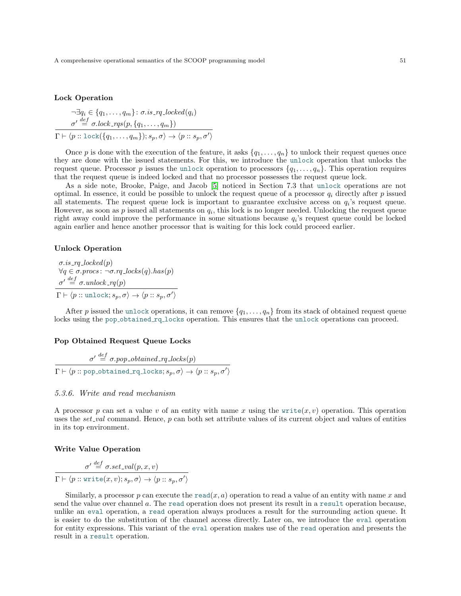## Lock Operation

$$
\neg \exists q_i \in \{q_1, \ldots, q_m\} \colon \sigma.is\_rq\_locked(q_i)
$$

$$
\sigma' \stackrel{def}{=} \sigma.close\_rg(p, \{q_1, \ldots, q_m\})
$$

$$
\Gamma \vdash \langle p :: \text{lock}(\{q_1, \ldots, q_m\}); s_p, \sigma \rangle \rightarrow \langle p :: s_p, \sigma' \rangle
$$

Once p is done with the execution of the feature, it asks  $\{q_1, \ldots, q_n\}$  to unlock their request queues once they are done with the issued statements. For this, we introduce the unlock operation that unlocks the request queue. Processor p issues the unlock operation to processors  $\{q_1, \ldots, q_n\}$ . This operation requires that the request queue is indeed locked and that no processor possesses the request queue lock.

As a side note, Brooke, Paige, and Jacob [\[5\]](#page-79-3) noticed in Section 7.3 that unlock operations are not optimal. In essence, it could be possible to unlock the request queue of a processor  $q_i$  directly after p issued all statements. The request queue lock is important to guarantee exclusive access on  $q_i$ 's request queue. However, as soon as  $p$  issued all statements on  $q_i$ , this lock is no longer needed. Unlocking the request queue right away could improve the performance in some situations because  $q_i$ 's request queue could be locked again earlier and hence another processor that is waiting for this lock could proceed earlier.

## Unlock Operation

 $\sigma$ .is\_rq\_locked(p)  $\forall q \in \sigma. pros : \neg \sigma.rq\_locks(q).has(p)$  $\sigma' \stackrel{def}{=} \sigma.$ unlock\_rq(p)  $\Gamma \vdash \langle p :: \text{unlock}; s_p, \sigma \rangle \rightarrow \langle p :: s_p, \sigma' \rangle$ 

After p issued the unlock operations, it can remove  $\{q_1, \ldots, q_n\}$  from its stack of obtained request queue locks using the pop obtained rq locks operation. This ensures that the unlock operations can proceed.

#### Pop Obtained Request Queue Locks

 $\sigma' \stackrel{def}{=} \sigma.pop\_obtained\_rq\_locks(p)$  $\Gamma \vdash \langle p::\mathsf{pop\_obtained\_rq\_locks}; s_p, \sigma\rangle \rightarrow \langle p::s_p, \sigma'\rangle$ 

### 5.3.6. Write and read mechanism

A processor p can set a value v of an entity with name x using the write $(x, v)$  operation. This operation uses the *set val* command. Hence, p can both set attribute values of its current object and values of entities in its top environment.

#### Write Value Operation

$$
\frac{\sigma' \stackrel{def}{=} \sigma.set\_val(p, x, v)}{\Gamma \vdash \langle p::\text{write}(x, v); s_p, \sigma \rangle \rightarrow \langle p::s_p, \sigma' \rangle}
$$

Similarly, a processor p can execute the read $(x, a)$  operation to read a value of an entity with name x and send the value over channel a. The read operation does not present its result in a result operation because, unlike an eval operation, a read operation always produces a result for the surrounding action queue. It is easier to do the substitution of the channel access directly. Later on, we introduce the eval operation for entity expressions. This variant of the eval operation makes use of the read operation and presents the result in a result operation.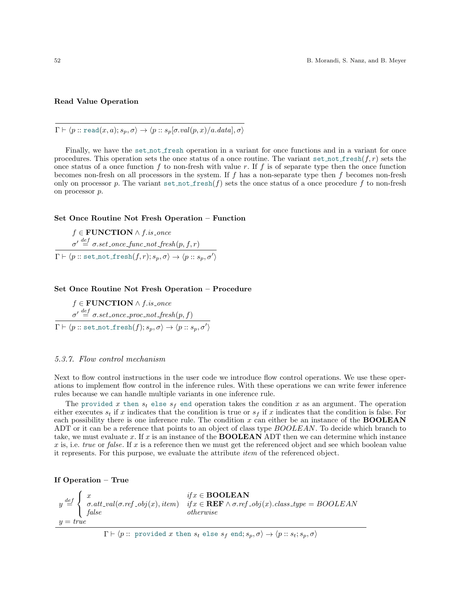### Read Value Operation

 $\Gamma \vdash \langle p:: \texttt{read}(x, a); s_p, \sigma \rangle \rightarrow \langle p:: s_p[\sigma.val(p, x)/a.data], \sigma \rangle$ 

Finally, we have the set not fresh operation in a variant for once functions and in a variant for once procedures. This operation sets the once status of a once routine. The variant set not fresh $(f, r)$  sets the once status of a once function f to non-fresh with value r. If f is of separate type then the once function becomes non-fresh on all processors in the system. If  $f$  has a non-separate type then  $f$  becomes non-fresh only on processor p. The variant  $set not_fresh(f)$  sets the once status of a once procedure f to non-fresh on processor p.

### Set Once Routine Not Fresh Operation – Function

 $f \in \textbf{FUNCTION} \wedge f.is\_once$  $\sigma' \stackrel{def}{=} \sigma.set\_once\_func\_not\_fresh(p,f,r)$  $\Gamma \vdash \langle p \text{ :: set\_not\_fresh}(f,r); s_p, \sigma \rangle \rightarrow \langle p :: s_p, \sigma' \rangle$ 

#### Set Once Routine Not Fresh Operation – Procedure

 $f \in \textbf{FUNCTION} \wedge f.is\_once$  $\sigma' \stackrel{def}{=} \sigma.set\_once\_proc\_not\_fresh(p, f)$  $\Gamma \vdash \langle p \text{ :: set\_not\_fresh}(f); s_p, \sigma \rangle \rightarrow \langle p :: s_p, \sigma' \rangle$ 

#### 5.3.7. Flow control mechanism

Next to flow control instructions in the user code we introduce flow control operations. We use these operations to implement flow control in the inference rules. With these operations we can write fewer inference rules because we can handle multiple variants in one inference rule.

The provided x then  $s_t$  else  $s_f$  end operation takes the condition x as an argument. The operation either executes  $s_t$  if x indicates that the condition is true or  $s_f$  if x indicates that the condition is false. For each possibility there is one inference rule. The condition  $x$  can either be an instance of the **BOOLEAN** ADT or it can be a reference that points to an object of class type *BOOLEAN*. To decide which branch to take, we must evaluate x. If x is an instance of the **BOOLEAN** ADT then we can determine which instance x is, i.e. true or false. If x is a reference then we must get the referenced object and see which boolean value it represents. For this purpose, we evaluate the attribute item of the referenced object.

If Operation – True

 $y \stackrel{def}{=}$  $\sqrt{ }$ J  $\mathcal{L}$ x  $if x \in \text{BOOLEAN}$  $\sigma . att\_val(\sigma .ref\_obj(x),item)$  if  $x \in \text{REF} \land \sigma .ref\_obj(x).class\_type = BOOLEAN$ false otherwise  $y = true$  $\Gamma \vdash \langle p::$  provided x then  $s_t$  else  $s_f$  end;  $s_p, \sigma \rangle \rightarrow \langle p:: s_t; s_p, \sigma \rangle$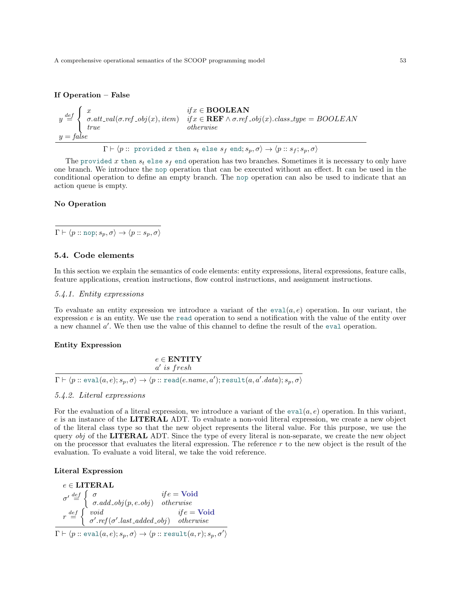### If Operation – False

$$
y \stackrel{def}{=} \begin{cases} x & \text{if } x \in \textbf{BOOLEAN} \\ \sigma.\text{att-val}(\sigma.\text{ref}.\text{obj}(x),\text{item}) & \text{if } x \in \textbf{REF} \land \sigma.\text{ref}.\text{obj}(x).\text{class\_type} = BOOLEAN \\ \text{otherwise} & \text{otherwise} \end{cases}
$$

 $\Gamma \vdash \langle p :: \text{ provided } x \text{ then } s_t \text{ else } s_f \text{ end}; s_p, \sigma \rangle \rightarrow \langle p :: s_f; s_p, \sigma \rangle$ 

The provided x then  $s_t$  else  $s_f$  end operation has two branches. Sometimes it is necessary to only have one branch. We introduce the nop operation that can be executed without an effect. It can be used in the conditional operation to define an empty branch. The nop operation can also be used to indicate that an action queue is empty.

#### No Operation

 $\overline{\Gamma \vdash \langle p \text{ :: } \text{nop}; s_p, \sigma \rangle \rightarrow \langle p \text{ :: } s_p, \sigma \rangle}$ 

## 5.4. Code elements

In this section we explain the semantics of code elements: entity expressions, literal expressions, feature calls, feature applications, creation instructions, flow control instructions, and assignment instructions.

### 5.4.1. Entity expressions

To evaluate an entity expression we introduce a variant of the eval $(a, e)$  operation. In our variant, the expression e is an entity. We use the read operation to send a notification with the value of the entity over a new channel a'. We then use the value of this channel to define the result of the eval operation.

### Entity Expression

 $e \in \mathbf{ENTITY}$ a 0 is fresh

 $\Gamma \vdash \langle p::\texttt{eval}(a,e); s_p, \sigma\rangle \rightarrow \langle p::\texttt{read}(e.name, a'); \texttt{result}(a, a'.data); s_p, \sigma\rangle$ 

#### 5.4.2. Literal expressions

For the evaluation of a literal expression, we introduce a variant of the  $eval(a, e)$  operation. In this variant, e is an instance of the LITERAL ADT. To evaluate a non-void literal expression, we create a new object of the literal class type so that the new object represents the literal value. For this purpose, we use the query obj of the LITERAL ADT. Since the type of every literal is non-separate, we create the new object on the processor that evaluates the literal expression. The reference r to the new object is the result of the evaluation. To evaluate a void literal, we take the void reference.

## Literal Expression

$$
e \in \textbf{LITERAL}
$$
\n
$$
\sigma' \stackrel{\text{def}}{=} \begin{cases}\n\sigma & \text{if } e = \text{Void} \\
\sigma \cdot \text{add } \text{obj}(p, e. \text{obj}) & \text{otherwise}\n\end{cases}
$$
\n
$$
r \stackrel{\text{def}}{=} \begin{cases}\n\text{void} & \text{if } e = \text{Void} \\
\sigma' \cdot \text{ref}(\sigma' \cdot \text{last } \text{added } \text{obj}) & \text{otherwise}\n\end{cases}
$$
\n
$$
\Gamma \vdash \langle p \colon \text{eval}(a, e); s_p, \sigma \rangle \rightarrow \langle p \colon \text{result}(a, r); s_p, \sigma' \rangle
$$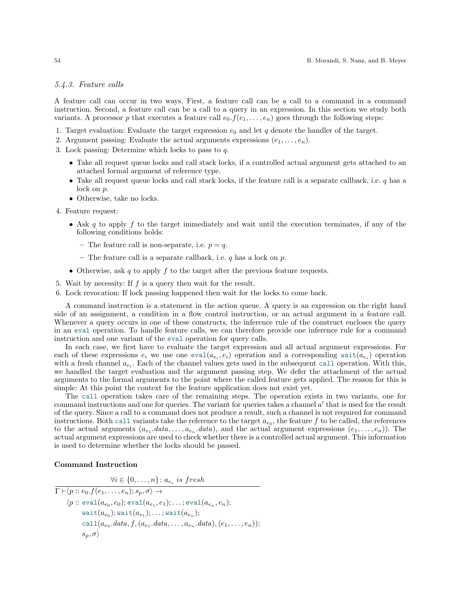### 5.4.3. Feature calls

A feature call can occur in two ways. First, a feature call can be a call to a command in a command instruction. Second, a feature call can be a call to a query in an expression. In this section we study both variants. A processor p that executes a feature call  $e_0.f(e_1,\ldots,e_n)$  goes through the following steps:

- 1. Target evaluation: Evaluate the target expression  $e_0$  and let q denote the handler of the target.
- 2. Argument passing: Evaluate the actual arguments expressions  $(e_1, \ldots, e_n)$ .
- 3. Lock passing: Determine which locks to pass to  $q$ .
	- Take all request queue locks and call stack locks, if a controlled actual argument gets attached to an attached formal argument of reference type.
	- Take all request queue locks and call stack locks, if the feature call is a separate callback, i.e.  $q$  has a lock on p.
	- Otherwise, take no locks.
- 4. Feature request:
	- Ask q to apply f to the target immediately and wait until the execution terminates, if any of the following conditions holds:
		- The feature call is non-separate, i.e.  $p = q$ .
		- The feature call is a separate callback, i.e.  $q$  has a lock on  $p$ .
	- Otherwise, ask  $q$  to apply  $f$  to the target after the previous feature requests.
- 5. Wait by necessity: If f is a query then wait for the result.
- 6. Lock revocation: If lock passing happened then wait for the locks to come back.

A command instruction is a statement in the action queue. A query is an expression on the right hand side of an assignment, a condition in a flow control instruction, or an actual argument in a feature call. Whenever a query occurs in one of these constructs, the inference rule of the construct encloses the query in an eval operation. To handle feature calls, we can therefore provide one inference rule for a command instruction and one variant of the eval operation for query calls.

In each case, we first have to evaluate the target expression and all actual argument expressions. For each of these expressions  $e_i$  we use one eval $(a_{e_i}, e_i)$  operation and a corresponding wait $(a_{e_i})$  operation with a fresh channel  $a_{e_i}$ . Each of the channel values gets used in the subsequent call operation. With this, we handled the target evaluation and the argument passing step. We defer the attachment of the actual arguments to the formal arguments to the point where the called feature gets applied. The reason for this is simple: At this point the context for the feature application does not exist yet.

The call operation takes care of the remaining steps. The operation exists in two variants, one for command instructions and one for queries. The variant for queries takes a channel  $a'$  that is used for the result of the query. Since a call to a command does not produce a result, such a channel is not required for command instructions. Both call variants take the reference to the target  $a_{e_0}$ , the feature f to be called, the references to the actual arguments  $(a_{e_1}.data, \ldots, a_{e_n}.data)$ , and the actual argument expressions  $(e_1, \ldots, e_n)$ . The actual argument expressions are used to check whether there is a controlled actual argument. This information is used to determine whether the locks should be passed.

### Command Instruction

$$
\forall i \in \{0, \dots, n\} \colon a_{e_i} \text{ is fresh}
$$
  

$$
\Gamma \vdash \langle n \cdots e_0 \text{ f}(e_1, \dots, e_n) \cdot s, \pi \rangle \rightarrow
$$

$$
\begin{aligned}\n1 &\vdash \langle p \dots e_0 \cdot f(e_1, \dots, e_n), s_p, o \rangle \rightarrow \\
&\langle p \dots \text{eval}(a_{e_0}, e_0); \text{eval}(a_{e_1}, e_1); \dots; \text{eval}(a_{e_n}, e_n); \\
&\text{wait}(a_{e_0}); \text{wait}(a_{e_1}); \dots; \text{wait}(a_{e_n}); \\
&\text{call}(a_{e_0}.data, f, (a_{e_1}.data, \dots, a_{e_n}.data), (e_1, \dots, e_n)); \\
&s_p, \sigma \rangle\n\end{aligned}
$$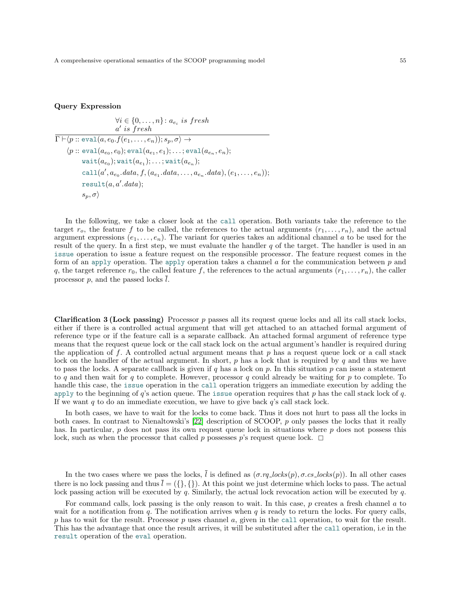## Query Expression

 $\forall i \in \{0, \ldots, n\}$ :  $a_{e_i}$  is fresh a 0 is fresh  $\Gamma \vdash \langle p \text{ :: } \texttt{eval}(a, e_0.f(e_1, \ldots, e_n)); s_p, \sigma \rangle \rightarrow$  $\langle p::\texttt{eval}(a_{e_0},e_0); \texttt{eval}(a_{e_1},e_1); \ldots; \texttt{eval}(a_{e_n},e_n);$  $\texttt{wait}(a_{e_0}); \texttt{wait}(a_{e_1}); \ldots; \texttt{wait}(a_{e_n});$  $call(a', a_{e_0}.data, f, (a_{e_1}.data, ..., a_{e_n}.data), (e_1, ..., e_n));$  $result(a, a'.data);$  $\langle s_p, \sigma \rangle$ 

In the following, we take a closer look at the call operation. Both variants take the reference to the target  $r_o$ , the feature f to be called, the references to the actual arguments  $(r_1, \ldots, r_n)$ , and the actual argument expressions  $(e_1, \ldots, e_n)$ . The variant for queries takes an additional channel a to be used for the result of the query. In a first step, we must evaluate the handler  $q$  of the target. The handler is used in an issue operation to issue a feature request on the responsible processor. The feature request comes in the form of an apply operation. The apply operation takes a channel  $\alpha$  for the communication between  $p$  and q, the target reference  $r_0$ , the called feature f, the references to the actual arguments  $(r_1, \ldots, r_n)$ , the caller processor  $p$ , and the passed locks  $l$ .

**Clarification 3 (Lock passing)** Processor  $p$  passes all its request queue locks and all its call stack locks, either if there is a controlled actual argument that will get attached to an attached formal argument of reference type or if the feature call is a separate callback. An attached formal argument of reference type means that the request queue lock or the call stack lock on the actual argument's handler is required during the application of f. A controlled actual argument means that  $p$  has a request queue lock or a call stack lock on the handler of the actual argument. In short,  $p$  has a lock that is required by  $q$  and thus we have to pass the locks. A separate callback is given if q has a lock on  $p$ . In this situation  $p$  can issue a statement to q and then wait for q to complete. However, processor q could already be waiting for  $p$  to complete. To handle this case, the issue operation in the call operation triggers an immediate execution by adding the apply to the beginning of  $q$ 's action queue. The issue operation requires that p has the call stack lock of q. If we want  $q$  to do an immediate execution, we have to give back  $q$ 's call stack lock.

In both cases, we have to wait for the locks to come back. Thus it does not hurt to pass all the locks in both cases. In contrast to Nienaltowski's [\[22\]](#page-79-4) description of SCOOP, p only passes the locks that it really has. In particular,  $p$  does not pass its own request queue lock in situations where  $p$  does not possess this lock, such as when the processor that called p possesses p's request queue lock.  $\Box$ 

In the two cases where we pass the locks,  $\overline{l}$  is defined as  $(\sigma.\textit{rq\_locks}(p), \sigma.\textit{cs\_locks}(p))$ . In all other cases there is no lock passing and thus  $\bar{l} = (\{\}, \{\})$ . At this point we just determine which locks to pass. The actual lock passing action will be executed by q. Similarly, the actual lock revocation action will be executed by q.

For command calls, lock passing is the only reason to wait. In this case,  $p$  creates a fresh channel  $a$  to wait for a notification from q. The notification arrives when q is ready to return the locks. For query calls,  $p$  has to wait for the result. Processor  $p$  uses channel  $a$ , given in the call operation, to wait for the result. This has the advantage that once the result arrives, it will be substituted after the call operation, i.e in the result operation of the eval operation.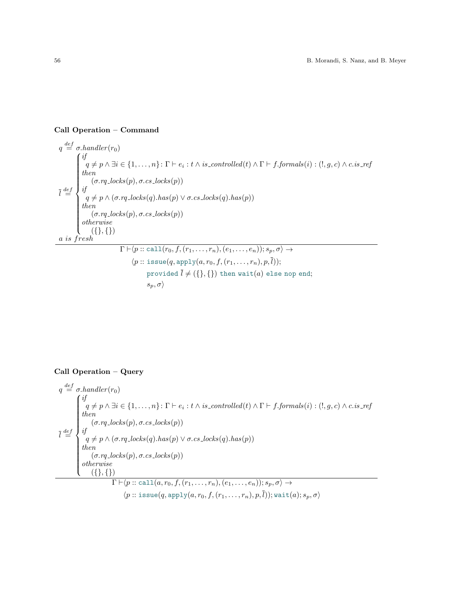# Call Operation – Command

 $q \stackrel{def}{=} \sigma.handler(r_0)$  $l \stackrel{def}{=}$  $\int$  if  $\int$  $\begin{array}{c} \hline \end{array}$  $q \neq p \land \exists i \in \{1,\ldots,n\} \colon \Gamma \vdash e_i : t \land is\_controlled(t) \land \Gamma \vdash f\mathit{.formals}(i) : (!, g, c) \land c\mathit{.is\_ref}$ then  $(\sigma.\textit{rq\_locks}(p), \sigma.\textit{cs\_locks}(p))$ if  $q \neq p \land (\sigma.\textit{rq\_locks}(q).has(p) \lor \sigma.cs\_locks(q).has(p))$ then  $(\sigma.\textit{rq\_locks}(p), \sigma.\textit{cs\_locks}(p))$ otherwise  $({},\{\})$ a is fresh  $\Gamma \vdash \langle p:: \text{call}(r_0, f, (r_1, \ldots, r_n), (e_1, \ldots, e_n)); s_p, \sigma \rangle \rightarrow$ 

 $\langle p:: \text{issue}(q, \text{apply}(a, r_0, f, (r_1, \ldots, r_n), p, \overline{l}));$ provided  $\overline{l} \neq (\{\}, \{\})$  then wait $(a)$  else nop end;  $s_p, \sigma$ 

## Call Operation – Query

$$
q \stackrel{def}{=} \sigma.handler(r_0)
$$
\n
$$
\bar{l} \stackrel{if}{=} \begin{cases}\nif \\
q \neq p \land \exists i \in \{1, ..., n\} : \Gamma \vdash e_i : t \land is_{\text{controlled}(t)} \land \Gamma \vdash f \text{.formals}(i) : (!, g, c) \land c \text{.is}_{\text{.}ref} \\
then \\
( \sigma \text{.rq\_locks}(p), \sigma \text{.cs\_locks}(p)) \\
if \\
q \neq p \land (\sigma \text{.rq\_locks}(q).has(p) \lor \sigma \text{.cs\_locks}(q).has(p)) \\
then \\
( \sigma \text{.rq\_locks}(p), \sigma \text{.cs\_locks}(p)) \\
otherwise \\
( \{\}, \{\})\n\end{cases}
$$

 $\Gamma \vdash \langle p :: \text{call}(a, r_0, f, (r_1, \ldots, r_n), (e_1, \ldots, e_n)); s_p, \sigma \rangle \rightarrow$  $\langle p::\text{issue}(q, \text{apply}(a, r_0, f, (r_1, \ldots, r_n), p, \overline{l})); \text{wait}(a); s_p, \sigma \rangle$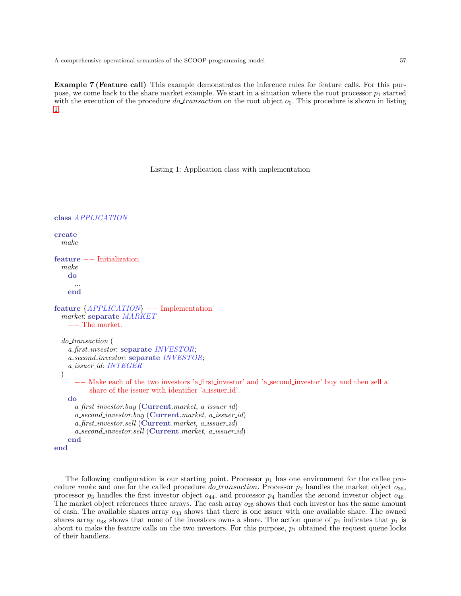<span id="page-56-0"></span>Example 7 (Feature call) This example demonstrates the inference rules for feature calls. For this purpose, we come back to the share market example. We start in a situation where the root processor  $p_1$  started with the execution of the procedure *do transaction* on the root object  $o_0$ . This procedure is shown in listing [1.](#page-56-0)

Listing 1: Application class with implementation

```
class APPLICATION
create
 make
feature −− Initialization
  make
   do
     ...
    end
feature {APPLICATION} -- Implementation
  market: separate MARKET
    −− The market.
  do_transaction (
   a first investor: separate INVESTOR;
    a second investor: separate INVESTOR;
    a issuer id: INTEGER
 )
      −− Make each of the two investors 'a first investor' and 'a second investor' buy and then sell a
          share of the issuer with identifier 'a issuer id'.
   do
      a first investor.buy (Current.market, a issuer id)
      a second investor.buy (Current.market, a issuer id)
      a first investor.sell (Current.market, a issuer id)
      a second investor.sell (Current.market, a issuer id)
   end
end
```
The following configuration is our starting point. Processor  $p_1$  has one environment for the callee procedure make and one for the called procedure  $do\_transaction$ . Processor  $p_2$  handles the market object  $o_{35}$ , processor  $p_3$  handles the first investor object  $o_{44}$ , and processor  $p_4$  handles the second investor object  $o_{46}$ . The market object references three arrays. The cash array  $o_{25}$  shows that each investor has the same amount of cash. The available shares array  $o_{33}$  shows that there is one issuer with one available share. The owned shares array  $o_{38}$  shows that none of the investors owns a share. The action queue of  $p_1$  indicates that  $p_1$  is about to make the feature calls on the two investors. For this purpose,  $p_1$  obtained the request queue locks of their handlers.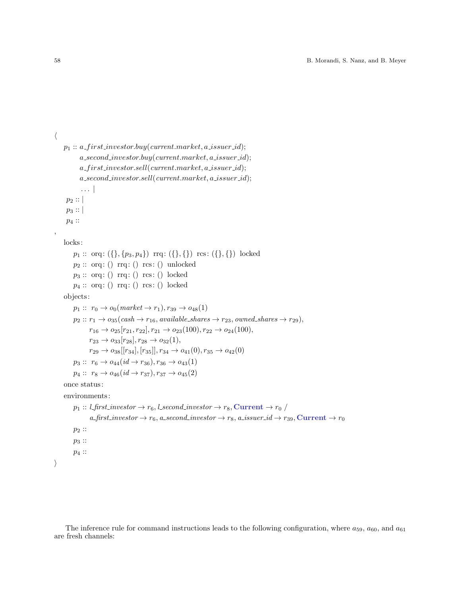```
\langlep_1 :: a\_first\_investor.buy(current.marker, a\_issuer_id);a\_second\_investor.buy(current.marker, a\_issuer\_id);a\_first\_investor. sell (current.marker, a\_issuer_id);a-second-investor.sell(current.market, a-issuer-id);
             . . . |
      p_2:: |
      p_3 :: |
     p_4 ::
    locks:
         p_1 :: \text{org}: (\{\}, \{p_3, p_4\}) \text{ rrq}: (\{\}, \{\}) \text{ ros}: (\{\}, \{\}) \text{ locked}p_2 :: \text{org}: () \text{ rng}: () \text{ res}: () \text{ unlocked}p_3 :: \text{ orq} : () \text{ rrq} : () \text{ rcs} : () \text{ locked}p_4 :: \text{org}: () \text{ rrq}: () \text{ res}: () \text{ locked}objects:
         p_1 :: r_0 \to o_0(market \to r_1), r_{39} \to o_{48}(1)p_2 :: r_1 \rightarrow o_{35}(cash \rightarrow r_{16}, available\_ shares \rightarrow r_{23}, owned\_ shares \rightarrow r_{29}),r_{16} \rightarrow o_{25}[r_{21}, r_{22}], r_{21} \rightarrow o_{23}(100), r_{22} \rightarrow o_{24}(100),r_{23} \rightarrow o_{33}[r_{28}], r_{28} \rightarrow o_{32}(1),r_{29} \rightarrow o_{38}[[r_{34}], [r_{35}]], r_{34} \rightarrow o_{41}(0), r_{35} \rightarrow o_{42}(0)p_3 :: r_6 \rightarrow o_{44}(id \rightarrow r_{36}), r_{36} \rightarrow o_{43}(1)p_4 :: r_8 \rightarrow o_{46}(id \rightarrow r_{37}), r_{37} \rightarrow o_{45}(2)once status:
    environments:
         p_1 :: l\_first\_investor \rightarrow r_6, l\_second\_investor \rightarrow r_8, Current \rightarrow r_0a\_first\_investor \rightarrow r_6, a\_second\_investor \rightarrow r_8, a\_issuer\_id \rightarrow r_{39}, Current \rightarrow r_0p_2:
         p_3:
         p_4 ::
\left\langle \right\rangle
```
The inference rule for command instructions leads to the following configuration, where  $a_{59}$ ,  $a_{60}$ , and  $a_{61}$ are fresh channels:

,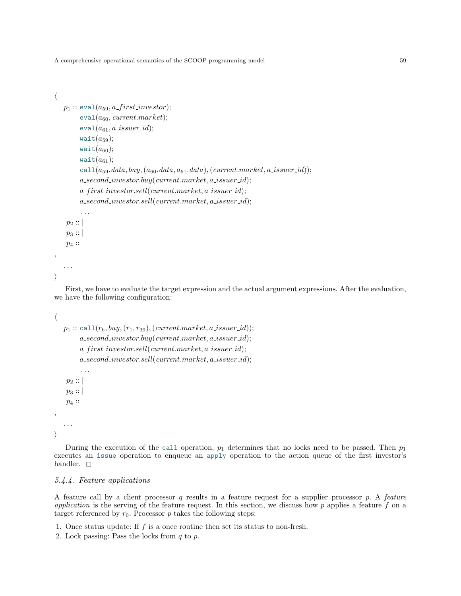$\langle$  $p_1 :: eval(a_{59}, a\_first\_investor);$  $eval(a_{60}, current.market);$  $eval(a_{61}, a.issuer_id);$ wait $(a_{59});$ wait $(a_{60});$ wait $(a_{61});$ call $(a_{59}.data, buy, (a_{60}.data, a_{61}.data), (current.marker, a_issuer_id));$  $a\_second\_investor.buy(current.marker, a\_issuer_id);$  $a\_first\_investor. sell (current. market, a\_issuer\_id);$  $a\_second\_investor. sell (current. market, a\_issuer\_id);$  $\ldots$   $\vdots$  $p_2$  :: |  $p_3$  :: |  $p_4$ : , . . .  $\rangle$ 

First, we have to evaluate the target expression and the actual argument expressions. After the evaluation, we have the following configuration:

 $\langle$ 

```
p_1 :: \text{call}(r_6, buy, (r_1, r_{39}), (current.marker, a_issuer_id));a\_second\_investor.buy(current.marker, a\_issuer_id);a\_first\_investor. sell (current. market, a\_issuer\_id);a\_second\_investor.sell(current.marker, a\_issuer_id);\ldotsp_2 :: |
   p_3 ::
   p_4:
,
   . . .
\rangle
```
During the execution of the call operation,  $p_1$  determines that no locks need to be passed. Then  $p_1$ executes an issue operation to enqueue an apply operation to the action queue of the first investor's handler.  $\square$ 

## 5.4.4. Feature applications

A feature call by a client processor q results in a feature request for a supplier processor  $p$ . A feature application is the serving of the feature request. In this section, we discuss how  $p$  applies a feature  $f$  on a target referenced by  $r_0$ . Processor p takes the following steps:

1. Once status update: If f is a once routine then set its status to non-fresh.

2. Lock passing: Pass the locks from  $q$  to  $p$ .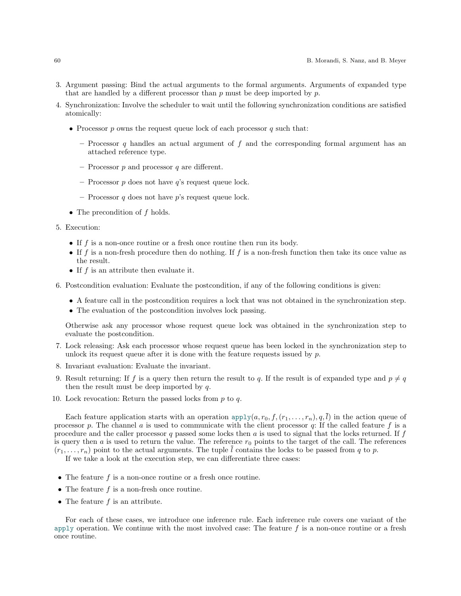- 3. Argument passing: Bind the actual arguments to the formal arguments. Arguments of expanded type that are handled by a different processor than  $p$  must be deep imported by  $p$ .
- 4. Synchronization: Involve the scheduler to wait until the following synchronization conditions are satisfied atomically:
	- Processor  $p$  owns the request queue lock of each processor  $q$  such that:
		- Processor  $q$  handles an actual argument of  $f$  and the corresponding formal argument has an attached reference type.
		- Processor  $p$  and processor  $q$  are different.
		- Processor  $p$  does not have  $q$ 's request queue lock.
		- Processor  $q$  does not have  $p$ 's request queue lock.
	- The precondition of  $f$  holds.
- 5. Execution:
	- If f is a non-once routine or a fresh once routine then run its body.
	- If f is a non-fresh procedure then do nothing. If f is a non-fresh function then take its once value as the result.
	- If  $f$  is an attribute then evaluate it.

6. Postcondition evaluation: Evaluate the postcondition, if any of the following conditions is given:

- A feature call in the postcondition requires a lock that was not obtained in the synchronization step.
- The evaluation of the postcondition involves lock passing.

Otherwise ask any processor whose request queue lock was obtained in the synchronization step to evaluate the postcondition.

- 7. Lock releasing: Ask each processor whose request queue has been locked in the synchronization step to unlock its request queue after it is done with the feature requests issued by  $p$ .
- 8. Invariant evaluation: Evaluate the invariant.
- 9. Result returning: If f is a query then return the result to q. If the result is of expanded type and  $p \neq q$ then the result must be deep imported by  $q$ .
- 10. Lock revocation: Return the passed locks from  $p$  to  $q$ .

Each feature application starts with an operation apply $(a, r_0, f, (r_1, \ldots, r_n), q, \overline{l})$  in the action queue of processor p. The channel a is used to communicate with the client processor q: If the called feature f is a procedure and the caller processor q passed some locks then  $a$  is used to signal that the locks returned. If  $f$ is query then  $a$  is used to return the value. The reference  $r_0$  points to the target of the call. The references  $(r_1, \ldots, r_n)$  point to the actual arguments. The tuple  $\overline{l}$  contains the locks to be passed from q to p.

If we take a look at the execution step, we can differentiate three cases:

- The feature  $f$  is a non-once routine or a fresh once routine.
- The feature f is a non-fresh once routine.
- The feature  $f$  is an attribute.

For each of these cases, we introduce one inference rule. Each inference rule covers one variant of the apply operation. We continue with the most involved case: The feature  $f$  is a non-once routine or a fresh once routine.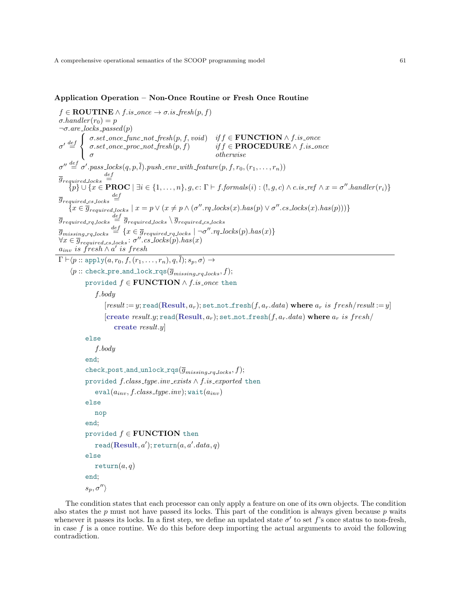#### Application Operation – Non-Once Routine or Fresh Once Routine

 $f \in \text{ROUTINE} \land f.is\_once \rightarrow \sigma.is\_fresh(p, f)$  $\sigma$ .handler $(r_0) = p$  $\neg \sigma.$ are\_locks\_passed(p)  $\sigma' \stackrel{def}{=}$  $\sqrt{ }$ J  $\mathcal{L}$  $\sigma.set\_once\_func\_not\_fresh(p, f, void) \quad iff \in \textbf{FUNCTION} \land f.is\_once$  $\sigma.set\_once\_proc\_not\_fresh(p, f)$  if  $f \in \textbf{PROCEDURE} \wedge f.is\_once$  $\sigma$  otherwise  $\sigma'' \stackrel{def}{=} \sigma'.pass\_locks(q, p, \bar{l}).push\_env\_with\_feature(p, f, r_0, (r_1, \ldots, r_n))$  $\overline{g}_{required\_locks} \stackrel{def}{=}$  ${p} \cup \{x \in \textbf{PROC} \mid \exists i \in \{1,\ldots,n\}, g,c \colon \Gamma \vdash f.\textit{formals}(i) : (!,g,c) \land c.\textit{is\_ref} \land x = \sigma''.\textit{handler}(r_i)\}$  $\overline{g}_{required\_cs\_locks} \stackrel{def}{=}$  ${x \in \overline{g}_{required\_locks} \mid x = p \lor (x \neq p \land (\sigma'',rq\_locks(x).has(p) \lor \sigma'',cs\_locks(x).has(p)))}$  $\overline{g}_{required\_rq\_locks} \stackrel{def}{=} \overline{g}_{required\_locks} \setminus \overline{g}_{required\_cs\_locks}$  $\overline{g}_{missing.rq\_locks} \stackrel{def}{=} \{x \in \overline{g}_{required\_rq\_locks} \mid \neg \sigma''.rq\_locks(p).has(x)\}$  $\forall x \in \overline{g}_{required\_cs\_locks} : \sigma''.cs\_locks(p).has(x)$  $a_{inv}$  is fresh  $\wedge a'$  is fresh  $\Gamma \vdash \langle p :: \text{apply}(a, r_0, f, (r_1, \ldots, r_n), q, \overline{l} \rangle; s_p, \sigma \rangle \rightarrow$  $\langle p:: \text{check\_pre\_and\_lock\_rgs}(\overline{g}_{missing, ra, locks}, f);$ provided  $f \in \text{FUNCTION} \wedge f.is\_once$  then f.body  $[result := y; read(Result, a_r); set not_f. (a_r.data) where a_r is fresh/result := y]$ [create result.y; read(Result,  $a_r$ ); set not fresh( $f, a_r$ .data) where  $a_r$  is fresh/ create result.y] else f.body end; check post and unlock rqs $(\overline{g}_{missing\_rq\_locks}, f);$ provided  $f.class_type.inv\_exists \land f.is\_explored$  then  $eval(a_{inv}, f.class_type.inv);$  wait $(a_{inv})$ else nop end; provided  $f \in \textbf{FUNCTION}$  then  $\mathtt{read}(\mathbf{Result}, a'); \mathtt{return}(a, a'.data, q)$ else  $return(a, q)$ end;  $s_p, \sigma''$ 

The condition states that each processor can only apply a feature on one of its own objects. The condition also states the p must not have passed its locks. This part of the condition is always given because p waits whenever it passes its locks. In a first step, we define an updated state  $\sigma'$  to set f's once status to non-fresh, in case f is a once routine. We do this before deep importing the actual arguments to avoid the following contradiction.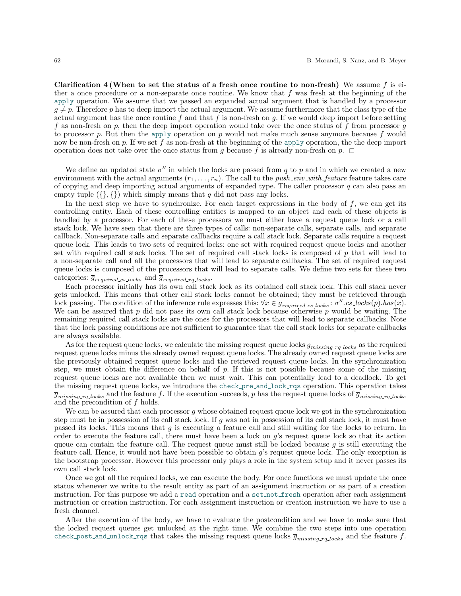Clarification 4 (When to set the status of a fresh once routine to non-fresh) We assume f is ether a once procedure or a non-separate once routine. We know that  $f$  was fresh at the beginning of the apply operation. We assume that we passed an expanded actual argument that is handled by a processor  $g \neq p$ . Therefore p has to deep import the actual argument. We assume furthermore that the class type of the actual argument has the once routine f and that f is non-fresh on g. If we would deep import before setting f as non-fresh on  $p$ , then the deep import operation would take over the once status of f from processor g to processor p. But then the apply operation on p would not make much sense anymore because f would now be non-fresh on p. If we set f as non-fresh at the beginning of the apply operation, the the deep import operation does not take over the once status from q because f is already non-fresh on p.  $\square$ 

We define an updated state  $\sigma''$  in which the locks are passed from q to p and in which we created a new environment with the actual arguments  $(r_1, \ldots, r_n)$ . The call to the *push\_env\_with\_feature* feature takes care of copying and deep importing actual arguments of expanded type. The caller processor  $q$  can also pass an empty tuple  $({},{{}$ } which simply means that q did not pass any locks.

In the next step we have to synchronize. For each target expressions in the body of f, we can get its controlling entity. Each of these controlling entities is mapped to an object and each of these objects is handled by a processor. For each of these processors we must either have a request queue lock or a call stack lock. We have seen that there are three types of calls: non-separate calls, separate calls, and separate callback. Non-separate calls and separate callbacks require a call stack lock. Separate calls require a request queue lock. This leads to two sets of required locks: one set with required request queue locks and another set with required call stack locks. The set of required call stack locks is composed of  $p$  that will lead to a non-separate call and all the processors that will lead to separate callbacks. The set of required request queue locks is composed of the processors that will lead to separate calls. We define two sets for these two categories:  $\overline{g}_{required\_cs\_locks}$  and  $\overline{g}_{required\_rq\_locks}$ .

Each processor initially has its own call stack lock as its obtained call stack lock. This call stack never gets unlocked. This means that other call stack locks cannot be obtained; they must be retrieved through lock passing. The condition of the inference rule expresses this:  $\forall x \in \overline{g}_{required\_cs\_locks}: \sigma''.cs\_locks(p).has(x).$ We can be assured that  $p$  did not pass its own call stack lock because otherwise  $p$  would be waiting. The remaining required call stack locks are the ones for the processors that will lead to separate callbacks. Note that the lock passing conditions are not sufficient to guarantee that the call stack locks for separate callbacks are always available.

As for the request queue locks, we calculate the missing request queue locks  $\overline{g}_{missing\_rq\_locks}$  as the required request queue locks minus the already owned request queue locks. The already owned request queue locks are the previously obtained request queue locks and the retrieved request queue locks. In the synchronization step, we must obtain the difference on behalf of  $p$ . If this is not possible because some of the missing request queue locks are not available then we must wait. This can potentially lead to a deadlock. To get the missing request queue locks, we introduce the check pre and lock rqs operation. This operation takes  $\overline{g}_{missing\text{-}rq\_locks}$  and the feature f. If the execution succeeds, p has the request queue locks of  $\overline{g}_{missing\text{-}rq\_locks}$ and the precondition of f holds.

We can be assured that each processor q whose obtained request queue lock we got in the synchronization step must be in possession of its call stack lock. If  $g$  was not in possession of its call stack lock, it must have passed its locks. This means that g is executing a feature call and still waiting for the locks to return. In order to execute the feature call, there must have been a lock on g's request queue lock so that its action queue can contain the feature call. The request queue must still be locked because  $g$  is still executing the feature call. Hence, it would not have been possible to obtain g's request queue lock. The only exception is the bootstrap processor. However this processor only plays a role in the system setup and it never passes its own call stack lock.

Once we got all the required locks, we can execute the body. For once functions we must update the once status whenever we write to the result entity as part of an assignment instruction or as part of a creation instruction. For this purpose we add a read operation and a set not fresh operation after each assignment instruction or creation instruction. For each assignment instruction or creation instruction we have to use a fresh channel.

After the execution of the body, we have to evaluate the postcondition and we have to make sure that the locked request queues get unlocked at the right time. We combine the two steps into one operation check post and unlock rqs that takes the missing request queue locks  $\bar{g}_{missing, rq, locks}$  and the feature f.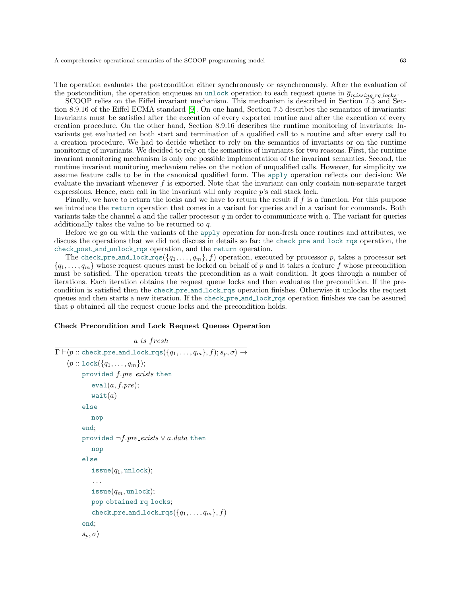The operation evaluates the postcondition either synchronously or asynchronously. After the evaluation of the postcondition, the operation enqueues an unlock operation to each request queue in  $\bar{g}_{missing\_rq\_locks}$ .

SCOOP relies on the Eiffel invariant mechanism. This mechanism is described in Section 7.5 and Section 8.9.16 of the Eiffel ECMA standard [\[9\]](#page-79-5). On one hand, Section 7.5 describes the semantics of invariants: Invariants must be satisfied after the execution of every exported routine and after the execution of every creation procedure. On the other hand, Section 8.9.16 describes the runtime monitoring of invariants: Invariants get evaluated on both start and termination of a qualified call to a routine and after every call to a creation procedure. We had to decide whether to rely on the semantics of invariants or on the runtime monitoring of invariants. We decided to rely on the semantics of invariants for two reasons. First, the runtime invariant monitoring mechanism is only one possible implementation of the invariant semantics. Second, the runtime invariant monitoring mechanism relies on the notion of unqualified calls. However, for simplicity we assume feature calls to be in the canonical qualified form. The apply operation reflects our decision: We evaluate the invariant whenever f is exported. Note that the invariant can only contain non-separate target expressions. Hence, each call in the invariant will only require  $p$ 's call stack lock.

Finally, we have to return the locks and we have to return the result if  $f$  is a function. For this purpose we introduce the return operation that comes in a variant for queries and in a variant for commands. Both variants take the channel a and the caller processor q in order to communicate with q. The variant for queries additionally takes the value to be returned to q.

Before we go on with the variants of the apply operation for non-fresh once routines and attributes, we discuss the operations that we did not discuss in details so far: the check pre and lock rqs operation, the check post and unlock rqs operation, and the return operation.

The check pre and lock rqs $({q_1, \ldots, q_m}, f)$  operation, executed by processor p, takes a processor set  ${q_1, \ldots, q_m}$  whose request queues must be locked on behalf of p and it takes a feature f whose precondition must be satisfied. The operation treats the precondition as a wait condition. It goes through a number of iterations. Each iteration obtains the request queue locks and then evaluates the precondition. If the precondition is satisfied then the check pre and lock rqs operation finishes. Otherwise it unlocks the request queues and then starts a new iteration. If the check pre and lock rqs operation finishes we can be assured that p obtained all the request queue locks and the precondition holds.

## Check Precondition and Lock Request Queues Operation

```
a is fresh
\Gamma \vdash \langle p::\text{ check\_pre\_and\_lock\_rgs}(\{q_1, \ldots, q_m\}, f); s_p, \sigma\rangle \rightarrow\langle p:: \text{lock}(\{q_1, \ldots, q_m\});provided f.pre_exists then
               eval(a, f.\text{pre});wait(a)else
               nop
           end;
           provided \neg f.\text{pre\_exists} \vee a.\text{data} then
               nop
           else
                is sue(q_1, unlock);. . .
                is sue(q_m,unlock);
               pop_obtained_rq_locks;
                check pre and lock rqs({q_1, \ldots, q_m}, f)end;
            \langle s_p, \sigma \rangle
```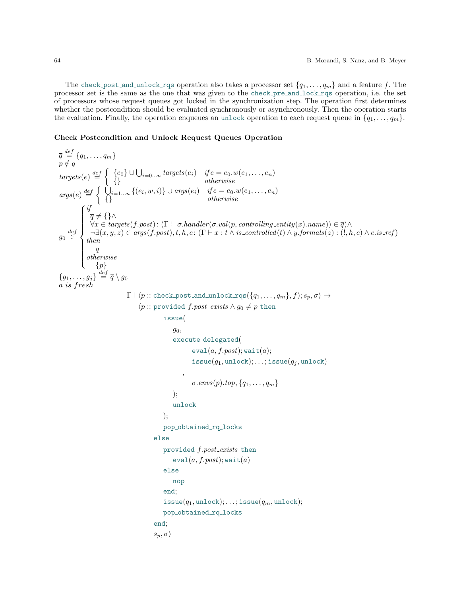The check post and unlock rqs operation also takes a processor set  $\{q_1, \ldots, q_m\}$  and a feature  $f$ . The processor set is the same as the one that was given to the check pre and lock rqs operation, i.e. the set of processors whose request queues got locked in the synchronization step. The operation first determines whether the postcondition should be evaluated synchronously or asynchronously. Then the operation starts the evaluation. Finally, the operation enqueues an unlock operation to each request queue in  $\{q_1, \ldots, q_m\}$ .

## Check Postcondition and Unlock Request Queues Operation

$$
\overline{q} \stackrel{def}{=} \overline{q}
$$
\n
$$
\overline{q} \stackrel{def}{=} \overline{q}
$$
\n
$$
\overline{q} \stackrel{def}{=} \overline{q}
$$
\n
$$
\overline{q} \stackrel{def}{=} \overline{q}
$$
\n
$$
\overline{q} \stackrel{def}{=} \left\{ \begin{array}{ll} \{\overline{e_0}\} \cup \bigcup_{i=0...n} \overline{targets}(e_i) & \overline{e_i} = e_0.w(e_1, \ldots, e_n)
$$
\n
$$
\text{args}(e) \stackrel{def}{=} \left\{ \begin{array}{ll} \{\overline{e_1}, \ldots, \{\overline{e_i}, \overline{e_i}\} \} & \text{otherwise} \\ \{\overline{e_1}, \ldots, \overline{e_i}\} & \text{otherwise} \end{array} \right.
$$
\n
$$
\overline{q} \stackrel{def}{=} \left\{ \begin{array}{ll} \{\overline{e_1}, \ldots, \{\overline{e_i}, \overline{e_i}\} \} \} & \text{otherwise} \end{array} \right.
$$
\n
$$
\overline{q} \stackrel{def}{=} \left\{ \begin{array}{ll} \{\overline{e_1}, \ldots, \{\overline{e_i}, \overline{e_i}\} \} \} & \text{otherwise} \end{array} \right.
$$
\n
$$
\overline{q} \stackrel{def}{=} \left\{ \begin{array}{ll} \{\overline{e_1}, \ldots, \{\overline{e_i}, \overline{e_i}\} \} \} & \text{otherwise} \end{array} \right.
$$
\n
$$
\overline{q} \stackrel{def}{=} \overline{q} \stackrel{def}{=} \overline{q} \stackrel{def}{=} \overline{q} \stackrel{def}{=} \overline{q} \stackrel{def}{=} \overline{q} \stackrel{def}{=} \overline{q} \stackrel{def}{=} \overline{q} \stackrel{def}{=} \overline{q} \stackrel{def}{=} \overline{q} \stackrel{def}{=} \overline{q} \stackrel{def}{=} \overline{q} \stackrel{def}{=} \overline{q} \stackrel{def}{=} \overline{q} \stackrel{def}{=} \overline{q} \stackrel{def}{=} \overline{q} \stackrel{def}{=} \
$$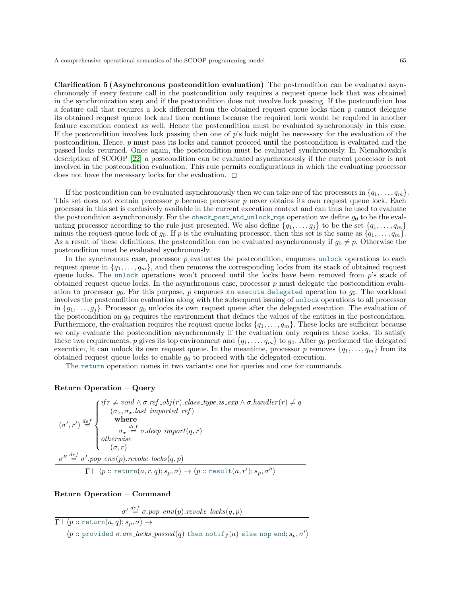Clarification 5 (Asynchronous postcondition evaluation) The postcondition can be evaluated asynchronously if every feature call in the postcondition only requires a request queue lock that was obtained in the synchronization step and if the postcondition does not involve lock passing. If the postcondition has a feature call that requires a lock different from the obtained request queue locks then  $p$  cannot delegate its obtained request queue lock and then continue because the required lock would be required in another feature execution context as well. Hence the postcondition must be evaluated synchronously in this case. If the postcondition involves lock passing then one of p's lock might be necessary for the evaluation of the postcondition. Hence, p must pass its locks and cannot proceed until the postcondition is evaluated and the passed locks returned. Once again, the postcondition must be evaluated synchronously. In Nienaltowski's description of SCOOP [\[22\]](#page-79-4) a postcondition can be evaluated asynchronously if the current processor is not involved in the postcondition evaluation. This rule permits configurations in which the evaluating processor does not have the necessary locks for the evaluation.  $\square$ 

If the postcondition can be evaluated asynchronously then we can take one of the processors in  $\{q_1, \ldots, q_m\}$ . This set does not contain processor p because processor p never obtains its own request queue lock. Each processor in this set is exclusively available in the current execution context and can thus be used to evaluate the postcondition asynchronously. For the check post and unlock rqs operation we define  $g_0$  to be the evaluating processor according to the rule just presented. We also define  $\{g_1, \ldots, g_j\}$  to be the set  $\{q_1, \ldots, q_m\}$ minus the request queue lock of  $g_0$ . If p is the evaluating processor, then this set is the same as  $\{q_1, \ldots, q_m\}$ . As a result of these definitions, the postcondition can be evaluated asynchronously if  $g_0 \neq p$ . Otherwise the postcondition must be evaluated synchronously.

In the synchronous case, processor  $p$  evaluates the postcondition, enqueues unlock operations to each request queue in  $\{q_1, \ldots, q_m\}$ , and then removes the corresponding locks from its stack of obtained request queue locks. The unlock operations won't proceed until the locks have been removed from p's stack of obtained request queue locks. In the asynchronous case, processor  $p$  must delegate the postcondition evaluation to processor  $g_0$ . For this purpose, p enqueues an execute delegated operation to  $g_0$ . The workload involves the postcondition evaluation along with the subsequent issuing of unlock operations to all processor in  $\{g_1, \ldots, g_j\}$ . Processor  $g_0$  unlocks its own request queue after the delegated execution. The evaluation of the postcondition on  $g_0$  requires the environment that defines the values of the entities in the postcondition. Furthermore, the evaluation requires the request queue locks  $\{q_1, \ldots, q_m\}$ . These locks are sufficient because we only evaluate the postcondition asynchronously if the evaluation only requires these locks. To satisfy these two requirements, p gives its top environment and  $\{q_1, \ldots, q_m\}$  to  $g_0$ . After  $g_0$  performed the delegated execution, it can unlock its own request queue. In the meantime, processor p removes  $\{q_1, \ldots, q_m\}$  from its obtained request queue locks to enable  $g_0$  to proceed with the delegated execution.

The return operation comes in two variants: one for queries and one for commands.

### Return Operation – Query

$$
(\sigma',r') \stackrel{def}{=} \begin{cases} \mathit{if}\ r \neq \mathit{void} \land \sigma.\mathit{ref\_obj}(r).class\_type.is\_exp \land \sigma.\mathit{handler}(r) \neq q \\ (\sigma_x,\sigma_x.\mathit{last\_imported\_ref}) \\ \mathit{where} \\ \sigma_x \stackrel{def}{=} \sigma.\mathit{deep\_import}(q,r) \\ \mathit{otherwise} \\ (\sigma,r) \end{cases}
$$

$$
\sigma'' \stackrel{def}{=} \sigma'.pop\_env(p).revoke\_locks(q,p) \\ \Gamma \vdash \langle p::\text{return}(a,r,q); s_p, \sigma \rangle \rightarrow \langle p::\text{result}(a,r'); s_p, \sigma'' \rangle
$$

#### Return Operation – Command

$$
\sigma' \stackrel{def}{=} \sigma.pop\_env(p).revoke\_locks(q, p)
$$

 $\overline{\Gamma \vdash \langle p \text{ :: return}(a, q); s_p, \sigma \rangle \rightarrow}$ 

 $\langle p::$  provided  $\sigma .$ are  $locks\_passed(q)$  then  $\mathrm{notify}(a)$  else nop end;  $s_p, \sigma'\rangle$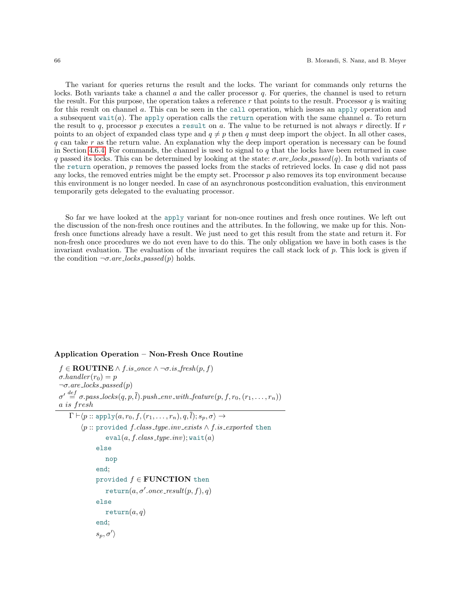The variant for queries returns the result and the locks. The variant for commands only returns the locks. Both variants take a channel  $a$  and the caller processor  $q$ . For queries, the channel is used to return the result. For this purpose, the operation takes a reference r that points to the result. Processor q is waiting for this result on channel a. This can be seen in the call operation, which issues an apply operation and a subsequent wait $(a)$ . The apply operation calls the return operation with the same channel  $a$ . To return the result to q, processor  $p$  executes a result on  $a$ . The value to be returned is not always  $r$  directly. If  $r$ points to an object of expanded class type and  $q \neq p$  then q must deep import the object. In all other cases,  $q$  can take r as the return value. An explanation why the deep import operation is necessary can be found in Section [4.6.4.](#page-29-0) For commands, the channel is used to signal to q that the locks have been returned in case q passed its locks. This can be determined by looking at the state:  $\sigma$  are locks passed(q). In both variants of the return operation, p removes the passed locks from the stacks of retrieved locks. In case q did not pass any locks, the removed entries might be the empty set. Processor  $p$  also removes its top environment because this environment is no longer needed. In case of an asynchronous postcondition evaluation, this environment temporarily gets delegated to the evaluating processor.

So far we have looked at the apply variant for non-once routines and fresh once routines. We left out the discussion of the non-fresh once routines and the attributes. In the following, we make up for this. Nonfresh once functions already have a result. We just need to get this result from the state and return it. For non-fresh once procedures we do not even have to do this. The only obligation we have in both cases is the invariant evaluation. The evaluation of the invariant requires the call stack lock of p. This lock is given if the condition  $\neg \sigma \text{.} are \text{.} locks \text{.} passed(p)$  holds.

#### Application Operation – Non-Fresh Once Routine

```
f ∈ ROUTINE ∧ f.is once ∧ ¬σ.is fresh(p, f)
\sigma.handler(r_0) = p\neg \sigma.are _locks_passed(p)
\sigma' \stackrel{def}{=} \sigma.pass\_locks(q,p,\bar{l}).push\_env\_with\_feature(p,f,r_0,(r_1,\ldots,r_n))a is fresh
    \Gamma \vdash \langle p :: \text{app} \overline{\text{ly}}(a, r_0, f, (r_1, \ldots, r_n), q, \overline{l}\rangle; s_n, \sigma \rangle \rightarrow\phi: provided f.class_type.inv_exists \wedge f.is_exported then
                    eval(a, f.class\_type.inv); wait(a)else
                    nop
                end;
                provided f \in \textbf{FUNCTION} then
                     \texttt{return}(a, \sigma'.once\_result(p, f), q)else
                    return(a, q)end;
                 \langle s_p, \sigma' \rangle
```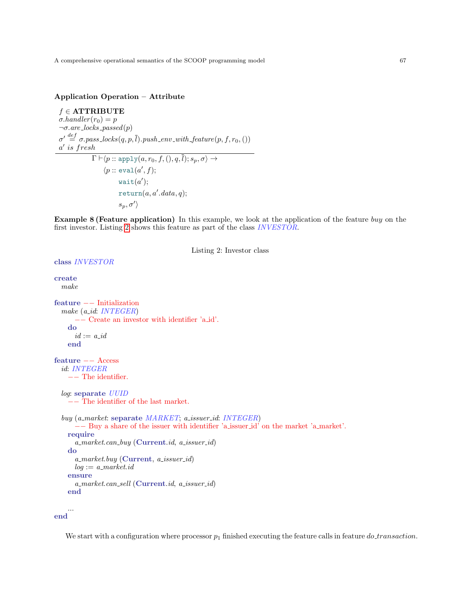## Application Operation – Attribute

 $f \in$ ATTRIBUTE  $\sigma$ .handler $(r_0) = p$  $\neg \sigma \text{.} are \text{.} locks \text{.} passed(p)$  $\sigma' \stackrel{def}{=} \sigma.pass\_locks(q,p,\bar{l}).push\_env\_with\_feature(p,f,r_0,())$ a 0 is fresh  $\Gamma \vdash \langle p :: \text{apply}(a, r_0, f,(), q, \overline{l}); s_n, \sigma \rangle \rightarrow$  $\langle p::\text{eval}(a',f);$  $\texttt{wait}(a');$  $return(a, a'.data, q);$  $\langle s_p, \sigma' \rangle$ 

Example 8 (Feature application) In this example, we look at the application of the feature buy on the first investor. Listing [2](#page-66-0) shows this feature as part of the class INVESTOR.

Listing 2: Investor class

```
class INVESTOR
create
 make
feature −− Initialization
 make (a id: INTEGER)
      −− Create an investor with identifier 'a id'.
   do
     id := a_{id}end
feature −− Access
  id: INTEGER
   −− The identifier.
 log: separate UUID
   −− The identifier of the last market.
  buy (a market: separate MARKET; a issuer id: INTEGER)
      - Buy a share of the issuer with identifier 'a issuer id' on the market 'a market'.
   require
      a market.can buy (Current.id, a issuer id)
   do
      a market.buy (Current, a issuer id)
     log := a-market.id
   ensure
     a market.can sell (Current.id, a issuer id)
    end
    ...
```
end

We start with a configuration where processor  $p_1$  finished executing the feature calls in feature do transaction.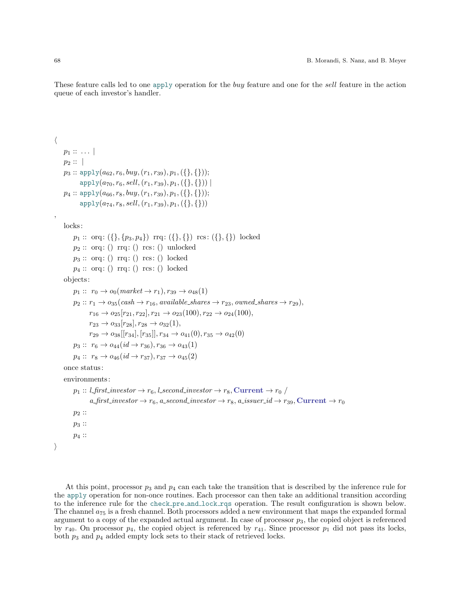These feature calls led to one apply operation for the buy feature and one for the sell feature in the action queue of each investor's handler.

```
\langlep_1 :: ... |p_2 :: |p_3: apply(a_{62}, r_6, buy, (r_1, r_{39}), p_1, (\{\}, \{\}));
             apply(a_{70}, r_6, sell, (r_1, r_{39}), p_1, (\{\}, \{\}))p_4:: apply(a_{66}, r_8, buy, (r_1, r_{39}), p_1, (\{\}, \{\}));
             app1y(a_{74}, r_8, sell, (r_1, r_{39}), p_1, (\{\}, \{\})),
    locks:
         p_1 :: \text{org}: (\{\}, \{p_3, p_4\}) \text{ rrq}: (\{\}, \{\}) \text{ ros}: (\{\}, \{\}) \text{ locked}p_2 :: \text{org}: () \text{ rng}: () \text{ res}: () \text{ unlocked}p_3 :: \text{org}: () \text{ rng}: () \text{ res}: () \text{ locked}p_4: orq: () rrq: () rcs: () locked
    objects:
         p_1 :: r_0 \to o_0(market \to r_1), r_{39} \to o_{48}(1)p_2 :: r_1 \rightarrow o_{35}(cash \rightarrow r_{16}, available\_ shares \rightarrow r_{23}, owned\_ shares \rightarrow r_{29}),r_{16} \rightarrow o_{25}[r_{21}, r_{22}], r_{21} \rightarrow o_{23}(100), r_{22} \rightarrow o_{24}(100),r_{23} \rightarrow o_{33}[r_{28}], r_{28} \rightarrow o_{32}(1),r_{29} \rightarrow o_{38}[[r_{34}], [r_{35}]], r_{34} \rightarrow o_{41}(0), r_{35} \rightarrow o_{42}(0)p_3 :: r_6 \rightarrow o_{44}(id \rightarrow r_{36}), r_{36} \rightarrow o_{43}(1)p_4: r_8 \to o_{46}(id \to r_{37}), r_{37} \to o_{45}(2)once status:
    environments:
         p_1 :: l\_first\_investor \rightarrow r_6, l \text{.second\_investor} \rightarrow r_8, Current \rightarrow r_0 /
                  a_{\text{f}} investor \rightarrow r_6, a second investor \rightarrow r_8, a issuer id \rightarrow r_{39}, Current \rightarrow r_0p_2:
         p_3:
         p_4 ::
\rangle
```
At this point, processor  $p_3$  and  $p_4$  can each take the transition that is described by the inference rule for the apply operation for non-once routines. Each processor can then take an additional transition according to the inference rule for the check pre and lock rqs operation. The result configuration is shown below. The channel  $a_{75}$  is a fresh channel. Both processors added a new environment that maps the expanded formal argument to a copy of the expanded actual argument. In case of processor  $p_3$ , the copied object is referenced by  $r_{40}$ . On processor  $p_4$ , the copied object is referenced by  $r_{41}$ . Since processor  $p_1$  did not pass its locks, both  $p_3$  and  $p_4$  added empty lock sets to their stack of retrieved locks.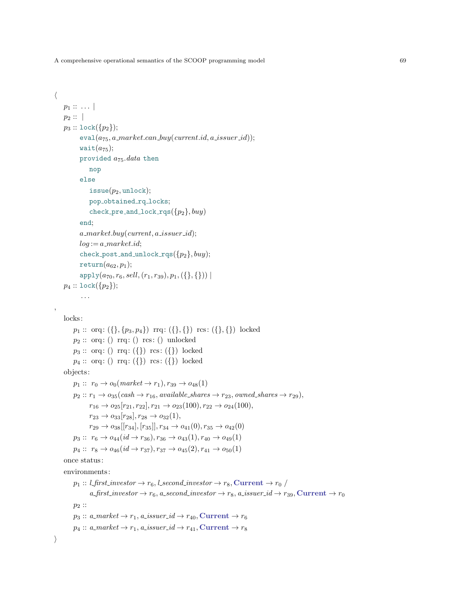```
\langlep_1 :: \ldotsp_2 :: \perpp_3 :: \texttt{lock}(\{p_2\});eval(a_{75}, a\_market. can\_buy(current.id, a\_issuer\_id));wait(a_{75});provided a_{75}.data then
                 nop
            else
                 is sue(p_2, unlock);pop_obtained_rq_locks;
                 check pre and lock rqs({p_2}, buy)end;
            a<sub>market.buy(current, a<sub>issuer id)</sub>;</sub>
            log := a\_market.id;check_post_and_unlock_rqs(\{p_2\}, buy);
            return(a_{62}, p_1);apply(a_{70}, r_6, sell, (r_1, r_{39}), p_1, (\{\}, \{\}))p_4 :: lock({p_2});
            . . .
,
    locks:
         p_1 :: \text{org}: (\{\}, \{p_3, p_4\}) \text{ rrq}: (\{\}, \{\}) \text{ ros}: (\{\}, \{\}) \text{ locked}p_2 :: \text{org}: () \text{ rng}: () \text{ res}: () \text{ unlocked}p_3 :: \text{org: } () \text{ rrq: } (\{\}) \text{ res: } (\{\}) \text{ locked}p_4 :: orq: () rrq: ({}) rcs: ({}) locked
    objects:
         p_1 :: r_0 \to o_0(marker \to r_1), r_{39} \to o_{48}(1)p_2 :: r_1 \rightarrow o_{35}(cash \rightarrow r_{16}, available\_shares \rightarrow r_{23}, owned\_shares \rightarrow r_{29}),r_{16} \rightarrow o_{25}[r_{21}, r_{22}], r_{21} \rightarrow o_{23}(100), r_{22} \rightarrow o_{24}(100),r_{23} \rightarrow o_{33}[r_{28}], r_{28} \rightarrow o_{32}(1),r_{29} \rightarrow o_{38}[[r_{34}], [r_{35}]], r_{34} \rightarrow o_{41}(0), r_{35} \rightarrow o_{42}(0)p_3 :: r_6 \rightarrow o_{44}(id \rightarrow r_{36}), r_{36} \rightarrow o_{43}(1), r_{40} \rightarrow o_{49}(1)p_4: r_8 \rightarrow o_{46}(id \rightarrow r_{37}), r_{37} \rightarrow o_{45}(2), r_{41} \rightarrow o_{50}(1)once status:
    environments:
         p_1 :: l\_first\_investor \rightarrow r_6, l\_second\_investor \rightarrow r_8, Current \rightarrow r_0a_{\text{f}} investor \rightarrow r_6, a second investor \rightarrow r_8, a issuer id \rightarrow r_{39}, Current \rightarrow r_0p_2:
         p_3 :: a\_market \rightarrow r_1, a\_issuer_id \rightarrow r_{40}, Current \rightarrow r_6p_4 :: a\_market \rightarrow r_1, a\_issuer\_id \rightarrow r_{41}, Current \rightarrow r_8\left\langle \right\rangle
```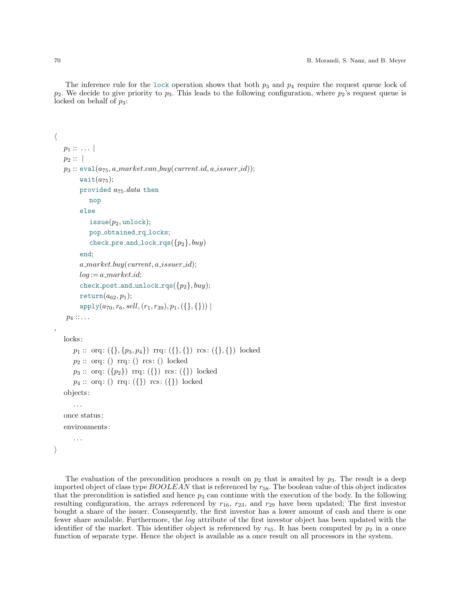The inference rule for the lock operation shows that both  $p_3$  and  $p_4$  require the request queue lock of  $p_2$ . We decide to give priority to  $p_3$ . This leads to the following configuration, where  $p_2$ 's request queue is locked on behalf of  $p_3$ :

```
\langlep_1 :: \ldotsp_2 :: |p_3 :: eval(a_{75}, a\_market. can_buy(current.id, a_issuer_id));wait(a_{75});provided a_{75}.data then
           nop
        else
            issue(p_2,unlock);
           pop_obtained_rq_locks;
            check pre and lock rqs({p_2}, buy)end;
        a\_market.buy(current, a\_issuer_id);log := a-market.id;
        check post and unlock rqs({p_2}, buy);return(a_{62}, p_1);app1y(a_{70}, r_6, sell, (r_1, r_{39}), p_1, (\{\}, \{\}))p_4 :: \dots
```

```
locks:
     p_1 :: \text{org}: (\{\}, \{p_3, p_4\}) \text{ rrq}: (\{\}, \{\}) \text{ ros}: (\{\}, \{\}) \text{ locked}p_2 :: \text{org}: () \text{ rng}: () \text{ res}: () \text{ locked}p_3 :: \text{ orq}: (\{p_2\}) \text{ rrq}: (\{\}) \text{rcs}: (\{\}) \text{locked}p_4 :: \text{org: } () \text{ rrq: } (\{\}) \text{ res: } (\{\}) \text{ locked}objects:
     . . .
once status:
environments:
     . . .
```
 $\left\langle \right\rangle$ 

,

The evaluation of the precondition produces a result on  $p_2$  that is awaited by  $p_3$ . The result is a deep imported object of class type  $BOOLEAN$  that is referenced by  $r_{58}$ . The boolean value of this object indicates that the precondition is satisfied and hence  $p_3$  can continue with the execution of the body. In the following resulting configuration, the arrays referenced by  $r_{16}$ ,  $r_{23}$ , and  $r_{29}$  have been updated; The first investor bought a share of the issuer. Consequently, the first investor has a lower amount of cash and there is one fewer share available. Furthermore, the log attribute of the first investor object has been updated with the identifier of the market. This identifier object is referenced by  $r_{65}$ . It has been computed by  $p_2$  in a once function of separate type. Hence the object is available as a once result on all processors in the system.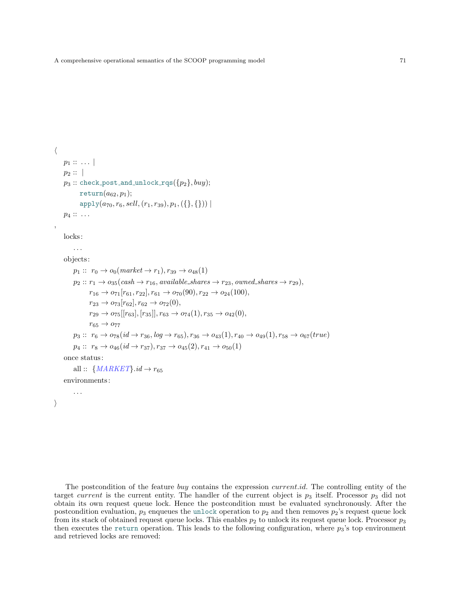```
\langlep_1 :: ... |p_2 :: |p_3: check_post_and_unlock_rqs({p_2}, buy);
             return(a_{62}, p_1);apply(a_{70}, r_6, sell, (r_1, r_{39}), p_1, (\{\}, \{\}))p_4 :: \ldots,
     locks:
          . . .
     objects:
          p_1 :: r_0 \rightarrow o_0(market \rightarrow r_1), r_{39} \rightarrow o_{48}(1)p_2 :: r_1 \rightarrow o_{35}(cash \rightarrow r_{16}, available\_ shares \rightarrow r_{23}, owned\_ shares \rightarrow r_{29}),r_{16} \rightarrow o_{71}[r_{61}, r_{22}], r_{61} \rightarrow o_{70}(90), r_{22} \rightarrow o_{24}(100),r_{23} \rightarrow o_{73}[r_{62}], r_{62} \rightarrow o_{72}(0),r_{29} \rightarrow o_{75}[[r_{63}], [r_{35}]], r_{63} \rightarrow o_{74}(1), r_{35} \rightarrow o_{42}(0),r_{65} \rightarrow o_{77}p_3 :: r_6 \rightarrow o_{78}(id \rightarrow r_{36}, log \rightarrow r_{65}), r_{36} \rightarrow o_{43}(1), r_{40} \rightarrow o_{49}(1), r_{58} \rightarrow o_{67}(true)p_4 :: r_8 \rightarrow o_{46}(id \rightarrow r_{37}), r_{37} \rightarrow o_{45}(2), r_{41} \rightarrow o_{50}(1)once status:
          all :: \{MARKET\}.id \rightarrow r_{65}environments:
          . . .
\left\langle \right\rangle
```
The postcondition of the feature buy contains the expression current.id. The controlling entity of the target *current* is the current entity. The handler of the current object is  $p_3$  itself. Processor  $p_3$  did not obtain its own request queue lock. Hence the postcondition must be evaluated synchronously. After the postcondition evaluation,  $p_3$  enqueues the unlock operation to  $p_2$  and then removes  $p_2$ 's request queue lock from its stack of obtained request queue locks. This enables  $p_2$  to unlock its request queue lock. Processor  $p_3$ then executes the return operation. This leads to the following configuration, where  $p_3$ 's top environment and retrieved locks are removed: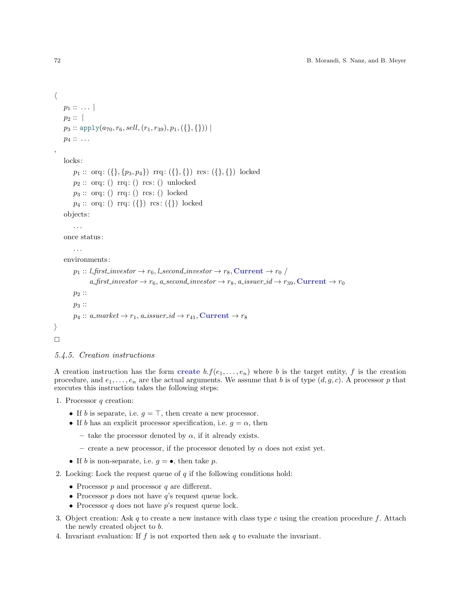```
\langlep_1 :: \ldotsp_2 :: \perpp_3 :: apply(a_{70}, r_6, sell, (r_1, r_{39}), p_1, (\{\}, \{\}))p_4 :: \ldots,
    locks:
         p_1 :: \text{org}: (\{\}, \{p_3, p_4\}) \text{ rrq}: (\{\}, \{\}) \text{ ros}: (\{\}, \{\}) \text{ locked}p_2 :: \text{org}: () \text{ rng}: () \text{ res}: () \text{ unlocked}p_3 :: \text{org}: () \text{ rng}: () \text{ res}: () \text{ locked}p_4 :: orq: () rrq: ({}) rcs: ({}) locked
    objects:
         . . .
    once status:
         . . .
    environments:
         p_1 :: l\_first\_investor \rightarrow r_6, l\_second\_investor \rightarrow r_8, Current \rightarrow r_0a\_first\_investor \rightarrow r_6, a\_second\_investor \rightarrow r_8, a\_issuer\_id \rightarrow r_{39}, Current \rightarrow r_0p_2:
         p_3:
         p_4 :: a\_market \rightarrow r_1, a\_issuer\_id \rightarrow r_{41}, Current \rightarrow r_8\left\langle \right\rangle\Box
```

```
5.4.5. Creation instructions
```
A creation instruction has the form create  $b.f(e_1, \ldots, e_n)$  where b is the target entity, f is the creation procedure, and  $e_1, \ldots, e_n$  are the actual arguments. We assume that b is of type  $(d, g, c)$ . A processor p that executes this instruction takes the following steps:

1. Processor  $q$  creation:

- If *b* is separate, i.e.  $g = \top$ , then create a new processor.
- If b has an explicit processor specification, i.e.  $q = \alpha$ , then
	- take the processor denoted by  $\alpha$ , if it already exists.
	- create a new processor, if the processor denoted by  $\alpha$  does not exist yet.
- If b is non-separate, i.e.  $q = \bullet$ , then take p.
- 2. Locking: Lock the request queue of  $q$  if the following conditions hold:
	- Processor  $p$  and processor  $q$  are different.
	- Processor  $p$  does not have  $q$ 's request queue lock.
	- Processor  $q$  does not have  $p$ 's request queue lock.
- 3. Object creation: Ask q to create a new instance with class type c using the creation procedure f. Attach the newly created object to b.
- 4. Invariant evaluation: If f is not exported then ask q to evaluate the invariant.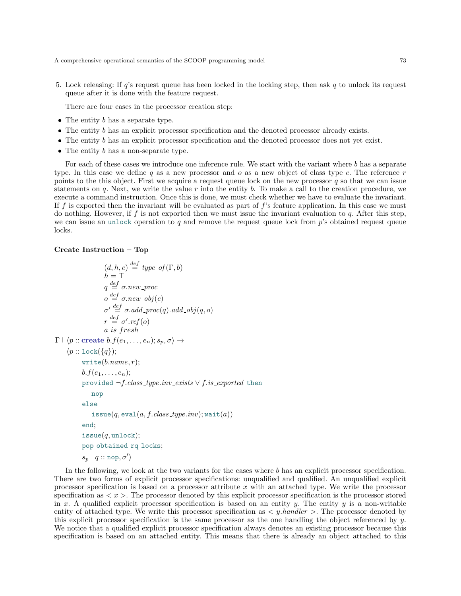A comprehensive operational semantics of the SCOOP programming model 73

5. Lock releasing: If  $q$ 's request queue has been locked in the locking step, then ask  $q$  to unlock its request queue after it is done with the feature request.

There are four cases in the processor creation step:

- The entity  $b$  has a separate type.
- The entity b has an explicit processor specification and the denoted processor already exists.
- The entity b has an explicit processor specification and the denoted processor does not yet exist.
- The entity *b* has a non-separate type.

For each of these cases we introduce one inference rule. We start with the variant where b has a separate type. In this case we define q as a new processor and  $o$  as a new object of class type c. The reference  $r$ points to the this object. First we acquire a request queue lock on the new processor  $q$  so that we can issue statements on q. Next, we write the value r into the entity b. To make a call to the creation procedure, we execute a command instruction. Once this is done, we must check whether we have to evaluate the invariant. If f is exported then the invariant will be evaluated as part of  $f$ 's feature application. In this case we must do nothing. However, if f is not exported then we must issue the invariant evaluation to  $q$ . After this step, we can issue an unlock operation to q and remove the request queue lock from  $p$ 's obtained request queue locks.

### Create Instruction – Top

```
(d, h, c) \stackrel{def}{=} type\_of(\Gamma, b)h = \topq \stackrel{def}{=} \sigma.new\_proco \stackrel{def}{=} \sigma.new\_obj(c)\sigma' \stackrel{def}{=} \sigma.add\_proc(q).add\_obj(q, o)r \stackrel{def}{=} \sigma'.ref(o)a is fresh
\Gamma \vdash \langle p \text{ :: create } b.f(e_1, \ldots, e_n); s_p, \sigma \rangle \rightarrow\langle p:: \text{lock}(\{q\})\ranglewrite(b.name, r);b.f(e_1, \ldots, e_n);provided \neg f.class_type.inv\_exists \lor f.is\_explored then
                nop
            else
                 issue(q, eval(a, f.class_type.inv); wait(a))
            end;
            issue(q,unlock);
            pop_obtained_rq_locks;
             s_p \mid q::\texttt{nop}, \sigma' \rangle
```
In the following, we look at the two variants for the cases where b has an explicit processor specification. There are two forms of explicit processor specifications: unqualified and qualified. An unqualified explicit processor specification is based on a processor attribute  $x$  with an attached type. We write the processor specification as  $\langle x \rangle$ . The processor denoted by this explicit processor specification is the processor stored in x. A qualified explicit processor specification is based on an entity y. The entity y is a non-writable entity of attached type. We write this processor specification as  $\lt y \text{.}$  handler  $\gt \text{.}$  The processor denoted by this explicit processor specification is the same processor as the one handling the object referenced by  $y$ . We notice that a qualified explicit processor specification always denotes an existing processor because this specification is based on an attached entity. This means that there is already an object attached to this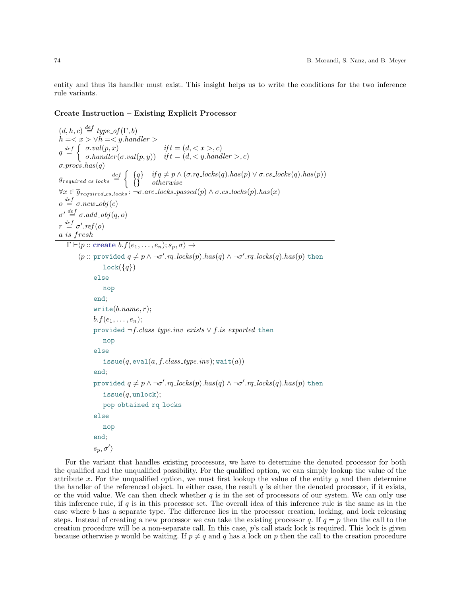entity and thus its handler must exist. This insight helps us to write the conditions for the two inference rule variants.

### Create Instruction – Existing Explicit Processor

```
(d, h, c) \stackrel{def}{=} type\_of(\Gamma, b)h = <x> \lor h = <y.handler>q \stackrel{\text{def}}{=} \begin{cases} \sigma.val(p, x) & \text{if } t = (d, \langle x \rangle, c) \\ \sigma \text{ is odd,} & \text{if } t = (d, \langle x \rangle, c) \end{cases}\sigma.handler(\sigma.val(p, y)) if t = (d, \langle y.handler \rangle, c)\sigma.procs.has(q)
\overline{g}_{required.cs. locks} \stackrel{def}{=} \left\{ \begin{array}{ll} \{q\} & if \, q \neq p \land (\sigma.\textit{rq\_locks}(q).has(p) \lor \sigma.\textit{cs\_locks}(q).has(p)) \\ \emptyset & otherwise \end{array} \right.{} otherwise
\forall x \in \overline{g}_{required\_cs\_locks}: ¬\sigma . are\_locks\_passed(p) \land \sigma . cs\_locks(p).has(x)o \stackrel{def}{=} \sigma.new\_obj(c)\sigma' \stackrel{def}{=} \sigma.add\_obj(q, o)r \stackrel{def}{=} \sigma'.ref(o)a is fresh
    \Gamma \vdash \langle p \text{ :: create } b.f(e_1, \ldots, e_n); s_p, \sigma \rangle \rightarrow\langle p:: provided q\neq p\land \neg \sigma'.rq\_locks(p).has(q) \land \neg \sigma'.rq\_locks(q).has(p) then
                       lock({q})else
                       nop
                  end;
                  write(b.name, r);b.f(e_1, \ldots, e_n);provided ¬f.class type.inv exists ∨ f.is exported then
                       nop
                  else
                       issue(q, eval(a, f.class_type.inv); wait(a))
                  end;
                  provided q \neq p \land \neg \sigma'.rq\_locks(p).has(q) \land \neg \sigma'.rq\_locks(q).has(p) then
                       issue(q,unlock);
                       pop obtained rq locks
                  else
                       nop
                  end;
                  \langle s_p, \sigma' \rangle
```
For the variant that handles existing processors, we have to determine the denoted processor for both the qualified and the unqualified possibility. For the qualified option, we can simply lookup the value of the attribute x. For the unqualified option, we must first lookup the value of the entity  $y$  and then determine the handler of the referenced object. In either case, the result  $q$  is either the denoted processor, if it exists, or the void value. We can then check whether  $q$  is in the set of processors of our system. We can only use this inference rule, if  $q$  is in this processor set. The overall idea of this inference rule is the same as in the case where b has a separate type. The difference lies in the processor creation, locking, and lock releasing steps. Instead of creating a new processor we can take the existing processor q. If  $q = p$  then the call to the creation procedure will be a non-separate call. In this case,  $p$ 's call stack lock is required. This lock is given because otherwise p would be waiting. If  $p \neq q$  and q has a lock on p then the call to the creation procedure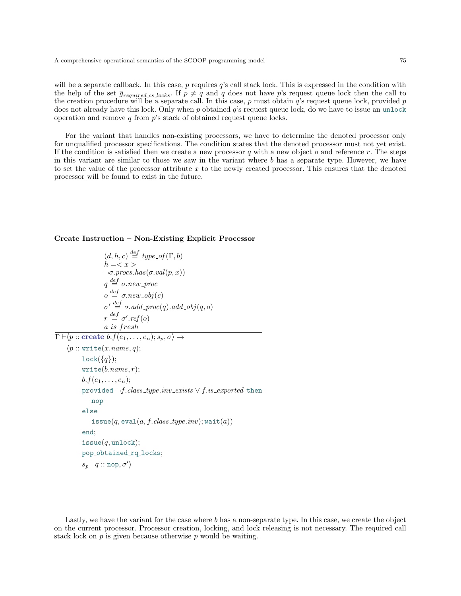will be a separate callback. In this case,  $p$  requires  $q$ 's call stack lock. This is expressed in the condition with the help of the set  $\bar{g}_{required\text{ }c\text{ }s\text{ }locks}$ . If  $p \neq q$  and q does not have p's request queue lock then the call to the creation procedure will be a separate call. In this case, p must obtain q's request queue lock, provided p does not already have this lock. Only when p obtained q's request queue lock, do we have to issue an unlock operation and remove  $q$  from  $p$ 's stack of obtained request queue locks.

For the variant that handles non-existing processors, we have to determine the denoted processor only for unqualified processor specifications. The condition states that the denoted processor must not yet exist. If the condition is satisfied then we create a new processor q with a new object  $o$  and reference  $r$ . The steps in this variant are similar to those we saw in the variant where b has a separate type. However, we have to set the value of the processor attribute x to the newly created processor. This ensures that the denoted processor will be found to exist in the future.

### Create Instruction – Non-Existing Explicit Processor

 $(d, h, c) \stackrel{def}{=} type\_of(\Gamma, b)$  $h =$  $\neg \sigma. process. has (\sigma. val(p, x))$  $q \stackrel{def}{=} \sigma.new\_proc$  $o \stackrel{def}{=} \sigma.new\_obj(c)$  $\sigma' \stackrel{def}{=} \sigma.add\_proc(q).add\_obj(q, o)$  $r \stackrel{def}{=} \sigma'.ref(o)$ a is fresh  $\Gamma \vdash \langle p \text{ :: create } b.f(e_1, \ldots, e_n); s_p, \sigma \rangle \rightarrow$  $\langle p:: \text{write}(x.name, q);$  $lock({q})$ ;  $write(b.name, r);$  $b.f(e_1, \ldots, e_n);$ provided  $\neg f.class_type.inv\_exists \lor f.is\_explored$  then nop else issue(q, eval(a, f.class\_type.inv); wait(a)) end;  $issue(q,$ unlock); pop\_obtained\_rq\_locks;  $s_p \mid q::\texttt{nop}, \sigma' \rangle$ 

Lastly, we have the variant for the case where b has a non-separate type. In this case, we create the object on the current processor. Processor creation, locking, and lock releasing is not necessary. The required call stack lock on  $p$  is given because otherwise  $p$  would be waiting.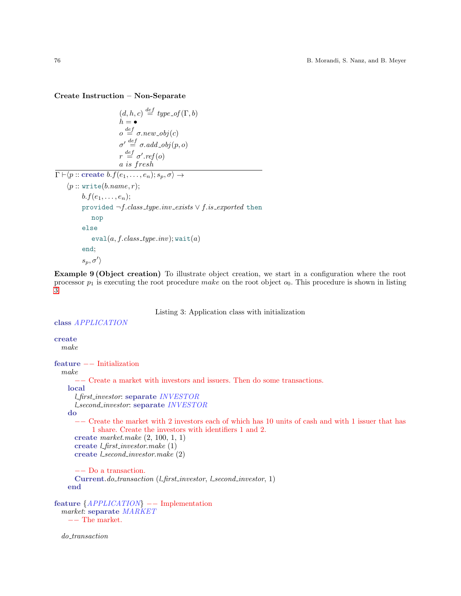## Create Instruction – Non-Separate

 $(d, h, c) \stackrel{def}{=} type\_of(\Gamma, b)$  $h = \bullet$  $o \stackrel{def}{=} \sigma.new\_obj(c)$  $\sigma' \stackrel{def}{=} \sigma.add\_obj(p, o)$  $r \stackrel{def}{=} \sigma'.ref(o)$ a is fresh  $\Gamma \vdash \langle p : \text{create } b.f(e_1, \ldots, e_n); s_p, \sigma \rangle \rightarrow$  $\langle p:: \text{write}(b.name, r);$  $b.f(e_1, \ldots, e_n);$ provided ¬f.class type.inv exists ∨ f.is exported then nop else  $eval(a, f.class_type.inv); wait(a)$ end;  $\langle s_p, \sigma' \rangle$ 

Example 9 (Object creation) To illustrate object creation, we start in a configuration where the root processor  $p_1$  is executing the root procedure make on the root object  $o_0$ . This procedure is shown in listing [3.](#page-75-0)

Listing 3: Application class with initialization

```
class APPLICATION
```
create make feature −− Initialization make −− Create a market with investors and issuers. Then do some transactions. local l first investor: separate INVESTOR l second investor: separate INVESTOR do −− Create the market with 2 investors each of which has 10 units of cash and with 1 issuer that has 1 share. Create the investors with identifiers 1 and 2. create market.make (2, 100, 1, 1) create l first investor.make (1) create l second investor.make (2) −− Do a transaction. Current.do\_transaction (l\_first\_investor, l\_second\_investor, 1) end feature {APPLICATION} −− Implementation market: separate MARKET −− The market. do\_transaction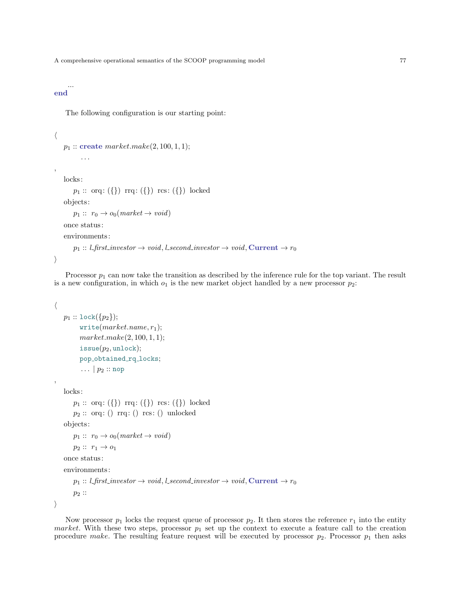A comprehensive operational semantics of the SCOOP programming model 77

#### end

...

The following configuration is our starting point:

```
\langlep_1 :: create market.make(2, 100, 1, 1);
```
locks:

,

. . .

```
p_1 :: \text{org: } (\{\}) \text{ rng: } (\{\}) \text{ res: } (\{\}) \text{ locked}objects:
          p_1 :: r_0 \rightarrow o_0(market \rightarrow void)once status:
     environments:
          p_1 :: l\_first\_investor \rightarrow void, l \text{.second\_investor} \rightarrow void, Current \rightarrow r_0\left\langle \right\rangle
```
Processor  $p_1$  can now take the transition as described by the inference rule for the top variant. The result is a new configuration, in which  $o_1$  is the new market object handled by a new processor  $p_2$ :

```
\langlep_1 :: lock(\{p_2\});
           write(maxket.name, r_1);market.make(2, 100, 1, 1);is sue(p_2, unlock);pop_obtained_rq_locks;
            \ldots \mid p_2 \ldots p_p,
    locks:
        p_1 :: \text{ orq}: (\{\}) \text{ rq}: (\{\}) \text{ c} \in \{\}) \text{ locked}p_2 :: \text{org}: () \text{ rng}: () \text{ res}: () \text{ unlocked}objects:
        p_1 :: r_0 \rightarrow o_0(market \rightarrow void)p_2 :: r_1 \rightarrow o_1once status:
    environments:
        p_1 :: l\_first\_investor \rightarrow void, l\_second\_investor \rightarrow void, Current \rightarrow r_0p_2:
\left\langle \right\rangle
```
Now processor  $p_1$  locks the request queue of processor  $p_2$ . It then stores the reference  $r_1$  into the entity market. With these two steps, processor  $p_1$  set up the context to execute a feature call to the creation procedure make. The resulting feature request will be executed by processor  $p_2$ . Processor  $p_1$  then asks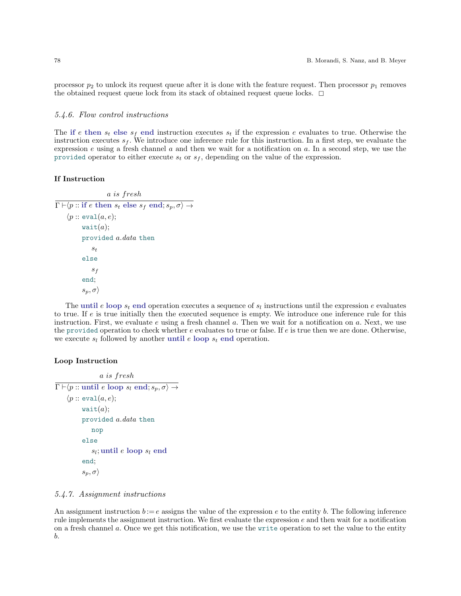processor  $p_2$  to unlock its request queue after it is done with the feature request. Then processor  $p_1$  removes the obtained request queue lock from its stack of obtained request queue locks.  $\Box$ 

#### 5.4.6. Flow control instructions

The if e then  $s_t$  else  $s_f$  end instruction executes  $s_t$  if the expression e evaluates to true. Otherwise the instruction executes  $s_f$ . We introduce one inference rule for this instruction. In a first step, we evaluate the expression  $e$  using a fresh channel  $a$  and then we wait for a notification on  $a$ . In a second step, we use the provided operator to either execute  $s_t$  or  $s_f$ , depending on the value of the expression.

#### If Instruction

```
a is fresh
\frac{a}{\Gamma \vdash \langle p:: \text{if } e \text{ then } s_t \text{ else } s_f \text{ end}; s_p, \sigma \rangle \rightarrow}\langle p:: eval(a, e):wait(a);
                provided a.data then
                     s_telse
                     sf
                end;
                \langle s_p, \sigma \rangle
```
The **until** e loop  $s_t$  end operation executes a sequence of  $s_l$  instructions until the expression e evaluates to true. If e is true initially then the executed sequence is empty. We introduce one inference rule for this instruction. First, we evaluate  $e$  using a fresh channel  $a$ . Then we wait for a notification on  $a$ . Next, we use the provided operation to check whether  $e$  evaluates to true or false. If  $e$  is true then we are done. Otherwise, we execute  $s_l$  followed by another until e loop  $s_t$  end operation.

#### Loop Instruction

```
a is fresh
\Gamma\vdash\!\langle p\text{ :: until }e\text{ loop }s_l\text{ end}; s_p,\sigma\rangle\rightarrow\langle p:: eval(a, e):wait(a);
            provided a.data then
                 nop
            else
                  s_l;until e loop s_l end
             end;
            \langle s_p, \sigma \rangle
```
### 5.4.7. Assignment instructions

An assignment instruction  $b := e$  assigns the value of the expression e to the entity b. The following inference rule implements the assignment instruction. We first evaluate the expression  $e$  and then wait for a notification on a fresh channel a. Once we get this notification, we use the write operation to set the value to the entity b.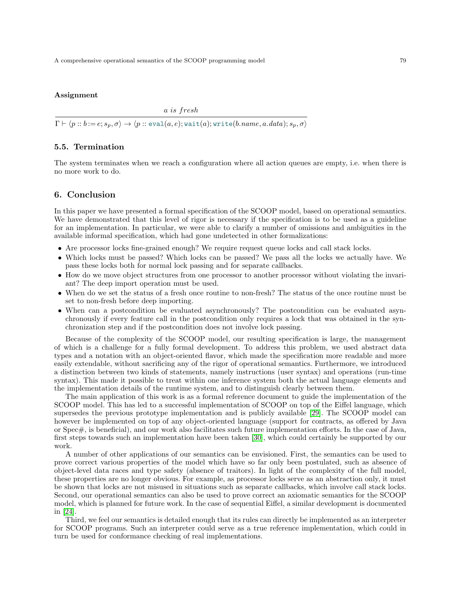A comprehensive operational semantics of the SCOOP programming model 79

## Assignment

a is fresh

 $\Gamma \vdash \langle p :: b := e; s_p, \sigma \rangle \rightarrow \langle p :: \text{eval}(a, e); \text{wait}(a); \text{write}(b.name, a.data); s_p, \sigma \rangle$ 

## 5.5. Termination

The system terminates when we reach a configuration where all action queues are empty, i.e. when there is no more work to do.

# 6. Conclusion

In this paper we have presented a formal specification of the SCOOP model, based on operational semantics. We have demonstrated that this level of rigor is necessary if the specification is to be used as a guideline for an implementation. In particular, we were able to clarify a number of omissions and ambiguities in the available informal specification, which had gone undetected in other formalizations:

- Are processor locks fine-grained enough? We require request queue locks and call stack locks.
- Which locks must be passed? Which locks can be passed? We pass all the locks we actually have. We pass these locks both for normal lock passing and for separate callbacks.
- How do we move object structures from one processor to another processor without violating the invariant? The deep import operation must be used.
- When do we set the status of a fresh once routine to non-fresh? The status of the once routine must be set to non-fresh before deep importing.
- When can a postcondition be evaluated asynchronously? The postcondition can be evaluated asynchronously if every feature call in the postcondition only requires a lock that was obtained in the synchronization step and if the postcondition does not involve lock passing.

Because of the complexity of the SCOOP model, our resulting specification is large, the management of which is a challenge for a fully formal development. To address this problem, we used abstract data types and a notation with an object-oriented flavor, which made the specification more readable and more easily extendable, without sacrificing any of the rigor of operational semantics. Furthermore, we introduced a distinction between two kinds of statements, namely instructions (user syntax) and operations (run-time syntax). This made it possible to treat within one inference system both the actual language elements and the implementation details of the runtime system, and to distinguish clearly between them.

The main application of this work is as a formal reference document to guide the implementation of the SCOOP model. This has led to a successful implementation of SCOOP on top of the Eiffel language, which supersedes the previous prototype implementation and is publicly available [\[29\]](#page-79-0). The SCOOP model can however be implemented on top of any object-oriented language (support for contracts, as offered by Java or Spec#, is beneficial), and our work also facilitates such future implementation efforts. In the case of Java, first steps towards such an implementation have been taken [\[30\]](#page-79-1), which could certainly be supported by our work.

A number of other applications of our semantics can be envisioned. First, the semantics can be used to prove correct various properties of the model which have so far only been postulated, such as absence of object-level data races and type safety (absence of traitors). In light of the complexity of the full model, these properties are no longer obvious. For example, as processor locks serve as an abstraction only, it must be shown that locks are not misused in situations such as separate callbacks, which involve call stack locks. Second, our operational semantics can also be used to prove correct an axiomatic semantics for the SCOOP model, which is planned for future work. In the case of sequential Eiffel, a similar development is documented in [\[24\]](#page-79-2).

Third, we feel our semantics is detailed enough that its rules can directly be implemented as an interpreter for SCOOP programs. Such an interpreter could serve as a true reference implementation, which could in turn be used for conformance checking of real implementations.